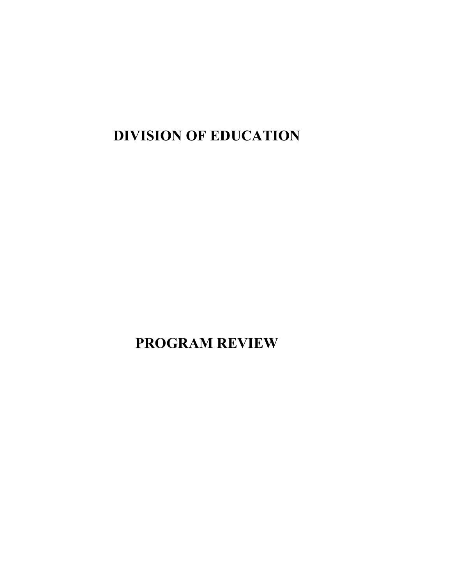**DIVISION OF EDUCATION**

**PROGRAM REVIEW**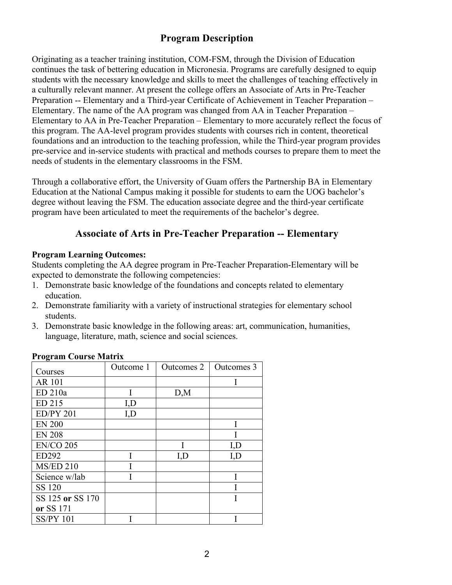# **Program Description**

Originating as a teacher training institution, COM-FSM, through the Division of Education continues the task of bettering education in Micronesia. Programs are carefully designed to equip students with the necessary knowledge and skills to meet the challenges of teaching effectively in a culturally relevant manner. At present the college offers an Associate of Arts in Pre-Teacher Preparation -- Elementary and a Third-year Certificate of Achievement in Teacher Preparation – Elementary. The name of the AA program was changed from AA in Teacher Preparation – Elementary to AA in Pre-Teacher Preparation – Elementary to more accurately reflect the focus of this program. The AA-level program provides students with courses rich in content, theoretical foundations and an introduction to the teaching profession, while the Third-year program provides pre-service and in-service students with practical and methods courses to prepare them to meet the needs of students in the elementary classrooms in the FSM.

Through a collaborative effort, the University of Guam offers the Partnership BA in Elementary Education at the National Campus making it possible for students to earn the UOG bachelor's degree without leaving the FSM. The education associate degree and the third-year certificate program have been articulated to meet the requirements of the bachelor's degree.

# **Associate of Arts in Pre-Teacher Preparation -- Elementary**

## **Program Learning Outcomes:**

Students completing the AA degree program in Pre-Teacher Preparation-Elementary will be expected to demonstrate the following competencies:

- 1. Demonstrate basic knowledge of the foundations and concepts related to elementary education.
- 2. Demonstrate familiarity with a variety of instructional strategies for elementary school students.
- 3. Demonstrate basic knowledge in the following areas: art, communication, humanities, language, literature, math, science and social sciences.

| o<br>Courses     | Outcome 1 | Outcomes 2 | Outcomes 3 |
|------------------|-----------|------------|------------|
| <b>AR 101</b>    |           |            |            |
| ED 210a          | I         | D,M        |            |
| ED 215           | I,D       |            |            |
| <b>ED/PY 201</b> | I,D       |            |            |
| <b>EN 200</b>    |           |            |            |
| <b>EN 208</b>    |           |            |            |
| <b>EN/CO 205</b> |           |            | I, D       |
| ED292            |           | I, D       | I, D       |
| <b>MS/ED 210</b> |           |            |            |
| Science w/lab    |           |            |            |
| SS 120           |           |            |            |
| SS 125 or SS 170 |           |            |            |
| or SS 171        |           |            |            |
| <b>SS/PY 101</b> |           |            |            |

## **Program Course Matrix**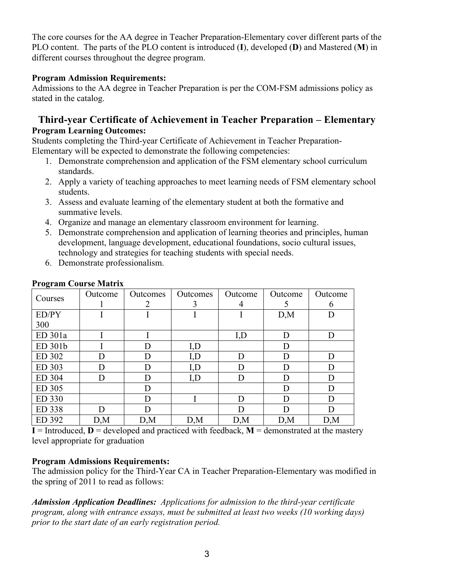The core courses for the AA degree in Teacher Preparation-Elementary cover different parts of the PLO content. The parts of the PLO content is introduced (**I**), developed (**D**) and Mastered (**M**) in different courses throughout the degree program.

## **Program Admission Requirements:**

Admissions to the AA degree in Teacher Preparation is per the COM-FSM admissions policy as stated in the catalog.

# **Third-year Certificate of Achievement in Teacher Preparation – Elementary Program Learning Outcomes:**

Students completing the Third-year Certificate of Achievement in Teacher Preparation-Elementary will be expected to demonstrate the following competencies:

- 1. Demonstrate comprehension and application of the FSM elementary school curriculum standards.
- 2. Apply a variety of teaching approaches to meet learning needs of FSM elementary school students.
- 3. Assess and evaluate learning of the elementary student at both the formative and summative levels.
- 4. Organize and manage an elementary classroom environment for learning.
- 5. Demonstrate comprehension and application of learning theories and principles, human development, language development, educational foundations, socio cultural issues, technology and strategies for teaching students with special needs.
- 6. Demonstrate professionalism.

| -<br>Courses | Outcome | Outcomes | Outcomes | Outcome | Outcome | Outcome |
|--------------|---------|----------|----------|---------|---------|---------|
|              |         |          | 3        | 4       |         | 6       |
| ED/PY        |         |          |          |         | D,M     | D       |
| 300          |         |          |          |         |         |         |
| ED 301a      |         |          |          | I, D    | D       | D       |
| ED 301b      |         | D        | I, D     |         | D       |         |
| ED 302       | D       | D        | I,D      | D       | D       | D       |
| ED 303       | D       | D        | I,D      | D       | D       | D       |
| ED 304       | D       | D        | I, D     | D       | D       | D       |
| ED 305       |         | D        |          |         | D       | D       |
| ED 330       |         | D        |          | D       | D       | D       |
| ED 338       | D       | D        |          | D       | D       | D       |
| ED 392       | D,M     | D,M      | D,M      | D,M     | D,M     | D,M     |

## **Program Course Matrix**

 $I = Introduced, D = developed and practiced with feedback, M = demonstrated at the mastery$ level appropriate for graduation

# **Program Admissions Requirements:**

The admission policy for the Third-Year CA in Teacher Preparation-Elementary was modified in the spring of 2011 to read as follows:

*Admission Application Deadlines: Applications for admission to the third-year certificate program, along with entrance essays, must be submitted at least two weeks (10 working days) prior to the start date of an early registration period.*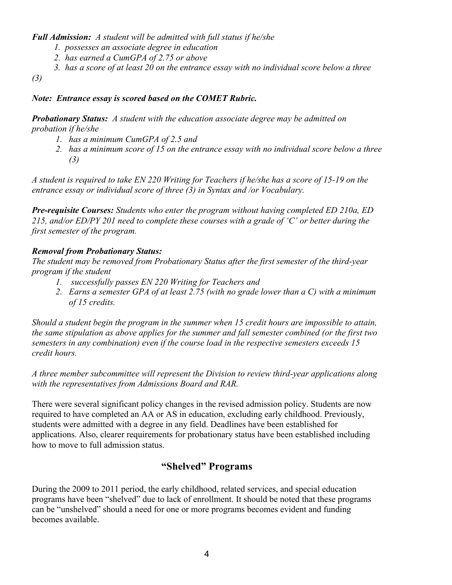*Full Admission: A student will be admitted with full status if he/she*

- *1. possesses an associate degree in education*
- *2. has earned a CumGPA of 2.75 or above*
- *3. has a score of at least 20 on the entrance essay with no individual score below a three*

*(3)*

# *Note: Entrance essay is scored based on the COMET Rubric.*

*Probationary Status: A student with the education associate degree may be admitted on probation if he/she*

- *1. has a minimum CumGPA of 2.5 and*
- *2. has a minimum score of 15 on the entrance essay with no individual score below a three (3)*

*A student is required to take EN 220 Writing for Teachers if he/she has a score of 15-19 on the entrance essay or individual score of three (3) in Syntax and /or Vocabulary.*

*Pre-requisite Courses: Students who enter the program without having completed ED 210a, ED 215, and/or ED/PY 201 need to complete these courses with a grade of 'C' or better during the first semester of the program.*

# *Removal from Probationary Status:*

*The student may be removed from Probationary Status after the first semester of the third-year program if the student*

- *1. successfully passes EN 220 Writing for Teachers and*
- *2. Earns a semester GPA of at least 2.75 (with no grade lower than a C) with a minimum of 15 credits.*

*Should a student begin the program in the summer when 15 credit hours are impossible to attain, the same stipulation as above applies for the summer and fall semester combined (or the first two semesters in any combination) even if the course load in the respective semesters exceeds 15 credit hours.*

*A three member subcommittee will represent the Division to review third-year applications along with the representatives from Admissions Board and RAR.*

There were several significant policy changes in the revised admission policy. Students are now required to have completed an AA or AS in education, excluding early childhood. Previously, students were admitted with a degree in any field. Deadlines have been established for applications. Also, clearer requirements for probationary status have been established including how to move to full admission status.

# **"Shelved" Programs**

During the 2009 to 2011 period, the early childhood, related services, and special education programs have been "shelved" due to lack of enrollment. It should be noted that these programs can be "unshelved" should a need for one or more programs becomes evident and funding becomes available.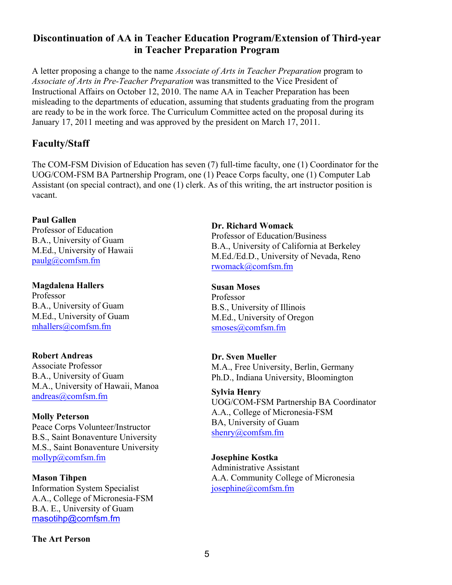# **Discontinuation of AA in Teacher Education Program/Extension of Third-year in Teacher Preparation Program**

A letter proposing a change to the name *Associate of Arts in Teacher Preparation* program to *Associate of Arts in Pre-Teacher Preparation* was transmitted to the Vice President of Instructional Affairs on October 12, 2010. The name AA in Teacher Preparation has been misleading to the departments of education, assuming that students graduating from the program are ready to be in the work force. The Curriculum Committee acted on the proposal during its January 17, 2011 meeting and was approved by the president on March 17, 2011.

# **Faculty/Staff**

The COM-FSM Division of Education has seven (7) full-time faculty, one (1) Coordinator for the UOG/COM-FSM BA Partnership Program, one (1) Peace Corps faculty, one (1) Computer Lab Assistant (on special contract), and one (1) clerk. As of this writing, the art instructor position is vacant.

## **Paul Gallen**

Professor of Education B.A., University of Guam M.Ed., University of Hawaii paulg@comfsm.fm

# **Magdalena Hallers**

Professor B.A., University of Guam M.Ed., University of Guam mhallers@comfsm.fm

## **Robert Andreas**

Associate Professor B.A., University of Guam M.A., University of Hawaii, Manoa andreas@comfsm.fm

# **Molly Peterson**

Peace Corps Volunteer/Instructor B.S., Saint Bonaventure University M.S., Saint Bonaventure University mollyp@comfsm.fm

## **Mason Tihpen**

Information System Specialist A.A., College of Micronesia-FSM B.A. E., University of Guam masotihp@comfsm.fm

## **The Art Person**

## **Dr. Richard Womack** Professor of Education/Business B.A., University of California at Berkeley M.Ed./Ed.D., University of Nevada, Reno rwomack@comfsm.fm

**Susan Moses** Professor B.S., University of Illinois M.Ed., University of Oregon smoses@comfsm.fm

## **Dr. Sven Mueller**

M.A., Free University, Berlin, Germany Ph.D., Indiana University, Bloomington

# **Sylvia Henry**

UOG/COM-FSM Partnership BA Coordinator A.A., College of Micronesia-FSM BA, University of Guam shenry@comfsm.fm

## **Josephine Kostka**

Administrative Assistant A.A. Community College of Micronesia josephine@comfsm.fm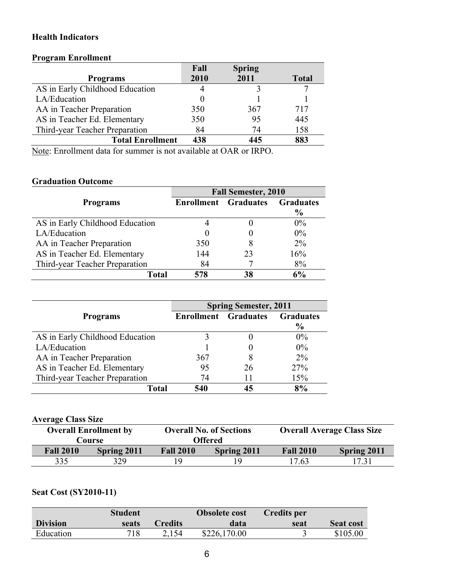## **Health Indicators**

## **Program Enrollment**

|                                 | Fall | <b>Spring</b> |              |
|---------------------------------|------|---------------|--------------|
| <b>Programs</b>                 | 2010 | 2011          | <b>Total</b> |
| AS in Early Childhood Education |      |               |              |
| LA/Education                    |      |               |              |
| AA in Teacher Preparation       | 350  | 367           | 717          |
| AS in Teacher Ed. Elementary    | 350  | 95            | 445          |
| Third-year Teacher Preparation  | 84   | 74            | 158          |
| <b>Total Enrollment</b>         | 438  | 445           | 883          |

Note: Enrollment data for summer is not available at OAR or IRPO.

# **Graduation Outcome**

|                                 | <b>Fall Semester, 2010</b>  |    |                  |  |  |  |  |  |
|---------------------------------|-----------------------------|----|------------------|--|--|--|--|--|
| <b>Programs</b>                 | <b>Enrollment</b> Graduates |    | <b>Graduates</b> |  |  |  |  |  |
|                                 |                             |    | $\frac{6}{9}$    |  |  |  |  |  |
| AS in Early Childhood Education |                             |    | $0\%$            |  |  |  |  |  |
| LA/Education                    | $\theta$                    |    | $0\%$            |  |  |  |  |  |
| AA in Teacher Preparation       | 350                         | 8  | $2\%$            |  |  |  |  |  |
| AS in Teacher Ed. Elementary    | 144                         | 23 | 16%              |  |  |  |  |  |
| Third-year Teacher Preparation  | 84                          |    | 8%               |  |  |  |  |  |
| Total                           | 578                         | 38 | 6%               |  |  |  |  |  |

|                                 | <b>Spring Semester, 2011</b> |    |                  |  |  |  |  |
|---------------------------------|------------------------------|----|------------------|--|--|--|--|
| <b>Programs</b>                 | <b>Enrollment</b> Graduates  |    | <b>Graduates</b> |  |  |  |  |
|                                 |                              |    | $\frac{6}{9}$    |  |  |  |  |
| AS in Early Childhood Education |                              |    | $0\%$            |  |  |  |  |
| LA/Education                    |                              |    | $0\%$            |  |  |  |  |
| AA in Teacher Preparation       | 367                          |    | $2\%$            |  |  |  |  |
| AS in Teacher Ed. Elementary    | 95                           | 26 | 27%              |  |  |  |  |
| Third-year Teacher Preparation  | 74                           | 11 | 15%              |  |  |  |  |
| Total                           | 540                          | 45 | 8%               |  |  |  |  |

#### **Average Class Size**

|                  | <b>Overall Enrollment by</b><br>Course |                  | <b>Overall No. of Sections</b><br><b>Offered</b> |                  | <b>Overall Average Class Size</b> |
|------------------|----------------------------------------|------------------|--------------------------------------------------|------------------|-----------------------------------|
| <b>Fall 2010</b> | Spring 2011                            | <b>Fall 2010</b> | <b>Spring 2011</b>                               | <b>Fall 2010</b> | Spring 2011                       |
| 335              | 329                                    | 19               |                                                  | 17.63            | 17.31                             |

# **Seat Cost (SY2010-11)**

|                 | <b>Student</b> |                | <b>Obsolete cost</b> | Credits per |                  |
|-----------------|----------------|----------------|----------------------|-------------|------------------|
| <b>Division</b> | seats          | <b>Credits</b> | data                 | seat        | <b>Seat cost</b> |
| Education       | 718            | 2.154          | \$226,170.00         |             | \$105.00         |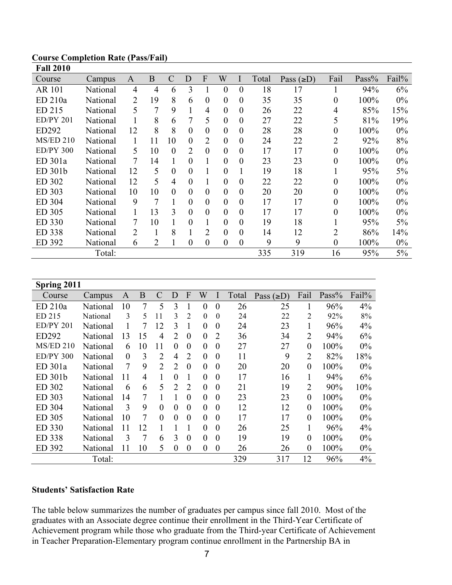| Fall 2010        |          |                |                |                |                  |                  |                  |                |       |                 |                |       |       |
|------------------|----------|----------------|----------------|----------------|------------------|------------------|------------------|----------------|-------|-----------------|----------------|-------|-------|
| Course           | Campus   | A              | B              | $\mathcal{C}$  | D                | F                | W                |                | Total | Pass $(\geq D)$ | Fail           | Pass% | Fail% |
| <b>AR 101</b>    | National | 4              | 4              | 6              | 3                |                  | 0                | $\theta$       | 18    | 17              |                | 94%   | 6%    |
| ED 210a          | National | 2              | 19             | 8              | 6                | $\boldsymbol{0}$ | $\boldsymbol{0}$ | 0              | 35    | 35              | $\theta$       | 100%  | $0\%$ |
| ED 215           | National | 5              | 7              | 9              |                  | 4                | $\overline{0}$   | $\overline{0}$ | 26    | 22              | 4              | 85%   | 15%   |
| <b>ED/PY 201</b> | National |                | 8              | 6              | 7                | 5                | $\overline{0}$   | $\overline{0}$ | 27    | 22              | 5              | 81%   | 19%   |
| ED292            | National | 12             | 8              | 8              | $\theta$         | $\overline{0}$   | $\overline{0}$   | $\overline{0}$ | 28    | 28              | $\theta$       | 100%  | $0\%$ |
| <b>MS/ED 210</b> | National |                | 11             | 10             | $\theta$         | $\overline{2}$   | $\overline{0}$   | $\theta$       | 24    | 22              | $\overline{2}$ | 92%   | 8%    |
| ED/PY300         | National | 5              | 10             | $\theta$       | 2                | $\overline{0}$   | $\overline{0}$   | $\overline{0}$ | 17    | 17              | $\theta$       | 100%  | $0\%$ |
| ED 301a          | National | 7              | 14             |                | $\theta$         |                  | $\overline{0}$   | $\theta$       | 23    | 23              | $\theta$       | 100%  | $0\%$ |
| ED 301b          | National | 12             | 5              | $\theta$       | $\theta$         |                  | $\overline{0}$   |                | 19    | 18              |                | 95%   | 5%    |
| ED 302           | National | 12             | 5              | $\overline{4}$ | $\theta$         |                  | $\overline{0}$   | $\theta$       | 22    | 22              | $\theta$       | 100%  | $0\%$ |
| ED 303           | National | 10             | 10             | $\theta$       | $\theta$         | $\overline{0}$   | $\overline{0}$   | $\theta$       | 20    | 20              | $\theta$       | 100%  | $0\%$ |
| ED 304           | National | 9              | $\overline{7}$ |                | $\theta$         | $\overline{0}$   | $\overline{0}$   | $\theta$       | 17    | 17              | $\theta$       | 100%  | $0\%$ |
| ED 305           | National | 1              | 13             | 3              | $\theta$         | $\theta$         | 0                | $\theta$       | 17    | 17              | 0              | 100%  | $0\%$ |
| ED 330           | National | 7              | 10             |                | $\theta$         |                  | 0                | $\theta$       | 19    | 18              |                | 95%   | 5%    |
| ED 338           | National | $\overline{2}$ |                | 8              |                  | $\overline{2}$   | 0                | $\theta$       | 14    | 12              | 2              | 86%   | 14%   |
| ED 392           | National | 6              | 2              | T.             | $\boldsymbol{0}$ | $\boldsymbol{0}$ | $\boldsymbol{0}$ | 0              | 9     | 9               | $\theta$       | 100%  | $0\%$ |
|                  | Total:   |                |                |                |                  |                  |                  |                | 335   | 319             | 16             | 95%   | 5%    |

#### **Course Completion Rate (Pass/Fail) Fall 2010**

| Spring 2011      |          |          |                |                |                |                |                |                  |       |                 |                  |       |       |
|------------------|----------|----------|----------------|----------------|----------------|----------------|----------------|------------------|-------|-----------------|------------------|-------|-------|
| Course           | Campus   | A        | B              | $\mathcal{C}$  | D              | F              | W              | I                | Total | Pass $(\geq D)$ | Fail             | Pass% | Fail% |
| ED 210a          | National | 10       | $\overline{7}$ | 5              | 3              |                | $\theta$       | $\overline{0}$   | 26    | 25              | 1                | 96%   | 4%    |
| ED 215           | National | 3        | 5              | 11             | 3              | 2              | $\theta$       | $\theta$         | 24    | 22              | $\overline{2}$   | 92%   | 8%    |
| ED/PY201         | National |          | 7              | 12             | 3              |                | $\overline{0}$ | $\theta$         | 24    | 23              | 1                | 96%   | 4%    |
| ED292            | National | 13       | 15             | 4              | $\overline{2}$ | $\theta$       | $\theta$       | $\overline{2}$   | 36    | 34              | $\overline{2}$   | 94%   | 6%    |
| $MS/ED$ 210      | National | 6        | 10             | 11             | $\theta$       | $\theta$       | $\overline{0}$ | $\theta$         | 27    | 27              | $\boldsymbol{0}$ | 100%  | 0%    |
| <b>ED/PY 300</b> | National | $\theta$ | 3              | $\overline{2}$ | 4              | $\overline{2}$ | $\overline{0}$ | $\theta$         | 11    | 9               | $\overline{2}$   | 82%   | 18%   |
| ED 301a          | National | 7        | 9              | $\overline{2}$ | 2              | $\theta$       | $\theta$       | $\theta$         | 20    | 20              | $\overline{0}$   | 100%  | 0%    |
| ED 301b          | National | 11       | $\overline{4}$ | 1              | $\theta$       |                | $\theta$       | $\theta$         | 17    | 16              | 1                | 94%   | 6%    |
| ED 302           | National | 6        | 6              | 5              | $\overline{2}$ | $\overline{2}$ | $\theta$       | $\theta$         | 21    | 19              | 2                | 90%   | 10%   |
| ED 303           | National | 14       | 7              |                |                | $\theta$       | $\theta$       | $\theta$         | 23    | 23              | $\theta$         | 100%  | 0%    |
| ED 304           | National | 3        | 9              | $\theta$       | $\theta$       | $\theta$       | $\theta$       | $\theta$         | 12    | 12              | $\overline{0}$   | 100%  | 0%    |
| ED 305           | National | 10       | 7              | $\theta$       | $\theta$       | $\theta$       | $\theta$       | $\theta$         | 17    | 17              | $\overline{0}$   | 100%  | 0%    |
| ED 330           | National | 11       | 12             | 1              |                |                | $\theta$       | $\overline{0}$   | 26    | 25              | $\mathbf{1}$     | 96%   | 4%    |
| ED 338           | National | 3        | 7              | 6              | 3              | $\theta$       | $\theta$       | $\overline{0}$   | 19    | 19              | $\overline{0}$   | 100%  | $0\%$ |
| ED 392           | National | 11       | 10             | 5              | $\overline{0}$ | $\theta$       | $\overline{0}$ | $\boldsymbol{0}$ | 26    | 26              | $\boldsymbol{0}$ | 100%  | 0%    |
|                  | Total:   |          |                |                |                |                |                |                  | 329   | 317             | 12               | 96%   | 4%    |

## **Students' Satisfaction Rate**

The table below summarizes the number of graduates per campus since fall 2010. Most of the graduates with an Associate degree continue their enrollment in the Third-Year Certificate of Achievement program while those who graduate from the Third-year Certificate of Achievement in Teacher Preparation-Elementary program continue enrollment in the Partnership BA in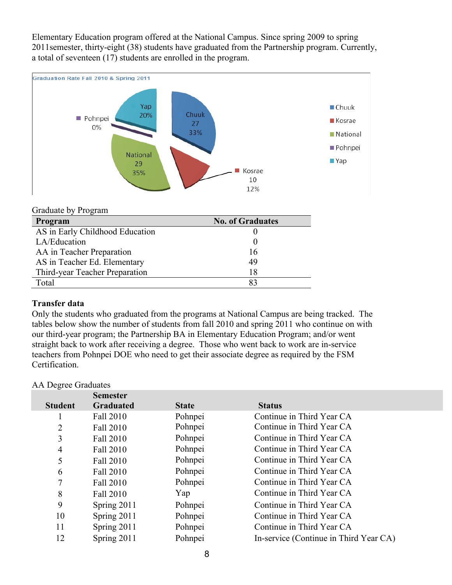Elementary Education program offered at the National Campus. Since spring 2009 to spring 2011semester, thirty-eight (38) students have graduated from the Partnership program. Currently, a total of seventeen (17) students are enrolled in the program.



#### Graduate by Program

| Program                         | <b>No. of Graduates</b> |
|---------------------------------|-------------------------|
| AS in Early Childhood Education |                         |
| LA/Education                    |                         |
| AA in Teacher Preparation       | 16                      |
| AS in Teacher Ed. Elementary    | 49                      |
| Third-year Teacher Preparation  | 18                      |
| Total                           | 83                      |

#### **Transfer data**

Only the students who graduated from the programs at National Campus are being tracked. The tables below show the number of students from fall 2010 and spring 2011 who continue on with our third-year program; the Partnership BA in Elementary Education Program; and/or went straight back to work after receiving a degree. Those who went back to work are in-service teachers from Pohnpei DOE who need to get their associate degree as required by the FSM Certification.

#### AA Degree Graduates

|                | <b>Semester</b>  |              |                                        |
|----------------|------------------|--------------|----------------------------------------|
| <b>Student</b> | <b>Graduated</b> | <b>State</b> | <b>Status</b>                          |
|                | Fall 2010        | Pohnpei      | Continue in Third Year CA              |
| 2              | Fall 2010        | Pohnpei      | Continue in Third Year CA              |
| 3              | Fall 2010        | Pohnpei      | Continue in Third Year CA              |
| $\overline{4}$ | Fall 2010        | Pohnpei      | Continue in Third Year CA              |
| 5              | Fall 2010        | Pohnpei      | Continue in Third Year CA              |
| 6              | Fall 2010        | Pohnpei      | Continue in Third Year CA              |
| 7              | Fall 2010        | Pohnpei      | Continue in Third Year CA              |
| 8              | Fall 2010        | Yap          | Continue in Third Year CA              |
| 9              | Spring 2011      | Pohnpei      | Continue in Third Year CA              |
| 10             | Spring 2011      | Pohnpei      | Continue in Third Year CA              |
| 11             | Spring 2011      | Pohnpei      | Continue in Third Year CA              |
| 12             | Spring 2011      | Pohnpei      | In-service (Continue in Third Year CA) |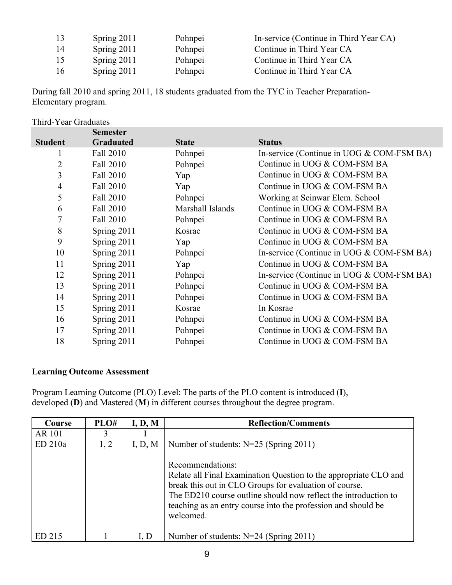| 13            | Spring $2011$ | Pohnpei | In-service (Continue in Third Year CA) |
|---------------|---------------|---------|----------------------------------------|
| 14            | Spring $2011$ | Pohnpei | Continue in Third Year CA              |
| 15            | Spring 2011   | Pohnpei | Continue in Third Year CA              |
| <sup>16</sup> | Spring 2011   | Pohnpei | Continue in Third Year CA              |

During fall 2010 and spring 2011, 18 students graduated from the TYC in Teacher Preparation-Elementary program.

| Third-Year Graduates |                  |                  |                                             |  |
|----------------------|------------------|------------------|---------------------------------------------|--|
|                      | <b>Semester</b>  |                  |                                             |  |
| <b>Student</b>       | <b>Graduated</b> | <b>State</b>     | <b>Status</b>                               |  |
|                      | Fall 2010        | Pohnpei          | In-service (Continue in UOG $&$ COM-FSM BA) |  |
| 2                    | Fall 2010        | Pohnpei          | Continue in UOG & COM-FSM BA                |  |
| 3                    | Fall 2010        | Yap              | Continue in UOG & COM-FSM BA                |  |
| $\overline{4}$       | Fall 2010        | Yap              | Continue in UOG & COM-FSM BA                |  |
| 5                    | Fall 2010        | Pohnpei          | Working at Seinwar Elem. School             |  |
| 6                    | Fall 2010        | Marshall Islands | Continue in UOG & COM-FSM BA                |  |
| 7                    | Fall 2010        | Pohnpei          | Continue in UOG & COM-FSM BA                |  |
| 8                    | Spring 2011      | Kosrae           | Continue in UOG & COM-FSM BA                |  |
| 9                    | Spring 2011      | Yap              | Continue in UOG & COM-FSM BA                |  |
| 10                   | Spring 2011      | Pohnpei          | In-service (Continue in UOG & COM-FSM BA)   |  |
| 11                   | Spring 2011      | Yap              | Continue in UOG & COM-FSM BA                |  |
| 12                   | Spring 2011      | Pohnpei          | In-service (Continue in UOG & COM-FSM BA)   |  |
| 13                   | Spring 2011      | Pohnpei          | Continue in UOG & COM-FSM BA                |  |
| 14                   | Spring 2011      | Pohnpei          | Continue in UOG & COM-FSM BA                |  |
| 15                   | Spring 2011      | Kosrae           | In Kosrae                                   |  |
| 16                   | Spring 2011      | Pohnpei          | Continue in UOG & COM-FSM BA                |  |
| 17                   | Spring 2011      | Pohnpei          | Continue in UOG & COM-FSM BA                |  |
| 18                   | Spring 2011      | Pohnpei          | Continue in UOG & COM-FSM BA                |  |

# **Learning Outcome Assessment**

Program Learning Outcome (PLO) Level: The parts of the PLO content is introduced (**I**), developed (**D**) and Mastered (**M**) in different courses throughout the degree program.

| Course        | PLO# | I, D, M | <b>Reflection/Comments</b>                                                                                                                                                                                                                                                                                                                  |
|---------------|------|---------|---------------------------------------------------------------------------------------------------------------------------------------------------------------------------------------------------------------------------------------------------------------------------------------------------------------------------------------------|
| <b>AR 101</b> | 3    |         |                                                                                                                                                                                                                                                                                                                                             |
| ED 210a       | 1, 2 | I, D, M | Number of students: $N=25$ (Spring 2011)<br>Recommendations:<br>Relate all Final Examination Question to the appropriate CLO and<br>break this out in CLO Groups for evaluation of course.<br>The ED210 course outline should now reflect the introduction to<br>teaching as an entry course into the profession and should be<br>welcomed. |
| ED 215        |      | I, D    | Number of students: $N=24$ (Spring 2011)                                                                                                                                                                                                                                                                                                    |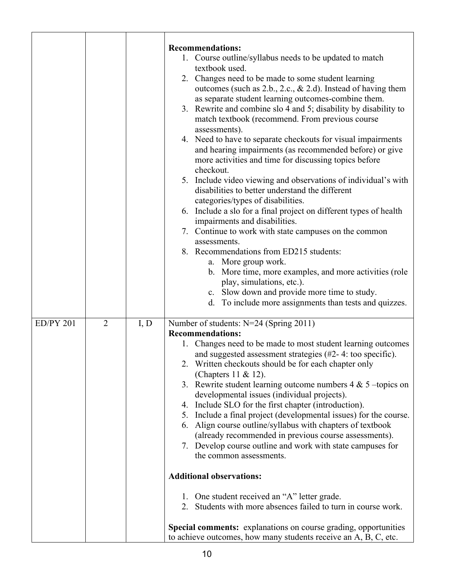|                  |                |      | <b>Recommendations:</b><br>1. Course outline/syllabus needs to be updated to match<br>textbook used.<br>2. Changes need to be made to some student learning<br>outcomes (such as $2.b., 2.c., & 2.d$ ). Instead of having them<br>as separate student learning outcomes-combine them.<br>Rewrite and combine slo 4 and 5; disability by disability to<br>3.<br>match textbook (recommend. From previous course<br>assessments).<br>4. Need to have to separate checkouts for visual impairments<br>and hearing impairments (as recommended before) or give<br>more activities and time for discussing topics before<br>checkout.<br>5. Include video viewing and observations of individual's with<br>disabilities to better understand the different<br>categories/types of disabilities.                                                                                                                                                                                                                                            |
|------------------|----------------|------|---------------------------------------------------------------------------------------------------------------------------------------------------------------------------------------------------------------------------------------------------------------------------------------------------------------------------------------------------------------------------------------------------------------------------------------------------------------------------------------------------------------------------------------------------------------------------------------------------------------------------------------------------------------------------------------------------------------------------------------------------------------------------------------------------------------------------------------------------------------------------------------------------------------------------------------------------------------------------------------------------------------------------------------|
|                  |                |      | 6. Include a slo for a final project on different types of health<br>impairments and disabilities.<br>7. Continue to work with state campuses on the common<br>assessments.<br>8. Recommendations from ED215 students:<br>a. More group work.<br>b. More time, more examples, and more activities (role<br>play, simulations, etc.).<br>c. Slow down and provide more time to study.<br>d. To include more assignments than tests and quizzes.                                                                                                                                                                                                                                                                                                                                                                                                                                                                                                                                                                                        |
| <b>ED/PY 201</b> | $\overline{2}$ | I, D | Number of students: N=24 (Spring 2011)<br><b>Recommendations:</b><br>1. Changes need to be made to most student learning outcomes<br>and suggested assessment strategies (#2-4: too specific).<br>Written checkouts should be for each chapter only<br>(Chapters 11 & 12).<br>3. Rewrite student learning outcome numbers $4 & 5$ -topics on<br>developmental issues (individual projects).<br>4. Include SLO for the first chapter (introduction).<br>5. Include a final project (developmental issues) for the course.<br>Align course outline/syllabus with chapters of textbook<br>6.<br>(already recommended in previous course assessments).<br>7. Develop course outline and work with state campuses for<br>the common assessments.<br><b>Additional observations:</b><br>1. One student received an "A" letter grade.<br>2. Students with more absences failed to turn in course work.<br>Special comments: explanations on course grading, opportunities<br>to achieve outcomes, how many students receive an A, B, C, etc. |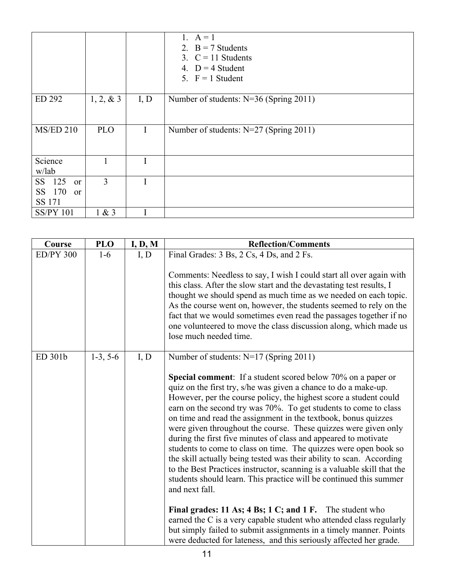|                            |                |      | 1. $A = 1$<br>2. $B = 7$ Students<br>3. $C = 11$ Students<br>4. $D = 4$ Student<br>5. $F = 1$ Student |
|----------------------------|----------------|------|-------------------------------------------------------------------------------------------------------|
| ED 292                     | 1, 2, 8, 3     | I, D | Number of students: N=36 (Spring 2011)                                                                |
|                            |                |      |                                                                                                       |
| <b>MS/ED 210</b>           | <b>PLO</b>     | I    | Number of students: N=27 (Spring 2011)                                                                |
|                            |                |      |                                                                                                       |
| Science                    | 1              | I    |                                                                                                       |
| w/lab                      |                |      |                                                                                                       |
| 125<br>SS<br><sub>or</sub> | $\overline{3}$ | I    |                                                                                                       |
| SS 170<br><sub>or</sub>    |                |      |                                                                                                       |
| SS 171                     |                |      |                                                                                                       |
| <b>SS/PY 101</b>           | 1 & 3          | I    |                                                                                                       |

| Course           | <b>PLO</b> | I, D, M | <b>Reflection/Comments</b>                                                                                                                                                                                                                                                                                                                                                                                                                                                                                                                                                                                                                                                                                                                                                                              |
|------------------|------------|---------|---------------------------------------------------------------------------------------------------------------------------------------------------------------------------------------------------------------------------------------------------------------------------------------------------------------------------------------------------------------------------------------------------------------------------------------------------------------------------------------------------------------------------------------------------------------------------------------------------------------------------------------------------------------------------------------------------------------------------------------------------------------------------------------------------------|
| <b>ED/PY 300</b> | $1-6$      | I, D    | Final Grades: 3 Bs, 2 Cs, 4 Ds, and 2 Fs.                                                                                                                                                                                                                                                                                                                                                                                                                                                                                                                                                                                                                                                                                                                                                               |
|                  |            |         | Comments: Needless to say, I wish I could start all over again with<br>this class. After the slow start and the devastating test results, I<br>thought we should spend as much time as we needed on each topic.<br>As the course went on, however, the students seemed to rely on the<br>fact that we would sometimes even read the passages together if no<br>one volunteered to move the class discussion along, which made us<br>lose much needed time.                                                                                                                                                                                                                                                                                                                                              |
| ED 301b          | $1-3, 5-6$ | I, D    | Number of students: N=17 (Spring 2011)                                                                                                                                                                                                                                                                                                                                                                                                                                                                                                                                                                                                                                                                                                                                                                  |
|                  |            |         | <b>Special comment</b> : If a student scored below 70% on a paper or<br>quiz on the first try, s/he was given a chance to do a make-up.<br>However, per the course policy, the highest score a student could<br>earn on the second try was 70%. To get students to come to class<br>on time and read the assignment in the textbook, bonus quizzes<br>were given throughout the course. These quizzes were given only<br>during the first five minutes of class and appeared to motivate<br>students to come to class on time. The quizzes were open book so<br>the skill actually being tested was their ability to scan. According<br>to the Best Practices instructor, scanning is a valuable skill that the<br>students should learn. This practice will be continued this summer<br>and next fall. |
|                  |            |         | Final grades: 11 As; 4 Bs; 1 C; and 1 F. The student who<br>earned the C is a very capable student who attended class regularly<br>but simply failed to submit assignments in a timely manner. Points<br>were deducted for lateness, and this seriously affected her grade.                                                                                                                                                                                                                                                                                                                                                                                                                                                                                                                             |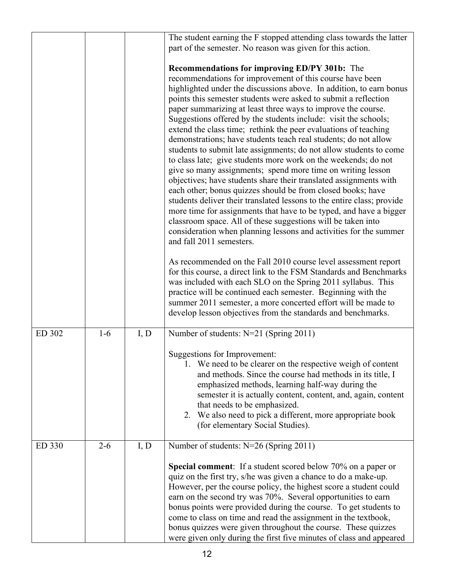|        |         |      | The student earning the F stopped attending class towards the latter   |
|--------|---------|------|------------------------------------------------------------------------|
|        |         |      | part of the semester. No reason was given for this action.             |
|        |         |      |                                                                        |
|        |         |      | <b>Recommendations for improving ED/PY 301b:</b> The                   |
|        |         |      | recommendations for improvement of this course have been               |
|        |         |      | highlighted under the discussions above. In addition, to earn bonus    |
|        |         |      | points this semester students were asked to submit a reflection        |
|        |         |      | paper summarizing at least three ways to improve the course.           |
|        |         |      | Suggestions offered by the students include: visit the schools;        |
|        |         |      | extend the class time; rethink the peer evaluations of teaching        |
|        |         |      | demonstrations; have students teach real students; do not allow        |
|        |         |      | students to submit late assignments; do not allow students to come     |
|        |         |      | to class late; give students more work on the weekends; do not         |
|        |         |      | give so many assignments; spend more time on writing lesson            |
|        |         |      | objectives; have students share their translated assignments with      |
|        |         |      | each other; bonus quizzes should be from closed books; have            |
|        |         |      | students deliver their translated lessons to the entire class; provide |
|        |         |      | more time for assignments that have to be typed, and have a bigger     |
|        |         |      | classroom space. All of these suggestions will be taken into           |
|        |         |      | consideration when planning lessons and activities for the summer      |
|        |         |      | and fall 2011 semesters.                                               |
|        |         |      | As recommended on the Fall 2010 course level assessment report         |
|        |         |      | for this course, a direct link to the FSM Standards and Benchmarks     |
|        |         |      | was included with each SLO on the Spring 2011 syllabus. This           |
|        |         |      | practice will be continued each semester. Beginning with the           |
|        |         |      | summer 2011 semester, a more concerted effort will be made to          |
|        |         |      | develop lesson objectives from the standards and benchmarks.           |
| ED 302 | $1-6$   | I, D | Number of students: N=21 (Spring 2011)                                 |
|        |         |      |                                                                        |
|        |         |      | Suggestions for Improvement:                                           |
|        |         |      | 1. We need to be clearer on the respective weigh of content            |
|        |         |      | and methods. Since the course had methods in its title, I              |
|        |         |      | emphasized methods, learning half-way during the                       |
|        |         |      | semester it is actually content, content, and, again, content          |
|        |         |      | that needs to be emphasized.                                           |
|        |         |      | 2. We also need to pick a different, more appropriate book             |
|        |         |      | (for elementary Social Studies).                                       |
| ED 330 | $2 - 6$ | I, D | Number of students: N=26 (Spring 2011)                                 |
|        |         |      | <b>Special comment</b> : If a student scored below 70% on a paper or   |
|        |         |      | quiz on the first try, s/he was given a chance to do a make-up.        |
|        |         |      | However, per the course policy, the highest score a student could      |
|        |         |      | earn on the second try was 70%. Several opportunities to earn          |
|        |         |      | bonus points were provided during the course. To get students to       |
|        |         |      | come to class on time and read the assignment in the textbook,         |
|        |         |      | bonus quizzes were given throughout the course. These quizzes          |
|        |         |      | were given only during the first five minutes of class and appeared    |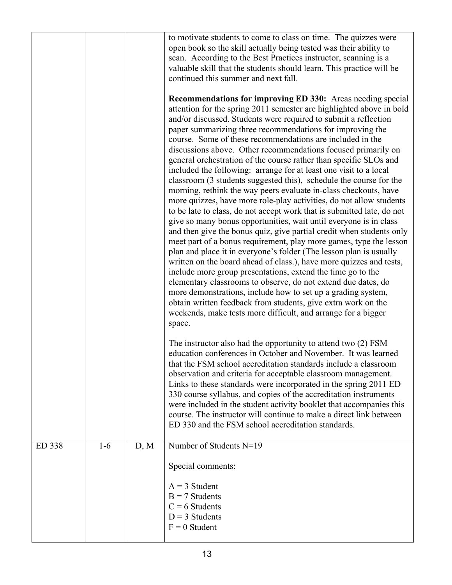|        |       |      | to motivate students to come to class on time. The quizzes were<br>open book so the skill actually being tested was their ability to<br>scan. According to the Best Practices instructor, scanning is a<br>valuable skill that the students should learn. This practice will be<br>continued this summer and next fall.<br><b>Recommendations for improving ED 330:</b> Areas needing special<br>attention for the spring 2011 semester are highlighted above in bold<br>and/or discussed. Students were required to submit a reflection<br>paper summarizing three recommendations for improving the<br>course. Some of these recommendations are included in the<br>discussions above. Other recommendations focused primarily on<br>general orchestration of the course rather than specific SLOs and<br>included the following: arrange for at least one visit to a local<br>classroom (3 students suggested this), schedule the course for the<br>morning, rethink the way peers evaluate in-class checkouts, have<br>more quizzes, have more role-play activities, do not allow students<br>to be late to class, do not accept work that is submitted late, do not<br>give so many bonus opportunities, wait until everyone is in class<br>and then give the bonus quiz, give partial credit when students only<br>meet part of a bonus requirement, play more games, type the lesson<br>plan and place it in everyone's folder (The lesson plan is usually<br>written on the board ahead of class.), have more quizzes and tests,<br>include more group presentations, extend the time go to the<br>elementary classrooms to observe, do not extend due dates, do<br>more demonstrations, include how to set up a grading system,<br>obtain written feedback from students, give extra work on the<br>weekends, make tests more difficult, and arrange for a bigger<br>space.<br>The instructor also had the opportunity to attend two (2) FSM<br>education conferences in October and November. It was learned<br>that the FSM school accreditation standards include a classroom<br>observation and criteria for acceptable classroom management.<br>Links to these standards were incorporated in the spring 2011 ED<br>330 course syllabus, and copies of the accreditation instruments<br>were included in the student activity booklet that accompanies this<br>course. The instructor will continue to make a direct link between<br>ED 330 and the FSM school accreditation standards. |
|--------|-------|------|-------------------------------------------------------------------------------------------------------------------------------------------------------------------------------------------------------------------------------------------------------------------------------------------------------------------------------------------------------------------------------------------------------------------------------------------------------------------------------------------------------------------------------------------------------------------------------------------------------------------------------------------------------------------------------------------------------------------------------------------------------------------------------------------------------------------------------------------------------------------------------------------------------------------------------------------------------------------------------------------------------------------------------------------------------------------------------------------------------------------------------------------------------------------------------------------------------------------------------------------------------------------------------------------------------------------------------------------------------------------------------------------------------------------------------------------------------------------------------------------------------------------------------------------------------------------------------------------------------------------------------------------------------------------------------------------------------------------------------------------------------------------------------------------------------------------------------------------------------------------------------------------------------------------------------------------------------------------------------------------------------------------------------------------------------------------------------------------------------------------------------------------------------------------------------------------------------------------------------------------------------------------------------------------------------------------------------------------------------------------------------------------------------------------------------------------------------------------------------------------------------|
| ED 338 | $1-6$ | D, M | Number of Students N=19<br>Special comments:                                                                                                                                                                                                                                                                                                                                                                                                                                                                                                                                                                                                                                                                                                                                                                                                                                                                                                                                                                                                                                                                                                                                                                                                                                                                                                                                                                                                                                                                                                                                                                                                                                                                                                                                                                                                                                                                                                                                                                                                                                                                                                                                                                                                                                                                                                                                                                                                                                                          |
|        |       |      | $A = 3$ Student<br>$B = 7$ Students<br>$C = 6$ Students<br>$D = 3$ Students<br>$F = 0$ Student                                                                                                                                                                                                                                                                                                                                                                                                                                                                                                                                                                                                                                                                                                                                                                                                                                                                                                                                                                                                                                                                                                                                                                                                                                                                                                                                                                                                                                                                                                                                                                                                                                                                                                                                                                                                                                                                                                                                                                                                                                                                                                                                                                                                                                                                                                                                                                                                        |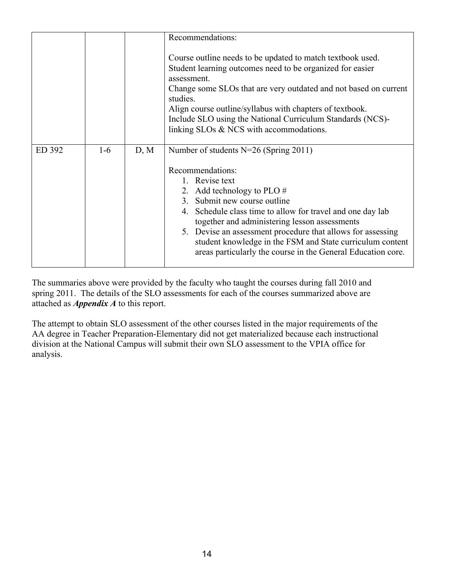|        |       |      | Recommendations:<br>Course outline needs to be updated to match textbook used.                                                                                                                                                                                                                                                                                                                                                                           |
|--------|-------|------|----------------------------------------------------------------------------------------------------------------------------------------------------------------------------------------------------------------------------------------------------------------------------------------------------------------------------------------------------------------------------------------------------------------------------------------------------------|
|        |       |      | Student learning outcomes need to be organized for easier<br>assessment.<br>Change some SLOs that are very outdated and not based on current<br>studies.<br>Align course outline/syllabus with chapters of textbook.<br>Include SLO using the National Curriculum Standards (NCS)-<br>linking SLOs & NCS with accommodations.                                                                                                                            |
| ED 392 | $1-6$ | D, M | Number of students $N=26$ (Spring 2011)<br>Recommendations:<br>1. Revise text<br>2. Add technology to PLO $#$<br>3. Submit new course outline<br>4. Schedule class time to allow for travel and one day lab<br>together and administering lesson assessments<br>5. Devise an assessment procedure that allows for assessing<br>student knowledge in the FSM and State curriculum content<br>areas particularly the course in the General Education core. |

The summaries above were provided by the faculty who taught the courses during fall 2010 and spring 2011. The details of the SLO assessments for each of the courses summarized above are attached as *Appendix A* to this report.

The attempt to obtain SLO assessment of the other courses listed in the major requirements of the AA degree in Teacher Preparation-Elementary did not get materialized because each instructional division at the National Campus will submit their own SLO assessment to the VPIA office for analysis.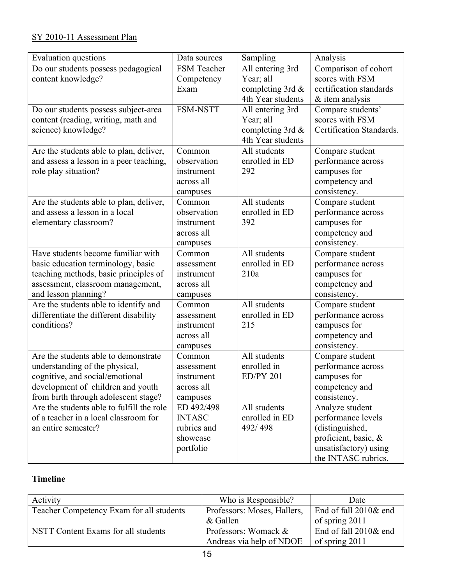# SY 2010-11 Assessment Plan

| Evaluation questions                      | Data sources  | Sampling           | Analysis                 |
|-------------------------------------------|---------------|--------------------|--------------------------|
| Do our students possess pedagogical       | FSM Teacher   | All entering 3rd   | Comparison of cohort     |
| content knowledge?                        | Competency    | Year; all          | scores with FSM          |
|                                           | Exam          | completing 3rd $&$ | certification standards  |
|                                           |               | 4th Year students  | & item analysis          |
| Do our students possess subject-area      | FSM-NSTT      | All entering 3rd   | Compare students'        |
| content (reading, writing, math and       |               | Year; all          | scores with FSM          |
| science) knowledge?                       |               | completing 3rd &   | Certification Standards. |
|                                           |               | 4th Year students  |                          |
| Are the students able to plan, deliver,   | Common        | All students       | Compare student          |
| and assess a lesson in a peer teaching,   | observation   | enrolled in ED     | performance across       |
| role play situation?                      | instrument    | 292                | campuses for             |
|                                           | across all    |                    | competency and           |
|                                           | campuses      |                    | consistency.             |
| Are the students able to plan, deliver,   | Common        | All students       | Compare student          |
| and assess a lesson in a local            | observation   | enrolled in ED     | performance across       |
| elementary classroom?                     | instrument    | 392                | campuses for             |
|                                           | across all    |                    | competency and           |
|                                           | campuses      |                    | consistency.             |
| Have students become familiar with        | Common        | All students       | Compare student          |
| basic education terminology, basic        | assessment    | enrolled in ED     | performance across       |
| teaching methods, basic principles of     | instrument    | 210a               | campuses for             |
| assessment, classroom management,         | across all    |                    | competency and           |
| and lesson planning?                      | campuses      |                    | consistency.             |
| Are the students able to identify and     | Common        | All students       | Compare student          |
| differentiate the different disability    | assessment    | enrolled in ED     | performance across       |
| conditions?                               | instrument    | 215                | campuses for             |
|                                           | across all    |                    | competency and           |
|                                           | campuses      |                    | consistency.             |
| Are the students able to demonstrate      | Common        | All students       | Compare student          |
| understanding of the physical,            | assessment    | enrolled in        | performance across       |
| cognitive, and social/emotional           | instrument    | <b>ED/PY 201</b>   | campuses for             |
| development of children and youth         | across all    |                    | competency and           |
| from birth through adolescent stage?      | campuses      |                    | consistency.             |
| Are the students able to fulfill the role | ED 492/498    | All students       | Analyze student          |
| of a teacher in a local classroom for     | <b>INTASC</b> | enrolled in ED     | performance levels       |
| an entire semester?                       | rubrics and   | 492/498            | (distinguished,          |
|                                           | showcase      |                    | proficient, basic, &     |
|                                           | portfolio     |                    | unsatisfactory) using    |
|                                           |               |                    | the INTASC rubrics.      |

# **Timeline**

| Activity                                 | Who is Responsible?         | Date                  |
|------------------------------------------|-----------------------------|-----------------------|
| Teacher Competency Exam for all students | Professors: Moses, Hallers, | End of fall 2010& end |
|                                          | & Gallen                    | of spring 2011        |
| NSTT Content Exams for all students      | Professors: Womack &        | End of fall 2010& end |
|                                          | Andreas via help of NDOE    | of spring 2011        |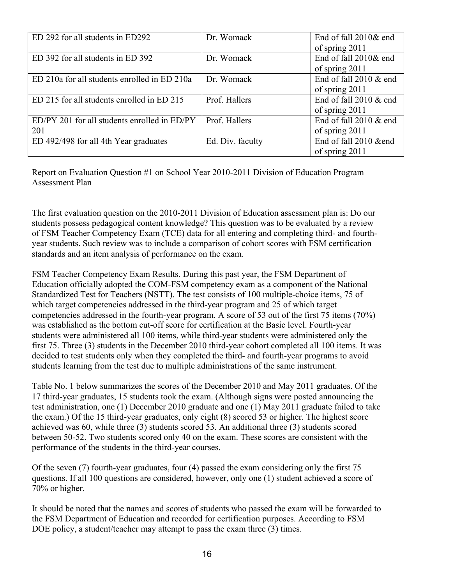| ED 292 for all students in ED292             | Dr. Womack       | End of fall 2010& end     |
|----------------------------------------------|------------------|---------------------------|
|                                              |                  | of spring 2011            |
| ED 392 for all students in ED 392            | Dr. Womack       | End of fall 2010& end     |
|                                              |                  | of spring 2011            |
| ED 210a for all students enrolled in ED 210a | Dr. Womack       | End of fall 2010 & end    |
|                                              |                  | of spring 2011            |
| ED 215 for all students enrolled in ED 215   | Prof. Hallers    | End of fall $2010 \&$ end |
|                                              |                  | of spring 2011            |
| ED/PY 201 for all students enrolled in ED/PY | Prof. Hallers    | End of fall 2010 & end    |
| 201                                          |                  | of spring 2011            |
| ED 492/498 for all 4th Year graduates        | Ed. Div. faculty | End of fall 2010 &end     |
|                                              |                  | of spring 2011            |

Report on Evaluation Question #1 on School Year 2010-2011 Division of Education Program Assessment Plan

The first evaluation question on the 2010-2011 Division of Education assessment plan is: Do our students possess pedagogical content knowledge? This question was to be evaluated by a review of FSM Teacher Competency Exam (TCE) data for all entering and completing third- and fourthyear students. Such review was to include a comparison of cohort scores with FSM certification standards and an item analysis of performance on the exam.

FSM Teacher Competency Exam Results. During this past year, the FSM Department of Education officially adopted the COM-FSM competency exam as a component of the National Standardized Test for Teachers (NSTT). The test consists of 100 multiple-choice items, 75 of which target competencies addressed in the third-year program and 25 of which target competencies addressed in the fourth-year program. A score of 53 out of the first 75 items (70%) was established as the bottom cut-off score for certification at the Basic level. Fourth-year students were administered all 100 items, while third-year students were administered only the first 75. Three (3) students in the December 2010 third-year cohort completed all 100 items. It was decided to test students only when they completed the third- and fourth-year programs to avoid students learning from the test due to multiple administrations of the same instrument.

Table No. 1 below summarizes the scores of the December 2010 and May 2011 graduates. Of the 17 third-year graduates, 15 students took the exam. (Although signs were posted announcing the test administration, one (1) December 2010 graduate and one (1) May 2011 graduate failed to take the exam.) Of the 15 third-year graduates, only eight (8) scored 53 or higher. The highest score achieved was 60, while three (3) students scored 53. An additional three (3) students scored between 50-52. Two students scored only 40 on the exam. These scores are consistent with the performance of the students in the third-year courses.

Of the seven (7) fourth-year graduates, four (4) passed the exam considering only the first 75 questions. If all 100 questions are considered, however, only one (1) student achieved a score of 70% or higher.

It should be noted that the names and scores of students who passed the exam will be forwarded to the FSM Department of Education and recorded for certification purposes. According to FSM DOE policy, a student/teacher may attempt to pass the exam three (3) times.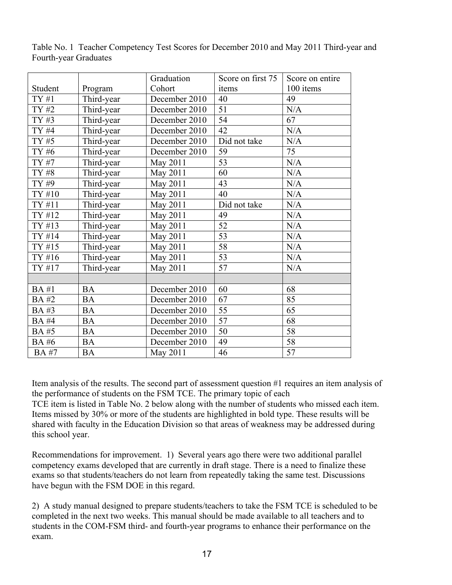|             |            | Graduation    | Score on first 75 | Score on entire |
|-------------|------------|---------------|-------------------|-----------------|
| Student     | Program    | Cohort        | items             | 100 items       |
| TY#1        | Third-year | December 2010 | 40                | 49              |
| TY #2       | Third-year | December 2010 | 51                | N/A             |
| TY #3       | Third-year | December 2010 | 54                | 67              |
| TY #4       | Third-year | December 2010 | 42                | N/A             |
| TY #5       | Third-year | December 2010 | Did not take      | N/A             |
| TY #6       | Third-year | December 2010 | 59                | 75              |
| TY #7       | Third-year | May 2011      | 53                | N/A             |
| TY #8       | Third-year | May 2011      | 60                | N/A             |
| TY #9       | Third-year | May 2011      | 43                | N/A             |
| TY #10      | Third-year | May 2011      | 40                | N/A             |
| TY #11      | Third-year | May 2011      | Did not take      | N/A             |
| TY #12      | Third-year | May 2011      | 49                | N/A             |
| TY #13      | Third-year | May 2011      | 52                | N/A             |
| TY #14      | Third-year | May 2011      | 53                | N/A             |
| TY #15      | Third-year | May 2011      | 58                | N/A             |
| TY #16      | Third-year | May 2011      | 53                | N/A             |
| TY #17      | Third-year | May 2011      | 57                | N/A             |
|             |            |               |                   |                 |
| <b>BA#1</b> | <b>BA</b>  | December 2010 | 60                | 68              |
| <b>BA#2</b> | <b>BA</b>  | December 2010 | 67                | 85              |
| BA#3        | <b>BA</b>  | December 2010 | 55                | 65              |
| <b>BA#4</b> | <b>BA</b>  | December 2010 | 57                | 68              |
| <b>BA#5</b> | <b>BA</b>  | December 2010 | 50                | 58              |
| <b>BA#6</b> | <b>BA</b>  | December 2010 | 49                | 58              |
| <b>BA#7</b> | <b>BA</b>  | May 2011      | 46                | $\overline{57}$ |

Table No. 1 Teacher Competency Test Scores for December 2010 and May 2011 Third-year and Fourth-year Graduates

Item analysis of the results. The second part of assessment question #1 requires an item analysis of the performance of students on the FSM TCE. The primary topic of each

TCE item is listed in Table No. 2 below along with the number of students who missed each item. Items missed by 30% or more of the students are highlighted in bold type. These results will be shared with faculty in the Education Division so that areas of weakness may be addressed during this school year.

Recommendations for improvement. 1) Several years ago there were two additional parallel competency exams developed that are currently in draft stage. There is a need to finalize these exams so that students/teachers do not learn from repeatedly taking the same test. Discussions have begun with the FSM DOE in this regard.

2) A study manual designed to prepare students/teachers to take the FSM TCE is scheduled to be completed in the next two weeks. This manual should be made available to all teachers and to students in the COM-FSM third- and fourth-year programs to enhance their performance on the exam.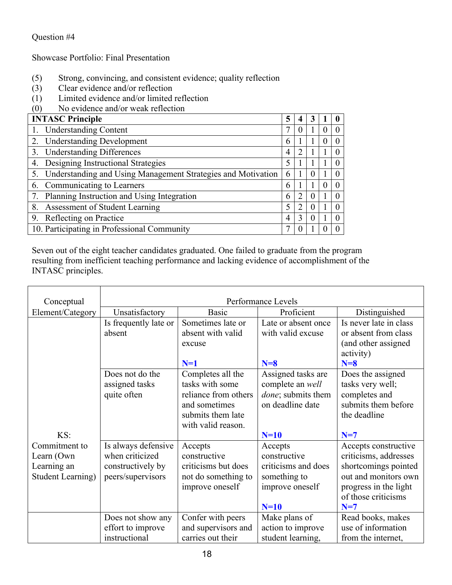# Question #4

Showcase Portfolio: Final Presentation

- (5) Strong, convincing, and consistent evidence; quality reflection
- (3) Clear evidence and/or reflection
- (1) Limited evidence and/or limited reflection
- (0) No evidence and/or weak reflection

| <b>INTASC Principle</b>                                         | 5 | 4 |   |  |
|-----------------------------------------------------------------|---|---|---|--|
| 1. Understanding Content                                        |   |   | O |  |
| 2. Understanding Development                                    | 6 |   |   |  |
| <b>Understanding Differences</b><br>3.                          |   |   |   |  |
| Designing Instructional Strategies<br>4.                        |   |   |   |  |
| 5. Understanding and Using Management Strategies and Motivation | 6 |   |   |  |
| 6. Communicating to Learners                                    | 6 |   | U |  |
| 7. Planning Instruction and Using Integration                   | 6 |   |   |  |
| Assessment of Student Learning<br>8.                            | 5 |   |   |  |
| Reflecting on Practice<br>9.                                    |   |   |   |  |
| 10. Participating in Professional Community                     |   |   |   |  |

Seven out of the eight teacher candidates graduated. One failed to graduate from the program resulting from inefficient teaching performance and lacking evidence of accomplishment of the INTASC principles.

| Conceptual               | Performance Levels                                 |                                                                                                     |                                                                              |                                                                                                                  |  |  |
|--------------------------|----------------------------------------------------|-----------------------------------------------------------------------------------------------------|------------------------------------------------------------------------------|------------------------------------------------------------------------------------------------------------------|--|--|
| Element/Category         | Unsatisfactory                                     | <b>Basic</b>                                                                                        | Proficient                                                                   | Distinguished                                                                                                    |  |  |
|                          | Is frequently late or<br>absent<br>Does not do the | Sometimes late or<br>absent with valid<br>excuse<br>$N=1$<br>Completes all the                      | Late or absent once<br>with valid excuse<br>$N=8$<br>Assigned tasks are      | Is never late in class<br>or absent from class<br>(and other assigned<br>activity)<br>$N=8$<br>Does the assigned |  |  |
| KS:                      | assigned tasks<br>quite often                      | tasks with some<br>reliance from others<br>and sometimes<br>submits them late<br>with valid reason. | complete an well<br><i>done</i> ; submits them<br>on deadline date<br>$N=10$ | tasks very well;<br>completes and<br>submits them before<br>the deadline<br>$N=7$                                |  |  |
| Commitment to            | Is always defensive                                | Accepts                                                                                             | Accepts                                                                      | Accepts constructive                                                                                             |  |  |
| Learn (Own)              | when criticized                                    | constructive                                                                                        | constructive                                                                 | criticisms, addresses                                                                                            |  |  |
| Learning an              | constructively by                                  | criticisms but does                                                                                 | criticisms and does                                                          | shortcomings pointed                                                                                             |  |  |
| <b>Student Learning)</b> | peers/supervisors                                  | not do something to<br>improve oneself                                                              | something to<br>improve oneself<br>$N=10$                                    | out and monitors own<br>progress in the light<br>of those criticisms<br>$N=7$                                    |  |  |
|                          | Does not show any                                  | Confer with peers                                                                                   | Make plans of                                                                | Read books, makes                                                                                                |  |  |
|                          | effort to improve                                  | and supervisors and                                                                                 | action to improve                                                            | use of information                                                                                               |  |  |
|                          | instructional                                      | carries out their                                                                                   | student learning,                                                            | from the internet,                                                                                               |  |  |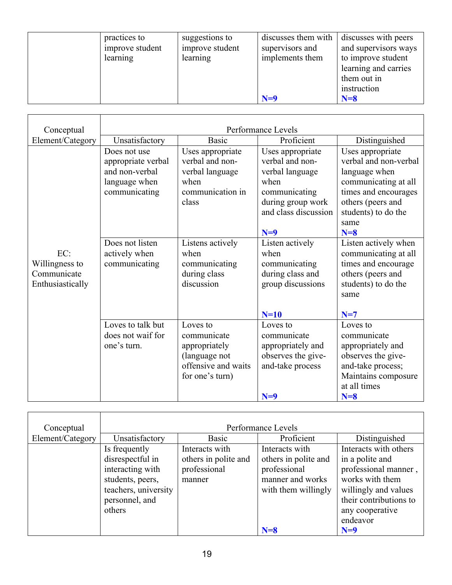| practices to<br>improve student<br>learning | suggestions to<br>improve student<br>learning | discusses them with<br>supervisors and<br>implements them | discusses with peers<br>and supervisors ways<br>to improve student<br>learning and carries<br>them out in |
|---------------------------------------------|-----------------------------------------------|-----------------------------------------------------------|-----------------------------------------------------------------------------------------------------------|
|                                             |                                               | $N=9$                                                     | instruction<br>$N=8$                                                                                      |

| Conceptual                                               | Performance Levels                                                                     |                                                                                                     |                                                                                                                                       |                                                                                                                                                                         |  |  |
|----------------------------------------------------------|----------------------------------------------------------------------------------------|-----------------------------------------------------------------------------------------------------|---------------------------------------------------------------------------------------------------------------------------------------|-------------------------------------------------------------------------------------------------------------------------------------------------------------------------|--|--|
| Element/Category                                         | Unsatisfactory                                                                         | <b>Basic</b>                                                                                        | Proficient                                                                                                                            | Distinguished                                                                                                                                                           |  |  |
|                                                          | Does not use<br>appropriate verbal<br>and non-verbal<br>language when<br>communicating | Uses appropriate<br>verbal and non-<br>verbal language<br>when<br>communication in<br>class         | Uses appropriate<br>verbal and non-<br>verbal language<br>when<br>communicating<br>during group work<br>and class discussion<br>$N=9$ | Uses appropriate<br>verbal and non-verbal<br>language when<br>communicating at all<br>times and encourages<br>others (peers and<br>students) to do the<br>same<br>$N=8$ |  |  |
| EC:<br>Willingness to<br>Communicate<br>Enthusiastically | Does not listen<br>actively when<br>communicating                                      | Listens actively<br>when<br>communicating<br>during class<br>discussion                             | Listen actively<br>when<br>communicating<br>during class and<br>group discussions<br>$N=10$                                           | Listen actively when<br>communicating at all<br>times and encourage<br>others (peers and<br>students) to do the<br>same<br>$N=7$                                        |  |  |
|                                                          | Loves to talk but<br>does not waif for<br>one's turn.                                  | Loves to<br>communicate<br>appropriately<br>(language not<br>offensive and waits<br>for one's turn) | Loves to<br>communicate<br>appropriately and<br>observes the give-<br>and-take process<br>$N=9$                                       | Loves to<br>communicate<br>appropriately and<br>observes the give-<br>and-take process;<br>Maintains composure<br>at all times<br>$N=8$                                 |  |  |

| Conceptual       | Performance Levels   |                      |                      |                        |  |  |  |
|------------------|----------------------|----------------------|----------------------|------------------------|--|--|--|
| Element/Category | Unsatisfactory       | <b>Basic</b>         | Proficient           | Distinguished          |  |  |  |
|                  | Is frequently        | Interacts with       | Interacts with       | Interacts with others  |  |  |  |
|                  | disrespectful in     | others in polite and | others in polite and | in a polite and        |  |  |  |
|                  | interacting with     | professional         | professional         | professional manner,   |  |  |  |
|                  | students, peers,     | manner               | manner and works     | works with them        |  |  |  |
|                  | teachers, university |                      | with them willingly  | willingly and values   |  |  |  |
|                  | personnel, and       |                      |                      | their contributions to |  |  |  |
|                  | others               |                      |                      | any cooperative        |  |  |  |
|                  |                      |                      |                      | endeavor               |  |  |  |
|                  |                      |                      | $N=8$                | $N=9$                  |  |  |  |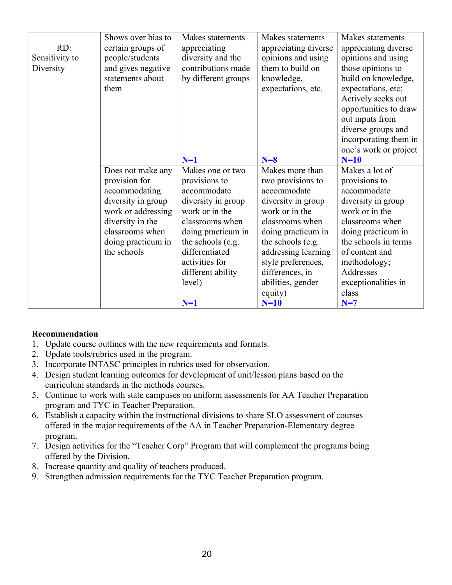| RD:<br>Sensitivity to<br>Diversity | Shows over bias to<br>certain groups of<br>people/students<br>and gives negative<br>statements about<br>them                                                                | Makes statements<br>appreciating<br>diversity and the<br>contributions made<br>by different groups                                                                                                                                 | Makes statements<br>appreciating diverse<br>opinions and using<br>them to build on<br>knowledge,<br>expectations, etc.                                                                                                                                              | Makes statements<br>appreciating diverse<br>opinions and using<br>those opinions to<br>build on knowledge,<br>expectations, etc;<br>Actively seeks out<br>opportunities to draw<br>out inputs from<br>diverse groups and<br>incorporating them in |
|------------------------------------|-----------------------------------------------------------------------------------------------------------------------------------------------------------------------------|------------------------------------------------------------------------------------------------------------------------------------------------------------------------------------------------------------------------------------|---------------------------------------------------------------------------------------------------------------------------------------------------------------------------------------------------------------------------------------------------------------------|---------------------------------------------------------------------------------------------------------------------------------------------------------------------------------------------------------------------------------------------------|
|                                    |                                                                                                                                                                             | $N=1$                                                                                                                                                                                                                              | $N=8$                                                                                                                                                                                                                                                               | one's work or project<br>$N=10$                                                                                                                                                                                                                   |
|                                    | Does not make any<br>provision for<br>accommodating<br>diversity in group<br>work or addressing<br>diversity in the<br>classrooms when<br>doing practicum in<br>the schools | Makes one or two<br>provisions to<br>accommodate<br>diversity in group<br>work or in the<br>classrooms when<br>doing practicum in<br>the schools (e.g.<br>differentiated<br>activities for<br>different ability<br>level)<br>$N=1$ | Makes more than<br>two provisions to<br>accommodate<br>diversity in group<br>work or in the<br>classrooms when<br>doing practicum in<br>the schools (e.g.<br>addressing learning<br>style preferences,<br>differences, in<br>abilities, gender<br>equity)<br>$N=10$ | Makes a lot of<br>provisions to<br>accommodate<br>diversity in group<br>work or in the<br>classrooms when<br>doing practicum in<br>the schools in terms<br>of content and<br>methodology;<br>Addresses<br>exceptionalities in<br>class<br>$N=7$   |

## **Recommendation**

- 1. Update course outlines with the new requirements and formats.
- 2. Update tools/rubrics used in the program.
- 3. Incorporate INTASC principles in rubrics used for observation.
- 4. Design student learning outcomes for development of unit/lesson plans based on the curriculum standards in the methods courses.
- 5. Continue to work with state campuses on uniform assessments for AA Teacher Preparation program and TYC in Teacher Preparation.
- 6. Establish a capacity within the instructional divisions to share SLO assessment of courses offered in the major requirements of the AA in Teacher Preparation-Elementary degree program.
- 7. Design activities for the "Teacher Corp" Program that will complement the programs being offered by the Division.
- 8. Increase quantity and quality of teachers produced.
- 9. Strengthen admission requirements for the TYC Teacher Preparation program.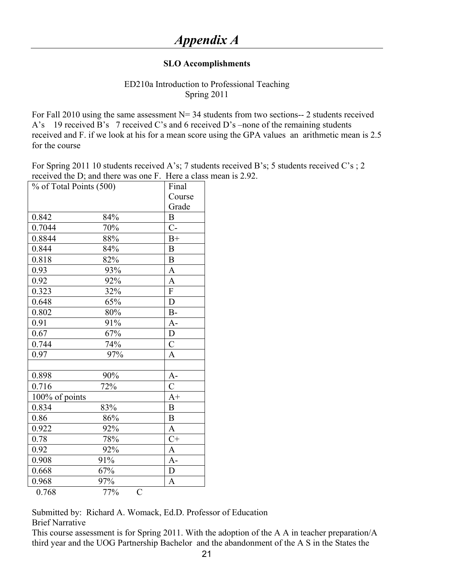## **SLO Accomplishments**

## ED210a Introduction to Professional Teaching Spring 2011

For Fall 2010 using the same assessment  $N=$  34 students from two sections-- 2 students received A's 19 received B's 7 received C's and 6 received D's –none of the remaining students received and F. if we look at his for a mean score using the GPA values an arithmetic mean is 2.5 for the course

For Spring 2011 10 students received A's; 7 students received B's; 5 students received C's ; 2 received the D; and there was one F. Here a class mean is 2.92.

| % of Total Points (500) |                       | Final                    |
|-------------------------|-----------------------|--------------------------|
|                         |                       | Course                   |
|                         |                       | Grade                    |
| 0.842                   | 84%                   | $\mathbf B$              |
| 0.7044                  | 70%                   | $C^{-}$                  |
| 0.8844                  | 88%                   | $B+$                     |
| 0.844                   | 84%                   | $\, {\bf B}$             |
| 0.818                   | 82%                   | $\overline{B}$           |
| 0.93                    | 93%                   | $\mathbf{A}$             |
| 0.92                    | 92%                   | $\mathbf A$              |
| 0.323                   | 32%                   | $\overline{\mathrm{F}}$  |
| 0.648                   | 65%                   | $\overline{D}$           |
| 0.802                   | 80%                   | $B-$                     |
| 0.91                    | 91%                   | $A -$                    |
| 0.67                    | 67%                   | ${\rm D}$                |
| 0.744                   | 74%                   | $\overline{\mathcal{C}}$ |
| 0.97                    | 97%                   | $\overline{A}$           |
|                         |                       |                          |
| 0.898                   | 90%                   | $A-$                     |
| 0.716                   | 72%                   | $\overline{\rm C}$       |
| 100% of points          |                       | $A+$                     |
| 0.834                   | 83%                   | $\overline{B}$           |
| 0.86                    | 86%                   | $\overline{B}$           |
| 0.922                   | 92%                   | $\mathbf A$              |
| 0.78                    | 78%                   | $C+$                     |
| 0.92                    | 92%                   | $\mathbf{A}$             |
| 0.908                   | 91%                   | $\overline{A}$ -         |
| 0.668                   | 67%                   | $\overline{D}$           |
| 0.968                   | 97%                   | $\overline{A}$           |
| 0.768                   | 77%<br>$\overline{C}$ |                          |

Submitted by: Richard A. Womack, Ed.D. Professor of Education Brief Narrative

This course assessment is for Spring 2011. With the adoption of the A A in teacher preparation/A third year and the UOG Partnership Bachelor and the abandonment of the A S in the States the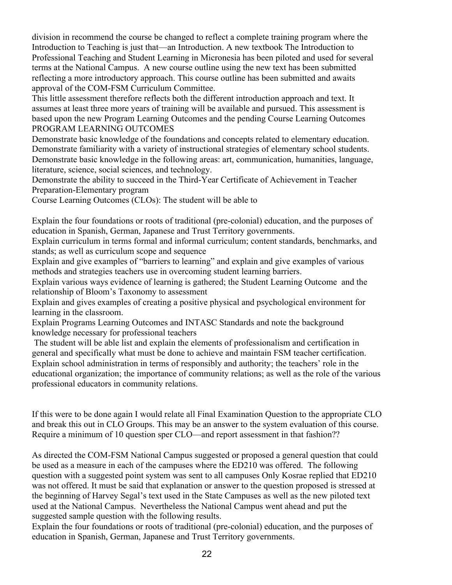division in recommend the course be changed to reflect a complete training program where the Introduction to Teaching is just that—an Introduction. A new textbook The Introduction to Professional Teaching and Student Learning in Micronesia has been piloted and used for several terms at the National Campus. A new course outline using the new text has been submitted reflecting a more introductory approach. This course outline has been submitted and awaits approval of the COM-FSM Curriculum Committee.

This little assessment therefore reflects both the different introduction approach and text. It assumes at least three more years of training will be available and pursued. This assessment is based upon the new Program Learning Outcomes and the pending Course Learning Outcomes PROGRAM LEARNING OUTCOMES

Demonstrate basic knowledge of the foundations and concepts related to elementary education. Demonstrate familiarity with a variety of instructional strategies of elementary school students. Demonstrate basic knowledge in the following areas: art, communication, humanities, language, literature, science, social sciences, and technology.

Demonstrate the ability to succeed in the Third-Year Certificate of Achievement in Teacher Preparation-Elementary program

Course Learning Outcomes (CLOs): The student will be able to

Explain the four foundations or roots of traditional (pre-colonial) education, and the purposes of education in Spanish, German, Japanese and Trust Territory governments.

Explain curriculum in terms formal and informal curriculum; content standards, benchmarks, and stands; as well as curriculum scope and sequence

Explain and give examples of "barriers to learning" and explain and give examples of various methods and strategies teachers use in overcoming student learning barriers.

Explain various ways evidence of learning is gathered; the Student Learning Outcome and the relationship of Bloom's Taxonomy to assessment

Explain and gives examples of creating a positive physical and psychological environment for learning in the classroom.

Explain Programs Learning Outcomes and INTASC Standards and note the background knowledge necessary for professional teachers

The student will be able list and explain the elements of professionalism and certification in general and specifically what must be done to achieve and maintain FSM teacher certification. Explain school administration in terms of responsibly and authority; the teachers' role in the educational organization; the importance of community relations; as well as the role of the various professional educators in community relations.

If this were to be done again I would relate all Final Examination Question to the appropriate CLO and break this out in CLO Groups. This may be an answer to the system evaluation of this course. Require a minimum of 10 question sper CLO—and report assessment in that fashion??

As directed the COM-FSM National Campus suggested or proposed a general question that could be used as a measure in each of the campuses where the ED210 was offered. The following question with a suggested point system was sent to all campuses Only Kosrae replied that ED210 was not offered. It must be said that explanation or answer to the question proposed is stressed at the beginning of Harvey Segal's text used in the State Campuses as well as the new piloted text used at the National Campus. Nevertheless the National Campus went ahead and put the suggested sample question with the following results.

Explain the four foundations or roots of traditional (pre-colonial) education, and the purposes of education in Spanish, German, Japanese and Trust Territory governments.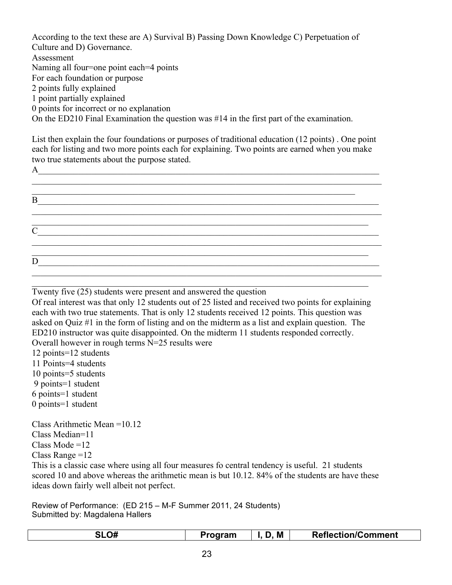According to the text these are A) Survival B) Passing Down Knowledge C) Perpetuation of Culture and D) Governance. Assessment Naming all four=one point each=4 points For each foundation or purpose 2 points fully explained 1 point partially explained 0 points for incorrect or no explanation On the ED210 Final Examination the question was #14 in the first part of the examination.

List then explain the four foundations or purposes of traditional education (12 points) . One point each for listing and two more points each for explaining. Two points are earned when you make two true statements about the purpose stated.

 $A$ 

 $\_$  , and the set of the set of the set of the set of the set of the set of the set of the set of the set of the set of the set of the set of the set of the set of the set of the set of the set of the set of the set of th  $\_$  , and the set of the set of the set of the set of the set of the set of the set of the set of the set of the set of the set of the set of the set of the set of the set of the set of the set of the set of the set of th B  $\mathcal{L}_\mathcal{L} = \{ \mathcal{L}_\mathcal{L} = \{ \mathcal{L}_\mathcal{L} = \{ \mathcal{L}_\mathcal{L} = \{ \mathcal{L}_\mathcal{L} = \{ \mathcal{L}_\mathcal{L} = \{ \mathcal{L}_\mathcal{L} = \{ \mathcal{L}_\mathcal{L} = \{ \mathcal{L}_\mathcal{L} = \{ \mathcal{L}_\mathcal{L} = \{ \mathcal{L}_\mathcal{L} = \{ \mathcal{L}_\mathcal{L} = \{ \mathcal{L}_\mathcal{L} = \{ \mathcal{L}_\mathcal{L} = \{ \mathcal{L}_\mathcal{$  $\overline{\phantom{a}}$  , and the set of the set of the set of the set of the set of the set of the set of the set of the set of the set of the set of the set of the set of the set of the set of the set of the set of the set of the s  $\overline{C_{\_$  $\mathcal{L}_\mathcal{L} = \{ \mathcal{L}_\mathcal{L} = \{ \mathcal{L}_\mathcal{L} = \{ \mathcal{L}_\mathcal{L} = \{ \mathcal{L}_\mathcal{L} = \{ \mathcal{L}_\mathcal{L} = \{ \mathcal{L}_\mathcal{L} = \{ \mathcal{L}_\mathcal{L} = \{ \mathcal{L}_\mathcal{L} = \{ \mathcal{L}_\mathcal{L} = \{ \mathcal{L}_\mathcal{L} = \{ \mathcal{L}_\mathcal{L} = \{ \mathcal{L}_\mathcal{L} = \{ \mathcal{L}_\mathcal{L} = \{ \mathcal{L}_\mathcal{$ \_\_\_\_\_\_\_\_\_\_\_\_\_\_\_\_\_\_\_\_\_\_\_\_\_\_\_\_\_\_\_\_\_\_\_\_\_\_\_\_\_\_\_\_\_\_\_\_\_\_\_\_\_\_\_\_\_\_\_\_\_\_\_\_\_\_\_\_\_\_\_\_\_\_\_\_  $\overline{D}$   $\overline{\phantom{a}}$   $\overline{\phantom{a}}$  $\mathcal{L}_\text{max}$ 

\_\_\_\_\_\_\_\_\_\_\_\_\_\_\_\_\_\_\_\_\_\_\_\_\_\_\_\_\_\_\_\_\_\_\_\_\_\_\_\_\_\_\_\_\_\_\_\_\_\_\_\_\_\_\_\_\_\_\_\_\_\_\_\_\_\_\_\_\_\_\_\_\_\_\_\_ Twenty five (25) students were present and answered the question

Of real interest was that only 12 students out of 25 listed and received two points for explaining each with two true statements. That is only 12 students received 12 points. This question was asked on Quiz #1 in the form of listing and on the midterm as a list and explain question. The ED210 instructor was quite disappointed. On the midterm 11 students responded correctly. Overall however in rough terms N=25 results were

- 12 points=12 students 11 Points=4 students
- 
- 10 points=5 students 9 points=1 student
- 6 points=1 student
- 0 points=1 student

Class Arithmetic Mean =10.12 Class Median=11 Class Mode =12 Class Range  $=12$ 

This is a classic case where using all four measures fo central tendency is useful. 21 students scored 10 and above whereas the arithmetic mean is but 10.12. 84% of the students are have these ideas down fairly well albeit not perfect.

Review of Performance: (ED 215 – M-F Summer 2011, 24 Students) Submitted by: Magdalena Hallers

| <b>SLO#</b> | Program | M | <b>Reflection/Comment</b> |
|-------------|---------|---|---------------------------|
|-------------|---------|---|---------------------------|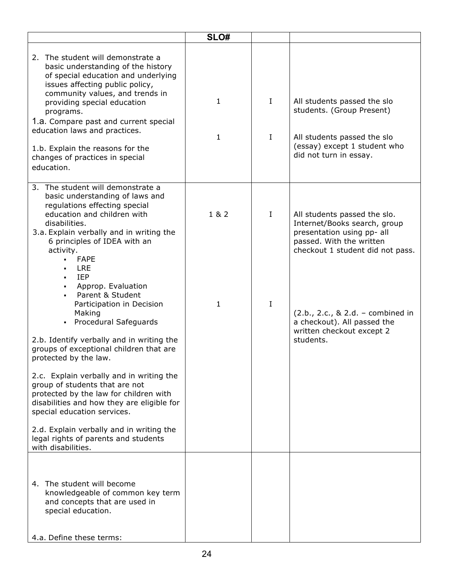|                                                                                                                                                                                                                                                                                                                                                                                                 | SLO#                         |                         |                                                                                                                                                            |
|-------------------------------------------------------------------------------------------------------------------------------------------------------------------------------------------------------------------------------------------------------------------------------------------------------------------------------------------------------------------------------------------------|------------------------------|-------------------------|------------------------------------------------------------------------------------------------------------------------------------------------------------|
| 2. The student will demonstrate a<br>basic understanding of the history<br>of special education and underlying<br>issues affecting public policy,<br>community values, and trends in<br>providing special education<br>programs.<br>1.a. Compare past and current special<br>education laws and practices.<br>1.b. Explain the reasons for the<br>changes of practices in special<br>education. | $\mathbf{1}$<br>$\mathbf{1}$ | $\mathbf{I}$<br>$\bf I$ | All students passed the slo<br>students. (Group Present)<br>All students passed the slo<br>(essay) except 1 student who<br>did not turn in essay.          |
| 3. The student will demonstrate a<br>basic understanding of laws and<br>regulations effecting special<br>education and children with<br>disabilities.<br>3.a. Explain verbally and in writing the<br>6 principles of IDEA with an<br>activity.<br><b>FAPE</b><br>$\blacksquare$<br><b>LRE</b><br><b>IEP</b><br>Approp. Evaluation                                                               | 1 & 2                        | I                       | All students passed the slo.<br>Internet/Books search, group<br>presentation using pp- all<br>passed. With the written<br>checkout 1 student did not pass. |
| Parent & Student<br>Participation in Decision<br>Making<br>• Procedural Safeguards<br>2.b. Identify verbally and in writing the<br>groups of exceptional children that are<br>protected by the law.                                                                                                                                                                                             | 1                            | I                       | $(2.b., 2.c., 8.2.d. - combined in$<br>a checkout). All passed the<br>written checkout except 2<br>students.                                               |
| 2.c. Explain verbally and in writing the<br>group of students that are not<br>protected by the law for children with<br>disabilities and how they are eligible for<br>special education services.<br>2.d. Explain verbally and in writing the                                                                                                                                                   |                              |                         |                                                                                                                                                            |
| legal rights of parents and students<br>with disabilities.<br>4. The student will become<br>knowledgeable of common key term<br>and concepts that are used in<br>special education.                                                                                                                                                                                                             |                              |                         |                                                                                                                                                            |
| 4.a. Define these terms:                                                                                                                                                                                                                                                                                                                                                                        |                              |                         |                                                                                                                                                            |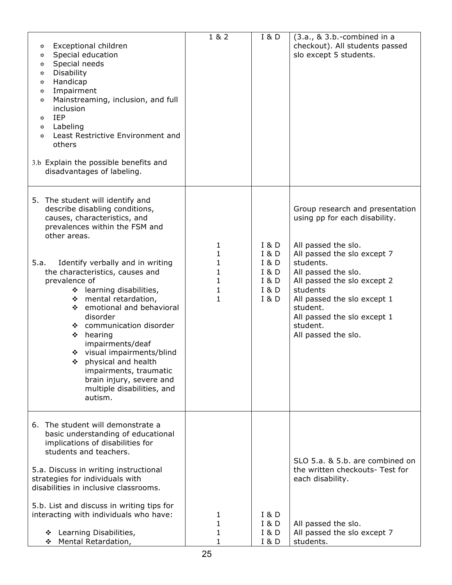| Exceptional children<br>✿<br>Special education<br>✿<br>Special needs<br>✿<br>Disability<br>✿<br>Handicap<br>✿<br>Impairment<br>✿<br>Mainstreaming, inclusion, and full<br>✿<br>inclusion<br>IEP<br>✿<br>Labeling<br>✿<br>Least Restrictive Environment and<br>✿<br>others<br>3.b Explain the possible benefits and<br>disadvantages of labeling.                                                                                                                                                                                                                            | 1 & 2                                                           | I & D                                                       | $(3.a., & 3.b.-combined in a)$<br>checkout). All students passed<br>slo except 5 students.                                                                                                                                                                                                                         |
|-----------------------------------------------------------------------------------------------------------------------------------------------------------------------------------------------------------------------------------------------------------------------------------------------------------------------------------------------------------------------------------------------------------------------------------------------------------------------------------------------------------------------------------------------------------------------------|-----------------------------------------------------------------|-------------------------------------------------------------|--------------------------------------------------------------------------------------------------------------------------------------------------------------------------------------------------------------------------------------------------------------------------------------------------------------------|
| 5. The student will identify and<br>describe disabling conditions,<br>causes, characteristics, and<br>prevalences within the FSM and<br>other areas.<br>Identify verbally and in writing<br>5.a.<br>the characteristics, causes and<br>prevalence of<br>❖ learning disabilities,<br>❖ mental retardation,<br>❖ emotional and behavioral<br>disorder<br>❖ communication disorder<br>$\div$ hearing<br>impairments/deaf<br>❖ visual impairments/blind<br>❖ physical and health<br>impairments, traumatic<br>brain injury, severe and<br>multiple disabilities, and<br>autism. | 1<br>$\mathbf{1}$<br>$\mathbf{1}$<br>$\mathbf 1$<br>1<br>1<br>1 | I & D<br>I & D<br>I & D<br>I & D<br>I & D<br>I & D<br>I & D | Group research and presentation<br>using pp for each disability.<br>All passed the slo.<br>All passed the slo except 7<br>students.<br>All passed the slo.<br>All passed the slo except 2<br>students<br>All passed the slo except 1<br>student.<br>All passed the slo except 1<br>student.<br>All passed the slo. |
| 6. The student will demonstrate a<br>basic understanding of educational<br>implications of disabilities for<br>students and teachers.<br>5.a. Discuss in writing instructional<br>strategies for individuals with<br>disabilities in inclusive classrooms.<br>5.b. List and discuss in writing tips for<br>interacting with individuals who have:<br>❖ Learning Disabilities,<br>Mental Retardation,<br>❖                                                                                                                                                                   | 1<br>1<br>1<br>1                                                | <b>I &amp; D</b><br><b>I &amp; D</b><br>I & D<br>I & D      | SLO 5.a. & 5.b. are combined on<br>the written checkouts- Test for<br>each disability.<br>All passed the slo.<br>All passed the slo except 7<br>students.                                                                                                                                                          |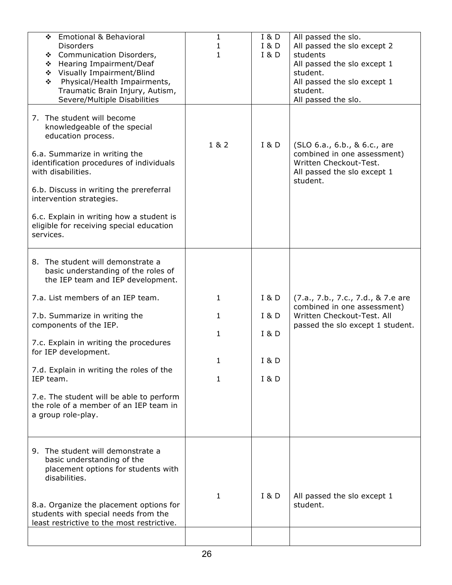| <b>Emotional &amp; Behavioral</b><br>❖<br><b>Disorders</b><br>❖ Communication Disorders,<br>Hearing Impairment/Deaf<br>❖<br>Visually Impairment/Blind<br>❖<br>Physical/Health Impairments,<br>❖<br>Traumatic Brain Injury, Autism,<br>Severe/Multiple Disabilities                                                                                              | 1<br>1<br>1  | <b>I &amp; D</b><br>I & D<br><b>I &amp; D</b> | All passed the slo.<br>All passed the slo except 2<br>students<br>All passed the slo except 1<br>student.<br>All passed the slo except 1<br>student.<br>All passed the slo. |
|-----------------------------------------------------------------------------------------------------------------------------------------------------------------------------------------------------------------------------------------------------------------------------------------------------------------------------------------------------------------|--------------|-----------------------------------------------|-----------------------------------------------------------------------------------------------------------------------------------------------------------------------------|
| 7. The student will become<br>knowledgeable of the special<br>education process.<br>6.a. Summarize in writing the<br>identification procedures of individuals<br>with disabilities.<br>6.b. Discuss in writing the prereferral<br>intervention strategies.<br>6.c. Explain in writing how a student is<br>eligible for receiving special education<br>services. | 1 & 2        | I & D                                         | (SLO 6.a., 6.b., & 6.c., are<br>combined in one assessment)<br>Written Checkout-Test.<br>All passed the slo except 1<br>student.                                            |
| 8. The student will demonstrate a<br>basic understanding of the roles of<br>the IEP team and IEP development.                                                                                                                                                                                                                                                   |              |                                               |                                                                                                                                                                             |
| 7.a. List members of an IEP team.                                                                                                                                                                                                                                                                                                                               | 1            | I & D                                         | (7.a., 7.b., 7.c., 7.d., & 7.e are<br>combined in one assessment)                                                                                                           |
| 7.b. Summarize in writing the<br>components of the IEP.                                                                                                                                                                                                                                                                                                         | $\mathbf{1}$ | I & D                                         | Written Checkout-Test. All<br>passed the slo except 1 student.                                                                                                              |
| 7.c. Explain in writing the procedures<br>for IEP development.                                                                                                                                                                                                                                                                                                  | $\mathbf{1}$ | <b>I &amp; D</b>                              |                                                                                                                                                                             |
| 7.d. Explain in writing the roles of the                                                                                                                                                                                                                                                                                                                        | 1            | <b>I &amp; D</b>                              |                                                                                                                                                                             |
| IEP team.                                                                                                                                                                                                                                                                                                                                                       | 1            | I & D                                         |                                                                                                                                                                             |
| 7.e. The student will be able to perform<br>the role of a member of an IEP team in<br>a group role-play.                                                                                                                                                                                                                                                        |              |                                               |                                                                                                                                                                             |
| 9. The student will demonstrate a<br>basic understanding of the<br>placement options for students with<br>disabilities.                                                                                                                                                                                                                                         | 1            | <b>I &amp; D</b>                              | All passed the slo except 1                                                                                                                                                 |
| 8.a. Organize the placement options for<br>students with special needs from the<br>least restrictive to the most restrictive.                                                                                                                                                                                                                                   |              |                                               | student.                                                                                                                                                                    |
|                                                                                                                                                                                                                                                                                                                                                                 |              |                                               |                                                                                                                                                                             |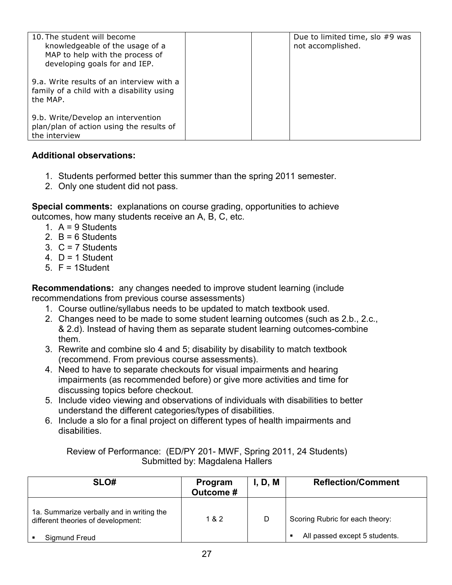| 10. The student will become<br>knowledgeable of the usage of a<br>MAP to help with the process of<br>developing goals for and IEP. | Due to limited time, slo #9 was<br>not accomplished. |
|------------------------------------------------------------------------------------------------------------------------------------|------------------------------------------------------|
| 9.a. Write results of an interview with a<br>family of a child with a disability using<br>the MAP.                                 |                                                      |
| 9.b. Write/Develop an intervention<br>plan/plan of action using the results of<br>the interview                                    |                                                      |

## **Additional observations:**

- 1. Students performed better this summer than the spring 2011 semester.
- 2. Only one student did not pass.

**Special comments:** explanations on course grading, opportunities to achieve outcomes, how many students receive an A, B, C, etc.

- 1.  $A = 9$  Students
- 2.  $B = 6$  Students
- 3.  $C = 7$  Students
- 4.  $D = 1$  Student
- $5. F = 1$ Student

**Recommendations:** any changes needed to improve student learning (include recommendations from previous course assessments)

- 1. Course outline/syllabus needs to be updated to match textbook used.
- 2. Changes need to be made to some student learning outcomes (such as 2.b., 2.c., & 2.d). Instead of having them as separate student learning outcomes-combine them.
- 3. Rewrite and combine slo 4 and 5; disability by disability to match textbook (recommend. From previous course assessments).
- 4. Need to have to separate checkouts for visual impairments and hearing impairments (as recommended before) or give more activities and time for discussing topics before checkout.
- 5. Include video viewing and observations of individuals with disabilities to better understand the different categories/types of disabilities.
- 6. Include a slo for a final project on different types of health impairments and disabilities.

| SLO#                                                                            | Program<br><b>Outcome#</b> | I, D, M | <b>Reflection/Comment</b>       |
|---------------------------------------------------------------------------------|----------------------------|---------|---------------------------------|
| 1a. Summarize verbally and in writing the<br>different theories of development: | 1 & 2                      | D       | Scoring Rubric for each theory: |
| Sigmund Freud                                                                   |                            |         | All passed except 5 students.   |

## Review of Performance: (ED/PY 201- MWF, Spring 2011, 24 Students) Submitted by: Magdalena Hallers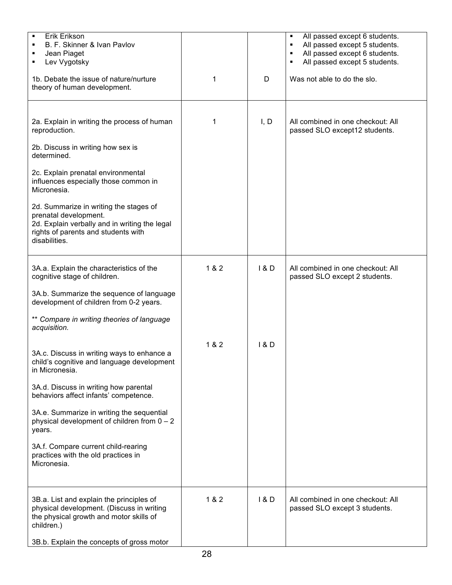| Erik Erikson<br>B. F. Skinner & Ivan Pavlov<br>Jean Piaget<br>Lev Vygotsky                                                                                               |       |       | All passed except 6 students.<br>٠<br>All passed except 5 students.<br>$\blacksquare$<br>All passed except 6 students.<br>٠<br>All passed except 5 students.<br>٠ |
|--------------------------------------------------------------------------------------------------------------------------------------------------------------------------|-------|-------|-------------------------------------------------------------------------------------------------------------------------------------------------------------------|
| 1b. Debate the issue of nature/nurture<br>theory of human development.                                                                                                   | 1     | D     | Was not able to do the slo.                                                                                                                                       |
|                                                                                                                                                                          |       |       |                                                                                                                                                                   |
| 2a. Explain in writing the process of human<br>reproduction.                                                                                                             | 1     | I, D  | All combined in one checkout: All<br>passed SLO except12 students.                                                                                                |
| 2b. Discuss in writing how sex is<br>determined.                                                                                                                         |       |       |                                                                                                                                                                   |
| 2c. Explain prenatal environmental<br>influences especially those common in<br>Micronesia.                                                                               |       |       |                                                                                                                                                                   |
| 2d. Summarize in writing the stages of<br>prenatal development.<br>2d. Explain verbally and in writing the legal<br>rights of parents and students with<br>disabilities. |       |       |                                                                                                                                                                   |
| 3A.a. Explain the characteristics of the<br>cognitive stage of children.                                                                                                 | 1 & 2 | 1 & D | All combined in one checkout: All<br>passed SLO except 2 students.                                                                                                |
| 3A.b. Summarize the sequence of language<br>development of children from 0-2 years.                                                                                      |       |       |                                                                                                                                                                   |
| ** Compare in writing theories of language<br>acquisition.                                                                                                               |       |       |                                                                                                                                                                   |
| 3A.c. Discuss in writing ways to enhance a<br>child's cognitive and language development<br>in Micronesia.                                                               | 1 & 2 | 1&0   |                                                                                                                                                                   |
| 3A.d. Discuss in writing how parental<br>behaviors affect infants' competence.                                                                                           |       |       |                                                                                                                                                                   |
| 3A.e. Summarize in writing the sequential<br>physical development of children from $0 - 2$<br>years.                                                                     |       |       |                                                                                                                                                                   |
| 3A.f. Compare current child-rearing<br>practices with the old practices in<br>Micronesia.                                                                                |       |       |                                                                                                                                                                   |
| 3B.a. List and explain the principles of<br>physical development. (Discuss in writing<br>the physical growth and motor skills of<br>children.)                           | 1 & 2 | 1 & D | All combined in one checkout: All<br>passed SLO except 3 students.                                                                                                |
| 3B.b. Explain the concepts of gross motor                                                                                                                                |       |       |                                                                                                                                                                   |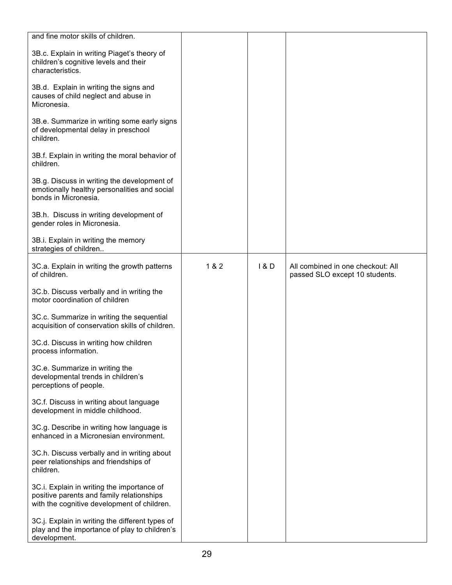| and fine motor skills of children.                                                                                                     |       |       |                                                                     |
|----------------------------------------------------------------------------------------------------------------------------------------|-------|-------|---------------------------------------------------------------------|
| 3B.c. Explain in writing Piaget's theory of<br>children's cognitive levels and their<br>characteristics.                               |       |       |                                                                     |
| 3B.d. Explain in writing the signs and<br>causes of child neglect and abuse in<br>Micronesia.                                          |       |       |                                                                     |
| 3B.e. Summarize in writing some early signs<br>of developmental delay in preschool<br>children.                                        |       |       |                                                                     |
| 3B.f. Explain in writing the moral behavior of<br>children.                                                                            |       |       |                                                                     |
| 3B.g. Discuss in writing the development of<br>emotionally healthy personalities and social<br>bonds in Micronesia.                    |       |       |                                                                     |
| 3B.h. Discuss in writing development of<br>gender roles in Micronesia.                                                                 |       |       |                                                                     |
| 3B.i. Explain in writing the memory<br>strategies of children                                                                          |       |       |                                                                     |
| 3C.a. Explain in writing the growth patterns<br>of children.                                                                           | 1 & 2 | 1 & D | All combined in one checkout: All<br>passed SLO except 10 students. |
| 3C.b. Discuss verbally and in writing the<br>motor coordination of children                                                            |       |       |                                                                     |
| 3C.c. Summarize in writing the sequential<br>acquisition of conservation skills of children.                                           |       |       |                                                                     |
| 3C.d. Discuss in writing how children<br>process information.                                                                          |       |       |                                                                     |
| 3C.e. Summarize in writing the<br>developmental trends in children's<br>perceptions of people.                                         |       |       |                                                                     |
| 3C.f. Discuss in writing about language<br>development in middle childhood.                                                            |       |       |                                                                     |
| 3C.g. Describe in writing how language is<br>enhanced in a Micronesian environment.                                                    |       |       |                                                                     |
| 3C.h. Discuss verbally and in writing about<br>peer relationships and friendships of<br>children.                                      |       |       |                                                                     |
| 3C.i. Explain in writing the importance of<br>positive parents and family relationships<br>with the cognitive development of children. |       |       |                                                                     |
| 3C.j. Explain in writing the different types of<br>play and the importance of play to children's<br>development.                       |       |       |                                                                     |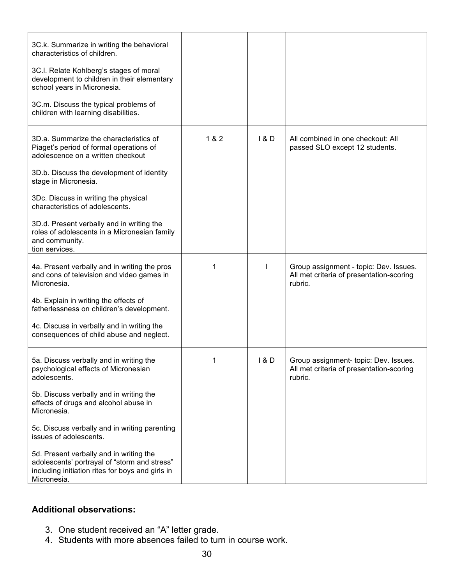| 3C.k. Summarize in writing the behavioral<br>characteristics of children.<br>3C.I. Relate Kohlberg's stages of moral<br>development to children in their elementary<br>school years in Micronesia.<br>3C.m. Discuss the typical problems of<br>children with learning disabilities.                                                                                                                                                         |       |       |                                                                                               |
|---------------------------------------------------------------------------------------------------------------------------------------------------------------------------------------------------------------------------------------------------------------------------------------------------------------------------------------------------------------------------------------------------------------------------------------------|-------|-------|-----------------------------------------------------------------------------------------------|
| 3D.a. Summarize the characteristics of<br>Piaget's period of formal operations of<br>adolescence on a written checkout<br>3D.b. Discuss the development of identity<br>stage in Micronesia.<br>3Dc. Discuss in writing the physical<br>characteristics of adolescents.                                                                                                                                                                      | 1 & 2 | 1 & D | All combined in one checkout: All<br>passed SLO except 12 students.                           |
| 3D.d. Present verbally and in writing the<br>roles of adolescents in a Micronesian family<br>and community.<br>tion services.                                                                                                                                                                                                                                                                                                               |       |       |                                                                                               |
| 4a. Present verbally and in writing the pros<br>and cons of television and video games in<br>Micronesia.<br>4b. Explain in writing the effects of<br>fatherlessness on children's development.<br>4c. Discuss in verbally and in writing the<br>consequences of child abuse and neglect.                                                                                                                                                    | 1     | ı     | Group assignment - topic: Dev. Issues.<br>All met criteria of presentation-scoring<br>rubric. |
| 5a. Discuss verbally and in writing the<br>psychological effects of Micronesian<br>adolescents.<br>5b. Discuss verbally and in writing the<br>effects of drugs and alcohol abuse in<br>Micronesia.<br>5c. Discuss verbally and in writing parenting<br>issues of adolescents.<br>5d. Present verbally and in writing the<br>adolescents' portrayal of "storm and stress"<br>including initiation rites for boys and girls in<br>Micronesia. | 1     | 1&D   | Group assignment- topic: Dev. Issues.<br>All met criteria of presentation-scoring<br>rubric.  |

# **Additional observations:**

- 3. One student received an "A" letter grade.
- 4. Students with more absences failed to turn in course work.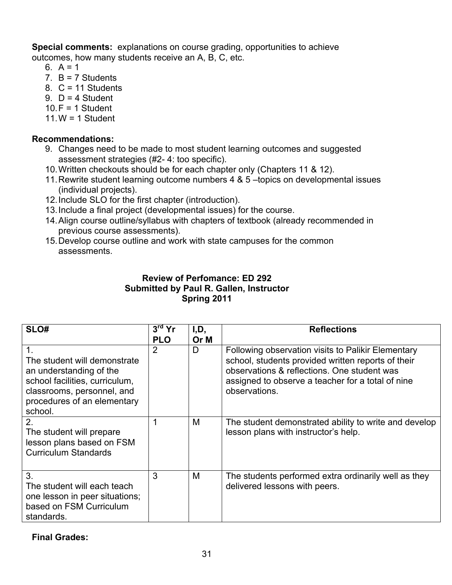**Special comments:** explanations on course grading, opportunities to achieve outcomes, how many students receive an A, B, C, etc.

- 6.  $A = 1$
- 7.  $B = 7$  Students
- 8.  $C = 11$  Students
- 9.  $D = 4$  Student
- $10.F = 1$  Student
- 11. $W = 1$  Student

# **Recommendations:**

- 9. Changes need to be made to most student learning outcomes and suggested assessment strategies (#2- 4: too specific).
- 10.Written checkouts should be for each chapter only (Chapters 11 & 12).
- 11.Rewrite student learning outcome numbers 4 & 5 –topics on developmental issues (individual projects).
- 12.Include SLO for the first chapter (introduction).
- 13.Include a final project (developmental issues) for the course.
- 14.Align course outline/syllabus with chapters of textbook (already recommended in previous course assessments).
- 15.Develop course outline and work with state campuses for the common assessments.

## **Review of Perfomance: ED 292 Submitted by Paul R. Gallen, Instructor Spring 2011**

| SLO#                                                                                                                                                                                | $3rd$ Yr<br><b>PLO</b> | I,D,<br>Or M | <b>Reflections</b>                                                                                                                                                                                                            |
|-------------------------------------------------------------------------------------------------------------------------------------------------------------------------------------|------------------------|--------------|-------------------------------------------------------------------------------------------------------------------------------------------------------------------------------------------------------------------------------|
| $\mathbf{1}$ .<br>The student will demonstrate<br>an understanding of the<br>school facilities, curriculum,<br>classrooms, personnel, and<br>procedures of an elementary<br>school. | 2                      | D            | Following observation visits to Palikir Elementary<br>school, students provided written reports of their<br>observations & reflections. One student was<br>assigned to observe a teacher for a total of nine<br>observations. |
| 2.<br>The student will prepare<br>lesson plans based on FSM<br><b>Curriculum Standards</b>                                                                                          |                        | M            | The student demonstrated ability to write and develop<br>lesson plans with instructor's help.                                                                                                                                 |
| 3.<br>The student will each teach<br>one lesson in peer situations;<br>based on FSM Curriculum<br>standards.                                                                        | 3                      | M            | The students performed extra ordinarily well as they<br>delivered lessons with peers.                                                                                                                                         |

**Final Grades:**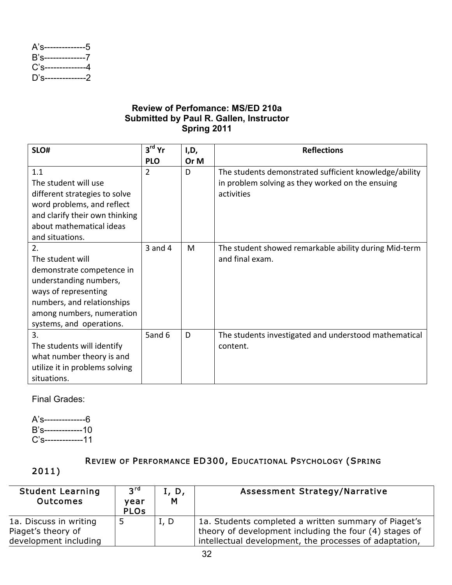| A's---------------5   |  |
|-----------------------|--|
| B's--------------7    |  |
| $C's$ --------------4 |  |
| D's--------------2    |  |

## **Review of Perfomance: MS/ED 210a Submitted by Paul R. Gallen, Instructor Spring 2011**

| SLO#                                                                                                                                                                                         | $3rd$ Yr    | I,D, | <b>Reflections</b>                                                                                                       |
|----------------------------------------------------------------------------------------------------------------------------------------------------------------------------------------------|-------------|------|--------------------------------------------------------------------------------------------------------------------------|
|                                                                                                                                                                                              | <b>PLO</b>  | Or M |                                                                                                                          |
| 1.1<br>The student will use<br>different strategies to solve<br>word problems, and reflect<br>and clarify their own thinking<br>about mathematical ideas<br>and situations.                  | 2           | D    | The students demonstrated sufficient knowledge/ability<br>in problem solving as they worked on the ensuing<br>activities |
| 2.<br>The student will<br>demonstrate competence in<br>understanding numbers,<br>ways of representing<br>numbers, and relationships<br>among numbers, numeration<br>systems, and operations. | $3$ and $4$ | M    | The student showed remarkable ability during Mid-term<br>and final exam.                                                 |
| $\overline{3}$ .<br>The students will identify<br>what number theory is and<br>utilize it in problems solving<br>situations.                                                                 | 5and 6      | D    | The students investigated and understood mathematical<br>content.                                                        |

Final Grades:

A's--------------6 B's-------------10 C's-------------11

# REVIEW OF PERFORMANCE ED300, EDUCATIONAL PSYCHOLOGY (SPRING

# 2011)

| <b>Student Learning</b><br><b>Outcomes</b> | $3^{\text{rd}}$<br>vear<br><b>PLO<sub>s</sub></b> | I, D,<br>M | Assessment Strategy/Narrative                          |
|--------------------------------------------|---------------------------------------------------|------------|--------------------------------------------------------|
| 1a. Discuss in writing                     |                                                   | I, D       | 1a. Students completed a written summary of Piaget's   |
| Piaget's theory of                         |                                                   |            | theory of development including the four (4) stages of |
| development including                      |                                                   |            | intellectual development, the processes of adaptation, |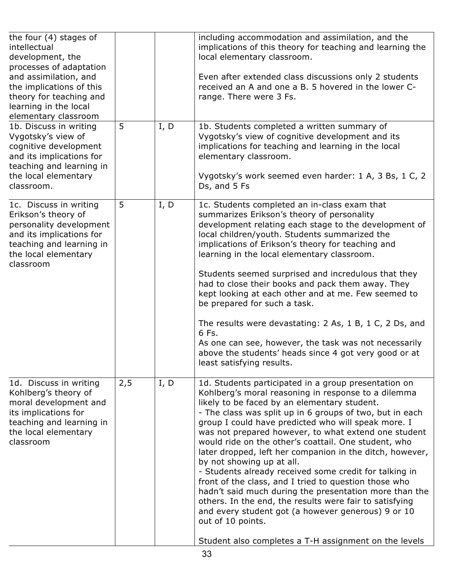| the four $(4)$ stages of<br>intellectual<br>development, the<br>processes of adaptation<br>and assimilation, and<br>the implications of this<br>theory for teaching and<br>learning in the local<br>elementary classroom |     |      | including accommodation and assimilation, and the<br>implications of this theory for teaching and learning the<br>local elementary classroom.<br>Even after extended class discussions only 2 students<br>received an A and one a B. 5 hovered in the lower C-<br>range. There were 3 Fs.                                                                                                                                                                                                                                                                                                                                                                                                                                                                                                                                                                           |
|--------------------------------------------------------------------------------------------------------------------------------------------------------------------------------------------------------------------------|-----|------|---------------------------------------------------------------------------------------------------------------------------------------------------------------------------------------------------------------------------------------------------------------------------------------------------------------------------------------------------------------------------------------------------------------------------------------------------------------------------------------------------------------------------------------------------------------------------------------------------------------------------------------------------------------------------------------------------------------------------------------------------------------------------------------------------------------------------------------------------------------------|
| 1b. Discuss in writing<br>Vygotsky's view of<br>cognitive development<br>and its implications for<br>teaching and learning in<br>the local elementary<br>classroom.                                                      | 5   | I, D | 1b. Students completed a written summary of<br>Vygotsky's view of cognitive development and its<br>implications for teaching and learning in the local<br>elementary classroom.<br>Vygotsky's work seemed even harder: 1 A, 3 Bs, 1 C, 2<br>Ds, and 5 Fs                                                                                                                                                                                                                                                                                                                                                                                                                                                                                                                                                                                                            |
| 1c. Discuss in writing<br>Erikson's theory of<br>personality development<br>and its implications for<br>teaching and learning in<br>the local elementary<br>classroom                                                    | 5   | I, D | 1c. Students completed an in-class exam that<br>summarizes Erikson's theory of personality<br>development relating each stage to the development of<br>local children/youth. Students summarized the<br>implications of Erikson's theory for teaching and<br>learning in the local elementary classroom.<br>Students seemed surprised and incredulous that they<br>had to close their books and pack them away. They<br>kept looking at each other and at me. Few seemed to<br>be prepared for such a task.<br>The results were devastating: 2 As, 1 B, 1 C, 2 Ds, and<br>6 Fs.<br>As one can see, however, the task was not necessarily<br>above the students' heads since 4 got very good or at<br>least satisfying results.                                                                                                                                      |
| 1d. Discuss in writing<br>Kohlberg's theory of<br>moral development and<br>its implications for<br>teaching and learning in<br>the local elementary<br>classroom                                                         | 2,5 | I, D | 1d. Students participated in a group presentation on<br>Kohlberg's moral reasoning in response to a dilemma<br>likely to be faced by an elementary student.<br>- The class was split up in 6 groups of two, but in each<br>group I could have predicted who will speak more. I<br>was not prepared however, to what extend one student<br>would ride on the other's coattail. One student, who<br>later dropped, left her companion in the ditch, however,<br>by not showing up at all.<br>- Students already received some credit for talking in<br>front of the class, and I tried to question those who<br>hadn't said much during the presentation more than the<br>others. In the end, the results were fair to satisfying<br>and every student got (a however generous) 9 or 10<br>out of 10 points.<br>Student also completes a T-H assignment on the levels |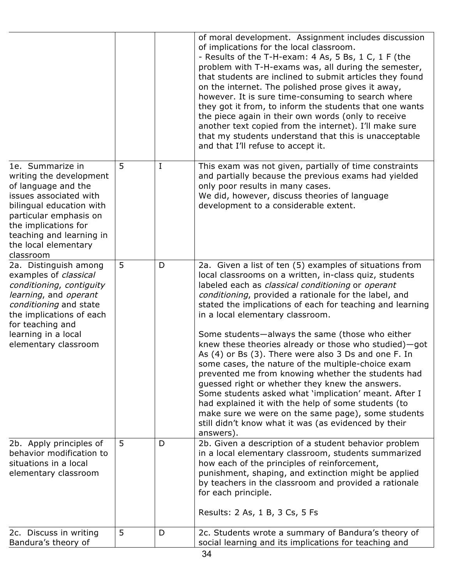|                                                                                                                                                                                                                                             |   |             | of moral development. Assignment includes discussion<br>of implications for the local classroom.<br>- Results of the T-H-exam: 4 As, 5 Bs, 1 C, 1 F (the<br>problem with T-H-exams was, all during the semester,<br>that students are inclined to submit articles they found<br>on the internet. The polished prose gives it away,<br>however. It is sure time-consuming to search where<br>they got it from, to inform the students that one wants<br>the piece again in their own words (only to receive<br>another text copied from the internet). I'll make sure<br>that my students understand that this is unacceptable<br>and that I'll refuse to accept it.                                                                                                                                                                                                                                            |
|---------------------------------------------------------------------------------------------------------------------------------------------------------------------------------------------------------------------------------------------|---|-------------|----------------------------------------------------------------------------------------------------------------------------------------------------------------------------------------------------------------------------------------------------------------------------------------------------------------------------------------------------------------------------------------------------------------------------------------------------------------------------------------------------------------------------------------------------------------------------------------------------------------------------------------------------------------------------------------------------------------------------------------------------------------------------------------------------------------------------------------------------------------------------------------------------------------|
| 1e. Summarize in<br>writing the development<br>of language and the<br>issues associated with<br>bilingual education with<br>particular emphasis on<br>the implications for<br>teaching and learning in<br>the local elementary<br>classroom | 5 | $\mathbf I$ | This exam was not given, partially of time constraints<br>and partially because the previous exams had yielded<br>only poor results in many cases.<br>We did, however, discuss theories of language<br>development to a considerable extent.                                                                                                                                                                                                                                                                                                                                                                                                                                                                                                                                                                                                                                                                   |
| 2a. Distinguish among<br>examples of classical<br>conditioning, contiguity<br>learning, and operant<br>conditioning and state<br>the implications of each<br>for teaching and<br>learning in a local<br>elementary classroom                | 5 | D           | 2a. Given a list of ten (5) examples of situations from<br>local classrooms on a written, in-class quiz, students<br>labeled each as classical conditioning or operant<br>conditioning, provided a rationale for the label, and<br>stated the implications of each for teaching and learning<br>in a local elementary classroom.<br>Some students—always the same (those who either<br>knew these theories already or those who studied)-got<br>As (4) or Bs (3). There were also 3 Ds and one F. In<br>some cases, the nature of the multiple-choice exam<br>prevented me from knowing whether the students had<br>guessed right or whether they knew the answers.<br>Some students asked what 'implication' meant. After I<br>had explained it with the help of some students (to<br>make sure we were on the same page), some students<br>still didn't know what it was (as evidenced by their<br>answers). |
| 2b. Apply principles of<br>behavior modification to<br>situations in a local<br>elementary classroom                                                                                                                                        | 5 | D           | 2b. Given a description of a student behavior problem<br>in a local elementary classroom, students summarized<br>how each of the principles of reinforcement,<br>punishment, shaping, and extinction might be applied<br>by teachers in the classroom and provided a rationale<br>for each principle.<br>Results: 2 As, 1 B, 3 Cs, 5 Fs                                                                                                                                                                                                                                                                                                                                                                                                                                                                                                                                                                        |
| 2c. Discuss in writing<br>Bandura's theory of                                                                                                                                                                                               | 5 | D           | 2c. Students wrote a summary of Bandura's theory of<br>social learning and its implications for teaching and                                                                                                                                                                                                                                                                                                                                                                                                                                                                                                                                                                                                                                                                                                                                                                                                   |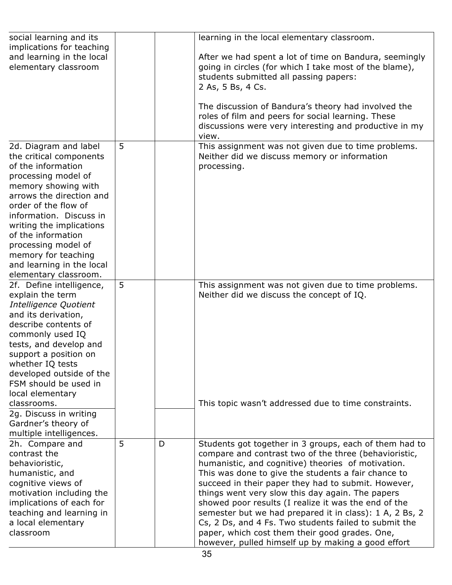| social learning and its<br>implications for teaching |   |   | learning in the local elementary classroom.                                                              |
|------------------------------------------------------|---|---|----------------------------------------------------------------------------------------------------------|
| and learning in the local                            |   |   | After we had spent a lot of time on Bandura, seemingly                                                   |
| elementary classroom                                 |   |   | going in circles (for which I take most of the blame),                                                   |
|                                                      |   |   | students submitted all passing papers:                                                                   |
|                                                      |   |   | 2 As, 5 Bs, 4 Cs.                                                                                        |
|                                                      |   |   |                                                                                                          |
|                                                      |   |   | The discussion of Bandura's theory had involved the                                                      |
|                                                      |   |   | roles of film and peers for social learning. These                                                       |
|                                                      |   |   | discussions were very interesting and productive in my                                                   |
|                                                      |   |   | view.                                                                                                    |
| 2d. Diagram and label                                | 5 |   | This assignment was not given due to time problems.                                                      |
| the critical components<br>of the information        |   |   | Neither did we discuss memory or information                                                             |
|                                                      |   |   | processing.                                                                                              |
| processing model of<br>memory showing with           |   |   |                                                                                                          |
| arrows the direction and                             |   |   |                                                                                                          |
| order of the flow of                                 |   |   |                                                                                                          |
| information. Discuss in                              |   |   |                                                                                                          |
| writing the implications                             |   |   |                                                                                                          |
| of the information                                   |   |   |                                                                                                          |
| processing model of                                  |   |   |                                                                                                          |
| memory for teaching                                  |   |   |                                                                                                          |
| and learning in the local                            |   |   |                                                                                                          |
| elementary classroom.                                |   |   |                                                                                                          |
| 2f. Define intelligence,                             | 5 |   | This assignment was not given due to time problems.                                                      |
| explain the term                                     |   |   | Neither did we discuss the concept of IQ.                                                                |
| Intelligence Quotient                                |   |   |                                                                                                          |
| and its derivation,                                  |   |   |                                                                                                          |
| describe contents of                                 |   |   |                                                                                                          |
| commonly used IQ<br>tests, and develop and           |   |   |                                                                                                          |
| support a position on                                |   |   |                                                                                                          |
| whether IQ tests                                     |   |   |                                                                                                          |
| developed outside of the                             |   |   |                                                                                                          |
| FSM should be used in                                |   |   |                                                                                                          |
| local elementary                                     |   |   |                                                                                                          |
| classrooms.                                          |   |   | This topic wasn't addressed due to time constraints.                                                     |
| 2g. Discuss in writing                               |   |   |                                                                                                          |
| Gardner's theory of                                  |   |   |                                                                                                          |
| multiple intelligences.                              |   |   |                                                                                                          |
| 2h. Compare and                                      | 5 | D | Students got together in 3 groups, each of them had to                                                   |
| contrast the                                         |   |   | compare and contrast two of the three (behavioristic,                                                    |
| behavioristic,                                       |   |   | humanistic, and cognitive) theories of motivation.                                                       |
| humanistic, and                                      |   |   | This was done to give the students a fair chance to                                                      |
| cognitive views of                                   |   |   | succeed in their paper they had to submit. However,                                                      |
| motivation including the<br>implications of each for |   |   | things went very slow this day again. The papers<br>showed poor results (I realize it was the end of the |
| teaching and learning in                             |   |   | semester but we had prepared it in class): 1 A, 2 Bs, 2                                                  |
| a local elementary                                   |   |   | Cs, 2 Ds, and 4 Fs. Two students failed to submit the                                                    |
| classroom                                            |   |   | paper, which cost them their good grades. One,                                                           |
|                                                      |   |   | however, pulled himself up by making a good effort                                                       |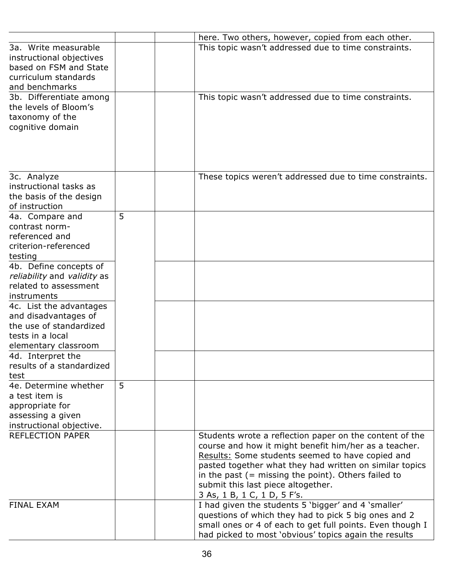|                             |   | here. Two others, however, copied from each other.        |
|-----------------------------|---|-----------------------------------------------------------|
| 3a. Write measurable        |   | This topic wasn't addressed due to time constraints.      |
| instructional objectives    |   |                                                           |
| based on FSM and State      |   |                                                           |
| curriculum standards        |   |                                                           |
| and benchmarks              |   |                                                           |
| 3b. Differentiate among     |   | This topic wasn't addressed due to time constraints.      |
| the levels of Bloom's       |   |                                                           |
| taxonomy of the             |   |                                                           |
| cognitive domain            |   |                                                           |
|                             |   |                                                           |
|                             |   |                                                           |
|                             |   |                                                           |
|                             |   |                                                           |
| 3c. Analyze                 |   | These topics weren't addressed due to time constraints.   |
| instructional tasks as      |   |                                                           |
| the basis of the design     |   |                                                           |
| of instruction              |   |                                                           |
| 4a. Compare and             | 5 |                                                           |
| contrast norm-              |   |                                                           |
| referenced and              |   |                                                           |
| criterion-referenced        |   |                                                           |
| testing                     |   |                                                           |
| 4b. Define concepts of      |   |                                                           |
| reliability and validity as |   |                                                           |
| related to assessment       |   |                                                           |
| instruments                 |   |                                                           |
|                             |   |                                                           |
| 4c. List the advantages     |   |                                                           |
| and disadvantages of        |   |                                                           |
| the use of standardized     |   |                                                           |
| tests in a local            |   |                                                           |
| elementary classroom        |   |                                                           |
| 4d. Interpret the           |   |                                                           |
| results of a standardized   |   |                                                           |
| test                        |   |                                                           |
| 4e. Determine whether       | 5 |                                                           |
| a test item is              |   |                                                           |
| appropriate for             |   |                                                           |
| assessing a given           |   |                                                           |
| instructional objective.    |   |                                                           |
| <b>REFLECTION PAPER</b>     |   | Students wrote a reflection paper on the content of the   |
|                             |   | course and how it might benefit him/her as a teacher.     |
|                             |   | Results: Some students seemed to have copied and          |
|                             |   | pasted together what they had written on similar topics   |
|                             |   | in the past $($ = missing the point). Others failed to    |
|                             |   | submit this last piece altogether.                        |
|                             |   | 3 As, 1 B, 1 C, 1 D, 5 F's.                               |
| <b>FINAL EXAM</b>           |   | I had given the students 5 'bigger' and 4 'smaller'       |
|                             |   | questions of which they had to pick 5 big ones and 2      |
|                             |   | small ones or 4 of each to get full points. Even though I |
|                             |   | had picked to most 'obvious' topics again the results     |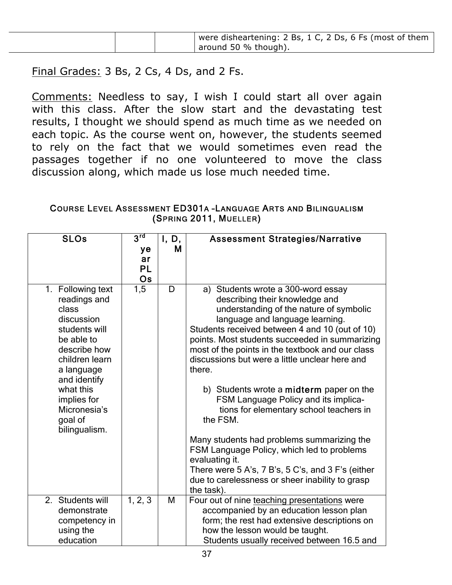Final Grades: 3 Bs, 2 Cs, 4 Ds, and 2 Fs.

Comments: Needless to say, I wish I could start all over again with this class. After the slow start and the devastating test results, I thought we should spend as much time as we needed on each topic. As the course went on, however, the students seemed to rely on the fact that we would sometimes even read the passages together if no one volunteered to move the class discussion along, which made us lose much needed time.

### COURSE LEVEL ASSESSMENT ED301A –LANGUAGE ARTS AND BILINGUALISM (SPRING 2011, MUELLER)

| <b>SLOs</b>                                                                                                                                                                                                                     | $3^{\text{rd}}$<br>ye<br>ar<br>PL<br>Os | I, D,<br>M | <b>Assessment Strategies/Narrative</b>                                                                                                                                                                                                                                                                                                                                                                                                                                                                                                                                                                                                                                                                                                                           |
|---------------------------------------------------------------------------------------------------------------------------------------------------------------------------------------------------------------------------------|-----------------------------------------|------------|------------------------------------------------------------------------------------------------------------------------------------------------------------------------------------------------------------------------------------------------------------------------------------------------------------------------------------------------------------------------------------------------------------------------------------------------------------------------------------------------------------------------------------------------------------------------------------------------------------------------------------------------------------------------------------------------------------------------------------------------------------------|
| 1. Following text<br>readings and<br>class<br>discussion<br>students will<br>be able to<br>describe how<br>children learn<br>a language<br>and identify<br>what this<br>implies for<br>Micronesia's<br>goal of<br>bilingualism. | 1,5                                     | D          | a) Students wrote a 300-word essay<br>describing their knowledge and<br>understanding of the nature of symbolic<br>language and language learning.<br>Students received between 4 and 10 (out of 10)<br>points. Most students succeeded in summarizing<br>most of the points in the textbook and our class<br>discussions but were a little unclear here and<br>there.<br>b) Students wrote a midterm paper on the<br>FSM Language Policy and its implica-<br>tions for elementary school teachers in<br>the FSM.<br>Many students had problems summarizing the<br>FSM Language Policy, which led to problems<br>evaluating it.<br>There were $5 A's$ , $7 B's$ , $5 C's$ , and $3 F's$ (either<br>due to carelessness or sheer inability to grasp<br>the task). |
| 2. Students will<br>demonstrate<br>competency in<br>using the<br>education                                                                                                                                                      | 1, 2, 3                                 | M          | Four out of nine teaching presentations were<br>accompanied by an education lesson plan<br>form; the rest had extensive descriptions on<br>how the lesson would be taught.<br>Students usually received between 16.5 and                                                                                                                                                                                                                                                                                                                                                                                                                                                                                                                                         |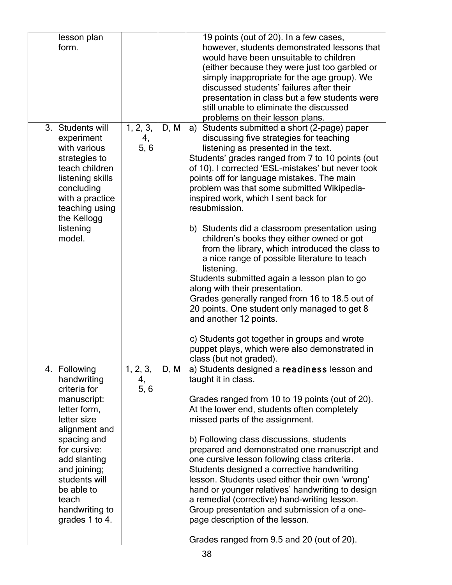| lesson plan      |          |      | 19 points (out of 20). In a few cases,            |
|------------------|----------|------|---------------------------------------------------|
| form.            |          |      | however, students demonstrated lessons that       |
|                  |          |      | would have been unsuitable to children            |
|                  |          |      | (either because they were just too garbled or     |
|                  |          |      | simply inappropriate for the age group). We       |
|                  |          |      | discussed students' failures after their          |
|                  |          |      | presentation in class but a few students were     |
|                  |          |      | still unable to eliminate the discussed           |
|                  |          |      | problems on their lesson plans.                   |
| 3. Students will | 1, 2, 3, | D, M | a) Students submitted a short (2-page) paper      |
| experiment       |          |      |                                                   |
|                  | 4,       |      | discussing five strategies for teaching           |
| with various     | 5, 6     |      | listening as presented in the text.               |
| strategies to    |          |      | Students' grades ranged from 7 to 10 points (out  |
| teach children   |          |      | of 10). I corrected 'ESL-mistakes' but never took |
| listening skills |          |      | points off for language mistakes. The main        |
| concluding       |          |      | problem was that some submitted Wikipedia-        |
| with a practice  |          |      | inspired work, which I sent back for              |
| teaching using   |          |      | resubmission.                                     |
| the Kellogg      |          |      |                                                   |
| listening        |          |      | b) Students did a classroom presentation using    |
| model.           |          |      | children's books they either owned or got         |
|                  |          |      | from the library, which introduced the class to   |
|                  |          |      | a nice range of possible literature to teach      |
|                  |          |      | listening.                                        |
|                  |          |      | Students submitted again a lesson plan to go      |
|                  |          |      | along with their presentation.                    |
|                  |          |      | Grades generally ranged from 16 to 18.5 out of    |
|                  |          |      | 20 points. One student only managed to get 8      |
|                  |          |      | and another 12 points.                            |
|                  |          |      |                                                   |
|                  |          |      | c) Students got together in groups and wrote      |
|                  |          |      | puppet plays, which were also demonstrated in     |
|                  |          |      | class (but not graded).                           |
| 4. Following     | 1, 2, 3, | D, M | a) Students designed a readiness lesson and       |
| handwriting      | 4,       |      | taught it in class.                               |
| criteria for     | 5, 6     |      |                                                   |
| manuscript:      |          |      | Grades ranged from 10 to 19 points (out of 20).   |
| letter form,     |          |      | At the lower end, students often completely       |
| letter size      |          |      | missed parts of the assignment.                   |
| alignment and    |          |      |                                                   |
| spacing and      |          |      | b) Following class discussions, students          |
| for cursive:     |          |      | prepared and demonstrated one manuscript and      |
| add slanting     |          |      | one cursive lesson following class criteria.      |
| and joining;     |          |      | Students designed a corrective handwriting        |
| students will    |          |      | lesson. Students used either their own 'wrong'    |
| be able to       |          |      | hand or younger relatives' handwriting to design  |
| teach            |          |      | a remedial (corrective) hand-writing lesson.      |
| handwriting to   |          |      | Group presentation and submission of a one-       |
| grades 1 to 4.   |          |      | page description of the lesson.                   |
|                  |          |      |                                                   |
|                  |          |      | Grades ranged from 9.5 and 20 (out of 20).        |
|                  |          |      |                                                   |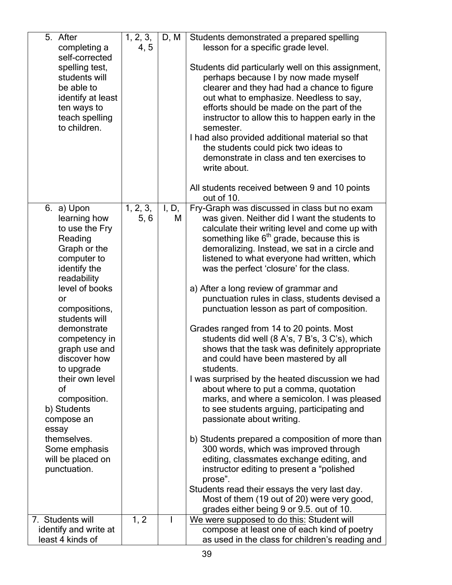| 5. After<br>completing a                                                                                                              | 1, 2, 3,<br>4, 5 | D, M       | Students demonstrated a prepared spelling<br>lesson for a specific grade level.                                                                                                                                                                                                                                                                                                                                                                                                                                          |
|---------------------------------------------------------------------------------------------------------------------------------------|------------------|------------|--------------------------------------------------------------------------------------------------------------------------------------------------------------------------------------------------------------------------------------------------------------------------------------------------------------------------------------------------------------------------------------------------------------------------------------------------------------------------------------------------------------------------|
| self-corrected<br>spelling test,<br>students will<br>be able to<br>identify at least<br>ten ways to<br>teach spelling<br>to children. |                  |            | Students did particularly well on this assignment,<br>perhaps because I by now made myself<br>clearer and they had had a chance to figure<br>out what to emphasize. Needless to say,<br>efforts should be made on the part of the<br>instructor to allow this to happen early in the<br>semester.<br>I had also provided additional material so that<br>the students could pick two ideas to<br>demonstrate in class and ten exercises to<br>write about.<br>All students received between 9 and 10 points<br>out of 10. |
| 6. a) Upon<br>learning how<br>to use the Fry<br>Reading<br>Graph or the<br>computer to<br>identify the<br>readability                 | 1, 2, 3,<br>5, 6 | I, D,<br>M | Fry-Graph was discussed in class but no exam<br>was given. Neither did I want the students to<br>calculate their writing level and come up with<br>something like $6th$ grade, because this is<br>demoralizing. Instead, we sat in a circle and<br>listened to what everyone had written, which<br>was the perfect 'closure' for the class.                                                                                                                                                                              |
| level of books<br>or<br>compositions,<br>students will                                                                                |                  |            | a) After a long review of grammar and<br>punctuation rules in class, students devised a<br>punctuation lesson as part of composition.                                                                                                                                                                                                                                                                                                                                                                                    |
| demonstrate<br>competency in<br>graph use and<br>discover how<br>to upgrade                                                           |                  |            | Grades ranged from 14 to 20 points. Most<br>students did well (8 A's, 7 B's, 3 C's), which<br>shows that the task was definitely appropriate<br>and could have been mastered by all<br>students.                                                                                                                                                                                                                                                                                                                         |
| their own level<br>of<br>composition.<br>b) Students<br>compose an                                                                    |                  |            | I was surprised by the heated discussion we had<br>about where to put a comma, quotation<br>marks, and where a semicolon. I was pleased<br>to see students arguing, participating and<br>passionate about writing.                                                                                                                                                                                                                                                                                                       |
| essay<br>themselves.<br>Some emphasis<br>will be placed on<br>punctuation.                                                            |                  |            | b) Students prepared a composition of more than<br>300 words, which was improved through<br>editing, classmates exchange editing, and<br>instructor editing to present a "polished<br>prose".                                                                                                                                                                                                                                                                                                                            |
|                                                                                                                                       |                  |            | Students read their essays the very last day.<br>Most of them (19 out of 20) were very good,<br>grades either being 9 or 9.5, out of 10.                                                                                                                                                                                                                                                                                                                                                                                 |
| 7. Students will<br>identify and write at                                                                                             | 1, 2             |            | We were supposed to do this: Student will<br>compose at least one of each kind of poetry                                                                                                                                                                                                                                                                                                                                                                                                                                 |
| least 4 kinds of                                                                                                                      |                  |            | as used in the class for children's reading and                                                                                                                                                                                                                                                                                                                                                                                                                                                                          |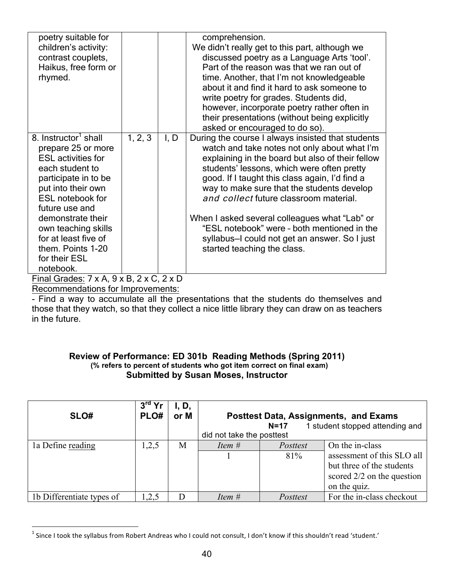| poetry suitable for<br>children's activity:<br>contrast couplets,<br>Haikus, free form or<br>rhymed.                                                                                                                                                                                                                     |         |      | comprehension.<br>We didn't really get to this part, although we<br>discussed poetry as a Language Arts 'tool'.<br>Part of the reason was that we ran out of<br>time. Another, that I'm not knowledgeable<br>about it and find it hard to ask someone to<br>write poetry for grades. Students did,<br>however, incorporate poetry rather often in<br>their presentations (without being explicitly<br>asked or encouraged to do so).                                                                                          |
|--------------------------------------------------------------------------------------------------------------------------------------------------------------------------------------------------------------------------------------------------------------------------------------------------------------------------|---------|------|-------------------------------------------------------------------------------------------------------------------------------------------------------------------------------------------------------------------------------------------------------------------------------------------------------------------------------------------------------------------------------------------------------------------------------------------------------------------------------------------------------------------------------|
| 8. Instructor <sup>1</sup> shall<br>prepare 25 or more<br><b>ESL</b> activities for<br>each student to<br>participate in to be<br>put into their own<br><b>ESL notebook for</b><br>future use and<br>demonstrate their<br>own teaching skills<br>for at least five of<br>them. Points 1-20<br>for their ESL<br>notebook. | 1, 2, 3 | I, D | During the course I always insisted that students<br>watch and take notes not only about what I'm<br>explaining in the board but also of their fellow<br>students' lessons, which were often pretty<br>good. If I taught this class again, I'd find a<br>way to make sure that the students develop<br>and collect future classroom material.<br>When I asked several colleagues what "Lab" or<br>"ESL notebook" were - both mentioned in the<br>syllabus-I could not get an answer. So I just<br>started teaching the class. |
| Final Grades: $7 \times A$ , $9 \times B$ , $2 \times C$ , $2 \times D$                                                                                                                                                                                                                                                  |         |      |                                                                                                                                                                                                                                                                                                                                                                                                                                                                                                                               |

Recommendations for Improvements:

- Find a way to accumulate all the presentations that the students do themselves and those that they watch, so that they collect a nice little library they can draw on as teachers in the future.

# **Review of Performance: ED 301b Reading Methods (Spring 2011) (% refers to percent of students who got item correct on final exam) Submitted by Susan Moses, Instructor**

| SLO#                      | $3rd$ Yr<br>PLO# | I, D,<br>or M | did not take the posttest | $N=17$          | <b>Posttest Data, Assignments, and Exams</b><br>1 student stopped attending and                                            |
|---------------------------|------------------|---------------|---------------------------|-----------------|----------------------------------------------------------------------------------------------------------------------------|
| 1a Define reading         | 1,2,5            | M             | Item #                    | Posttest<br>81% | On the in-class<br>assessment of this SLO all<br>but three of the students<br>scored $2/2$ on the question<br>on the quiz. |
| 1b Differentiate types of | ,2,5             |               | Item #                    | Posttest        | For the in-class checkout                                                                                                  |

 $1$  Since I took the syllabus from Robert Andreas who I could not consult, I don't know if this shouldn't read 'student.'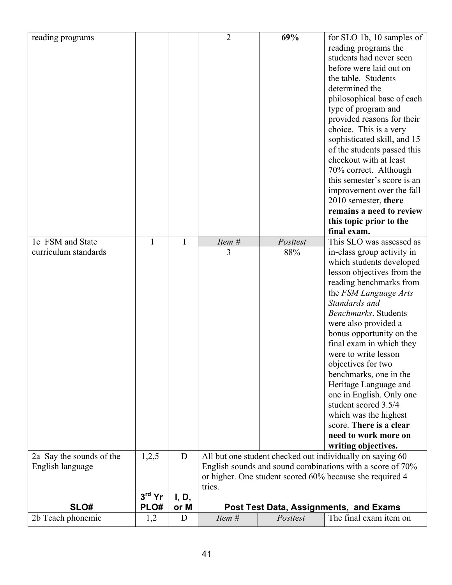| reading programs                             |          |           | $\overline{2}$ | 69%             | for SLO 1b, 10 samples of<br>reading programs the<br>students had never seen<br>before were laid out on<br>the table. Students<br>determined the<br>philosophical base of each<br>type of program and<br>provided reasons for their<br>choice. This is a very<br>sophisticated skill, and 15<br>of the students passed this<br>checkout with at least<br>70% correct. Although<br>this semester's score is an<br>improvement over the fall<br>2010 semester, there                                                                                            |
|----------------------------------------------|----------|-----------|----------------|-----------------|---------------------------------------------------------------------------------------------------------------------------------------------------------------------------------------------------------------------------------------------------------------------------------------------------------------------------------------------------------------------------------------------------------------------------------------------------------------------------------------------------------------------------------------------------------------|
|                                              |          |           |                |                 | remains a need to review<br>this topic prior to the<br>final exam.                                                                                                                                                                                                                                                                                                                                                                                                                                                                                            |
| 1c FSM and State<br>curriculum standards     | 1        | I         | Item #<br>3    | Posttest<br>88% | This SLO was assessed as<br>in-class group activity in<br>which students developed<br>lesson objectives from the<br>reading benchmarks from<br>the FSM Language Arts<br>Standards and<br><b>Benchmarks</b> . Students<br>were also provided a<br>bonus opportunity on the<br>final exam in which they<br>were to write lesson<br>objectives for two<br>benchmarks, one in the<br>Heritage Language and<br>one in English. Only one<br>student scored 3.5/4<br>which was the highest<br>score. There is a clear<br>need to work more on<br>writing objectives. |
| 2a Say the sounds of the<br>English language | 1,2,5    | D         |                |                 | All but one student checked out individually on saying 60<br>English sounds and sound combinations with a score of 70%<br>or higher. One student scored 60% because she required 4                                                                                                                                                                                                                                                                                                                                                                            |
|                                              | $3rd$ Yr | I, D,     | tries.         |                 |                                                                                                                                                                                                                                                                                                                                                                                                                                                                                                                                                               |
| SLO#<br>2b Teach phonemic                    | PLO#     | or M<br>D | Item #         | Posttest        | Post Test Data, Assignments, and Exams<br>The final exam item on                                                                                                                                                                                                                                                                                                                                                                                                                                                                                              |
|                                              | 1,2      |           |                |                 |                                                                                                                                                                                                                                                                                                                                                                                                                                                                                                                                                               |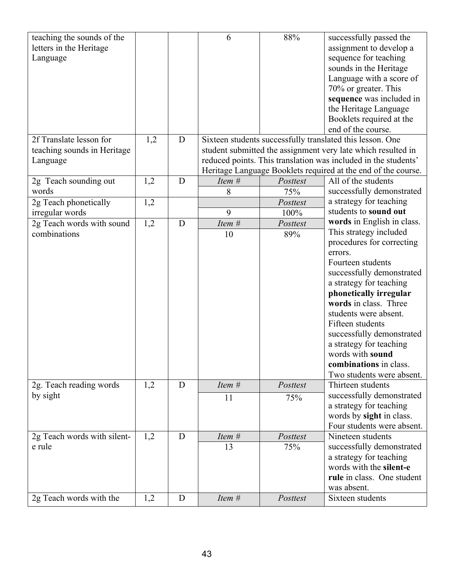| teaching the sounds of the     |     |   | 6        | 88%      | successfully passed the                                        |
|--------------------------------|-----|---|----------|----------|----------------------------------------------------------------|
| letters in the Heritage        |     |   |          |          | assignment to develop a                                        |
| Language                       |     |   |          |          | sequence for teaching                                          |
|                                |     |   |          |          | sounds in the Heritage                                         |
|                                |     |   |          |          | Language with a score of                                       |
|                                |     |   |          |          | 70% or greater. This                                           |
|                                |     |   |          |          | sequence was included in                                       |
|                                |     |   |          |          | the Heritage Language                                          |
|                                |     |   |          |          | Booklets required at the                                       |
|                                |     |   |          |          | end of the course.                                             |
| 2f Translate lesson for        | 1,2 | D |          |          | Sixteen students successfully translated this lesson. One      |
| teaching sounds in Heritage    |     |   |          |          | student submitted the assignment very late which resulted in   |
| Language                       |     |   |          |          | reduced points. This translation was included in the students' |
|                                |     |   |          |          | Heritage Language Booklets required at the end of the course.  |
|                                | 1,2 | D | Item #   | Posttest | All of the students                                            |
| 2g Teach sounding out<br>words |     |   |          |          |                                                                |
|                                |     |   | 8        | 75%      | successfully demonstrated                                      |
| 2g Teach phonetically          | 1,2 |   |          | Posttest | a strategy for teaching                                        |
| irregular words                |     |   | 9        | 100%     | students to sound out                                          |
| 2g Teach words with sound      | 1,2 | D | Item #   | Posttest | words in English in class.                                     |
| combinations                   |     |   | 10       | 89%      | This strategy included                                         |
|                                |     |   |          |          | procedures for correcting                                      |
|                                |     |   |          |          | errors.                                                        |
|                                |     |   |          |          | Fourteen students                                              |
|                                |     |   |          |          | successfully demonstrated                                      |
|                                |     |   |          |          | a strategy for teaching                                        |
|                                |     |   |          |          | phonetically irregular                                         |
|                                |     |   |          |          | words in class. Three                                          |
|                                |     |   |          |          | students were absent.                                          |
|                                |     |   |          |          | Fifteen students                                               |
|                                |     |   |          |          | successfully demonstrated                                      |
|                                |     |   |          |          | a strategy for teaching                                        |
|                                |     |   |          |          | words with sound                                               |
|                                |     |   |          |          | combinations in class.                                         |
|                                |     |   |          |          | Two students were absent.                                      |
| 2g. Teach reading words        | 1,2 | D | Item $#$ | Posttest | Thirteen students                                              |
| by sight                       |     |   |          |          | successfully demonstrated                                      |
|                                |     |   | 11       | 75%      | a strategy for teaching                                        |
|                                |     |   |          |          |                                                                |
|                                |     |   |          |          | words by sight in class.                                       |
|                                |     |   |          |          | Four students were absent.                                     |
| 2g Teach words with silent-    | 1,2 | D | Item #   | Posttest | Nineteen students                                              |
| e rule                         |     |   | 13       | 75%      | successfully demonstrated                                      |
|                                |     |   |          |          | a strategy for teaching                                        |
|                                |     |   |          |          | words with the silent-e                                        |
|                                |     |   |          |          | rule in class. One student                                     |
|                                |     |   |          |          | was absent.                                                    |
| 2g Teach words with the        | 1,2 | D | Item #   | Posttest | Sixteen students                                               |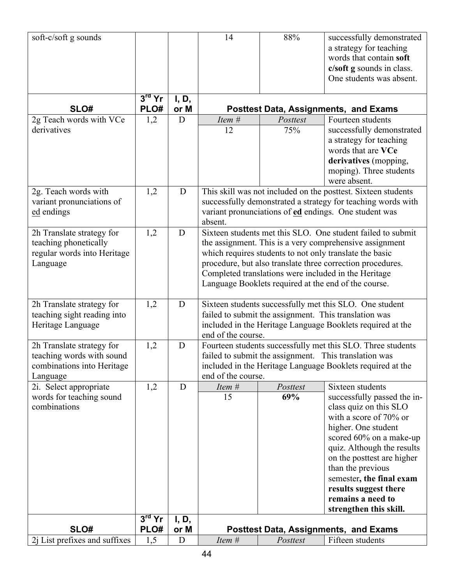| soft-c/soft g sounds          |          |               | 14                                                                                                                   | 88%      | successfully demonstrated                                    |  |  |
|-------------------------------|----------|---------------|----------------------------------------------------------------------------------------------------------------------|----------|--------------------------------------------------------------|--|--|
|                               |          |               |                                                                                                                      |          | a strategy for teaching                                      |  |  |
|                               |          |               |                                                                                                                      |          | words that contain soft                                      |  |  |
|                               |          |               |                                                                                                                      |          | c/soft g sounds in class.                                    |  |  |
|                               |          |               |                                                                                                                      |          | One students was absent.                                     |  |  |
|                               |          |               |                                                                                                                      |          |                                                              |  |  |
|                               | $3rd$ Yr | I, D,         |                                                                                                                      |          |                                                              |  |  |
| SLO#                          | PLO#     | or M          |                                                                                                                      |          | <b>Posttest Data, Assignments, and Exams</b>                 |  |  |
| 2g Teach words with VCe       | 1,2      | D             | Item #                                                                                                               | Posttest | Fourteen students                                            |  |  |
| derivatives                   |          |               | 12                                                                                                                   | 75%      | successfully demonstrated                                    |  |  |
|                               |          |               |                                                                                                                      |          | a strategy for teaching                                      |  |  |
|                               |          |               |                                                                                                                      |          | words that are VCe                                           |  |  |
|                               |          |               |                                                                                                                      |          | derivatives (mopping,                                        |  |  |
|                               |          |               |                                                                                                                      |          | moping). Three students                                      |  |  |
|                               |          |               |                                                                                                                      |          | were absent.                                                 |  |  |
| 2g. Teach words with          | 1,2      | D             | This skill was not included on the posttest. Sixteen students                                                        |          |                                                              |  |  |
| variant pronunciations of     |          |               |                                                                                                                      |          | successfully demonstrated a strategy for teaching words with |  |  |
| ed endings                    |          |               |                                                                                                                      |          | variant pronunciations of ed endings. One student was        |  |  |
|                               |          |               | absent.                                                                                                              |          |                                                              |  |  |
| 2h Translate strategy for     | 1,2      | D             | Sixteen students met this SLO. One student failed to submit                                                          |          |                                                              |  |  |
| teaching phonetically         |          |               | the assignment. This is a very comprehensive assignment                                                              |          |                                                              |  |  |
| regular words into Heritage   |          |               | which requires students to not only translate the basic                                                              |          |                                                              |  |  |
| Language                      |          |               | procedure, but also translate three correction procedures.                                                           |          |                                                              |  |  |
|                               |          |               |                                                                                                                      |          | Completed translations were included in the Heritage         |  |  |
|                               |          |               | Language Booklets required at the end of the course.                                                                 |          |                                                              |  |  |
|                               |          | D             |                                                                                                                      |          |                                                              |  |  |
| 2h Translate strategy for     | 1,2      |               |                                                                                                                      |          | Sixteen students successfully met this SLO. One student      |  |  |
| teaching sight reading into   |          |               |                                                                                                                      |          | failed to submit the assignment. This translation was        |  |  |
| Heritage Language             |          |               | included in the Heritage Language Booklets required at the<br>end of the course.                                     |          |                                                              |  |  |
| 2h Translate strategy for     | 1,2      | D             |                                                                                                                      |          |                                                              |  |  |
| teaching words with sound     |          |               | Fourteen students successfully met this SLO. Three students<br>failed to submit the assignment. This translation was |          |                                                              |  |  |
| combinations into Heritage    |          |               |                                                                                                                      |          |                                                              |  |  |
| Language                      |          |               | included in the Heritage Language Booklets required at the<br>end of the course.                                     |          |                                                              |  |  |
| 2i. Select appropriate        | 1,2      | D             | Item #                                                                                                               | Posttest | Sixteen students                                             |  |  |
| words for teaching sound      |          |               | 15                                                                                                                   | 69%      | successfully passed the in-                                  |  |  |
| combinations                  |          |               |                                                                                                                      |          | class quiz on this SLO                                       |  |  |
|                               |          |               |                                                                                                                      |          | with a score of 70% or                                       |  |  |
|                               |          |               |                                                                                                                      |          | higher. One student                                          |  |  |
|                               |          |               |                                                                                                                      |          | scored 60% on a make-up                                      |  |  |
|                               |          |               |                                                                                                                      |          | quiz. Although the results                                   |  |  |
|                               |          |               |                                                                                                                      |          | on the posttest are higher                                   |  |  |
|                               |          |               |                                                                                                                      |          | than the previous                                            |  |  |
|                               |          |               |                                                                                                                      |          | semester, the final exam                                     |  |  |
|                               |          |               |                                                                                                                      |          | results suggest there                                        |  |  |
|                               |          |               |                                                                                                                      |          | remains a need to                                            |  |  |
|                               | $3rd$ Yr |               |                                                                                                                      |          | strengthen this skill.                                       |  |  |
| SLO#                          | PLO#     | I, D,<br>or M |                                                                                                                      |          | <b>Posttest Data, Assignments, and Exams</b>                 |  |  |
| 2j List prefixes and suffixes | 1,5      | D             | Item #                                                                                                               | Posttest | Fifteen students                                             |  |  |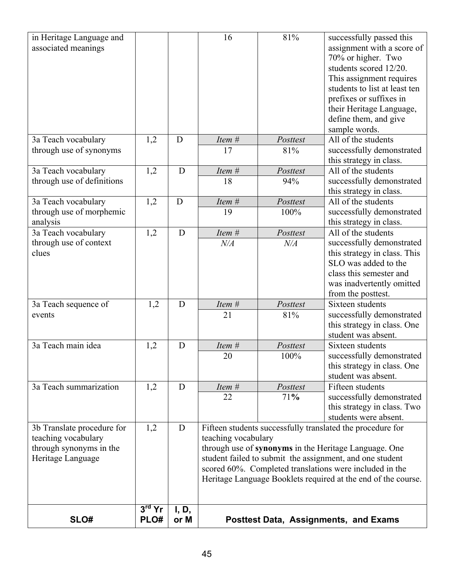| in Heritage Language and<br>associated meanings                                                   |                  |               | 16                                                                                                                                                                                                                                                                                                                                 | 81%              | successfully passed this<br>assignment with a score of<br>70% or higher. Two<br>students scored 12/20.<br>This assignment requires<br>students to list at least ten<br>prefixes or suffixes in<br>their Heritage Language,<br>define them, and give<br>sample words. |  |
|---------------------------------------------------------------------------------------------------|------------------|---------------|------------------------------------------------------------------------------------------------------------------------------------------------------------------------------------------------------------------------------------------------------------------------------------------------------------------------------------|------------------|----------------------------------------------------------------------------------------------------------------------------------------------------------------------------------------------------------------------------------------------------------------------|--|
| 3a Teach vocabulary<br>through use of synonyms                                                    | 1,2              | D             | Item #<br>17                                                                                                                                                                                                                                                                                                                       | Posttest<br>81%  | All of the students<br>successfully demonstrated<br>this strategy in class.                                                                                                                                                                                          |  |
| 3a Teach vocabulary<br>through use of definitions                                                 | 1,2              | D             | Item #<br>18                                                                                                                                                                                                                                                                                                                       | Posttest<br>94%  | All of the students<br>successfully demonstrated<br>this strategy in class.                                                                                                                                                                                          |  |
| 3a Teach vocabulary<br>through use of morphemic<br>analysis                                       | 1,2              | D             | Item #<br>19                                                                                                                                                                                                                                                                                                                       | Posttest<br>100% | All of the students<br>successfully demonstrated<br>this strategy in class.                                                                                                                                                                                          |  |
| 3a Teach vocabulary<br>through use of context<br>clues                                            | 1,2              | D             | Item #<br>$N\!/\!A$                                                                                                                                                                                                                                                                                                                | Posttest<br>N/A  | All of the students<br>successfully demonstrated<br>this strategy in class. This<br>SLO was added to the<br>class this semester and<br>was inadvertently omitted<br>from the posttest.                                                                               |  |
| 3a Teach sequence of<br>events                                                                    | 1,2              | D             | Item #<br>21                                                                                                                                                                                                                                                                                                                       | Posttest<br>81%  | Sixteen students<br>successfully demonstrated<br>this strategy in class. One<br>student was absent.                                                                                                                                                                  |  |
| 3a Teach main idea                                                                                | 1,2              | D             | Item #<br>20                                                                                                                                                                                                                                                                                                                       | Posttest<br>100% | Sixteen students<br>successfully demonstrated<br>this strategy in class. One<br>student was absent.                                                                                                                                                                  |  |
| 3a Teach summarization                                                                            | 1,2              | D             | Item #<br>22                                                                                                                                                                                                                                                                                                                       | Posttest<br>71%  | Fifteen students<br>successfully demonstrated<br>this strategy in class. Two<br>students were absent.                                                                                                                                                                |  |
| 3b Translate procedure for<br>teaching vocabulary<br>through synonyms in the<br>Heritage Language | 1,2              | D             | Fifteen students successfully translated the procedure for<br>teaching vocabulary<br>through use of synonyms in the Heritage Language. One<br>student failed to submit the assignment, and one student<br>scored 60%. Completed translations were included in the<br>Heritage Language Booklets required at the end of the course. |                  |                                                                                                                                                                                                                                                                      |  |
| SLO#                                                                                              | $3rd$ Yr<br>PLO# | I, D,<br>or M |                                                                                                                                                                                                                                                                                                                                    |                  | <b>Posttest Data, Assignments, and Exams</b>                                                                                                                                                                                                                         |  |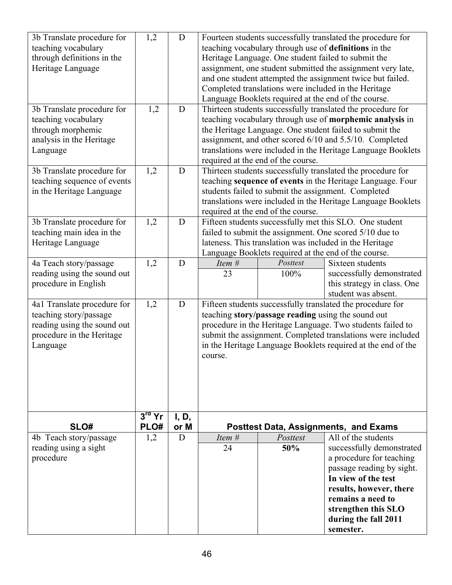| 3b Translate procedure for<br>teaching vocabulary<br>through definitions in the<br>Heritage Language<br>3b Translate procedure for | 1,2<br>1,2                 | D<br>$\mathbf D$ | Fourteen students successfully translated the procedure for<br>teaching vocabulary through use of definitions in the<br>Heritage Language. One student failed to submit the<br>assignment, one student submitted the assignment very late,<br>and one student attempted the assignment twice but failed.<br>Completed translations were included in the Heritage<br>Language Booklets required at the end of the course.<br>Thirteen students successfully translated the procedure for |                  |                                                                                                                                                                                                                                              |  |  |
|------------------------------------------------------------------------------------------------------------------------------------|----------------------------|------------------|-----------------------------------------------------------------------------------------------------------------------------------------------------------------------------------------------------------------------------------------------------------------------------------------------------------------------------------------------------------------------------------------------------------------------------------------------------------------------------------------|------------------|----------------------------------------------------------------------------------------------------------------------------------------------------------------------------------------------------------------------------------------------|--|--|
| teaching vocabulary<br>through morphemic<br>analysis in the Heritage<br>Language                                                   |                            |                  | teaching vocabulary through use of morphemic analysis in<br>the Heritage Language. One student failed to submit the<br>assignment, and other scored 6/10 and 5.5/10. Completed<br>translations were included in the Heritage Language Booklets<br>required at the end of the course.                                                                                                                                                                                                    |                  |                                                                                                                                                                                                                                              |  |  |
| 3b Translate procedure for<br>teaching sequence of events<br>in the Heritage Language                                              | 1,2                        | D                | Thirteen students successfully translated the procedure for<br>teaching sequence of events in the Heritage Language. Four<br>students failed to submit the assignment. Completed<br>translations were included in the Heritage Language Booklets<br>required at the end of the course.                                                                                                                                                                                                  |                  |                                                                                                                                                                                                                                              |  |  |
| 3b Translate procedure for<br>teaching main idea in the<br>Heritage Language                                                       | 1,2                        | D                | Fifteen students successfully met this SLO. One student<br>failed to submit the assignment. One scored 5/10 due to<br>lateness. This translation was included in the Heritage<br>Language Booklets required at the end of the course.                                                                                                                                                                                                                                                   |                  |                                                                                                                                                                                                                                              |  |  |
| 4a Teach story/passage<br>reading using the sound out<br>procedure in English                                                      | 1,2                        | D                | Item #<br>23                                                                                                                                                                                                                                                                                                                                                                                                                                                                            | Posttest<br>100% | Sixteen students<br>successfully demonstrated<br>this strategy in class. One<br>student was absent.                                                                                                                                          |  |  |
| 4a1 Translate procedure for<br>teaching story/passage<br>reading using the sound out<br>procedure in the Heritage<br>Language      | 1,2                        | D                | Fifteen students successfully translated the procedure for<br>teaching story/passage reading using the sound out<br>procedure in the Heritage Language. Two students failed to<br>submit the assignment. Completed translations were included<br>in the Heritage Language Booklets required at the end of the<br>course.                                                                                                                                                                |                  |                                                                                                                                                                                                                                              |  |  |
| SLO#                                                                                                                               | $3^{\text{rd}}$ Yr<br>PLO# | I, D,<br>or M    |                                                                                                                                                                                                                                                                                                                                                                                                                                                                                         |                  | <b>Posttest Data, Assignments, and Exams</b>                                                                                                                                                                                                 |  |  |
| 4b Teach story/passage<br>reading using a sight<br>procedure                                                                       | 1,2                        | D                | Item #<br>24                                                                                                                                                                                                                                                                                                                                                                                                                                                                            | Posttest<br>50%  | All of the students<br>successfully demonstrated<br>a procedure for teaching<br>passage reading by sight.<br>In view of the test<br>results, however, there<br>remains a need to<br>strengthen this SLO<br>during the fall 2011<br>semester. |  |  |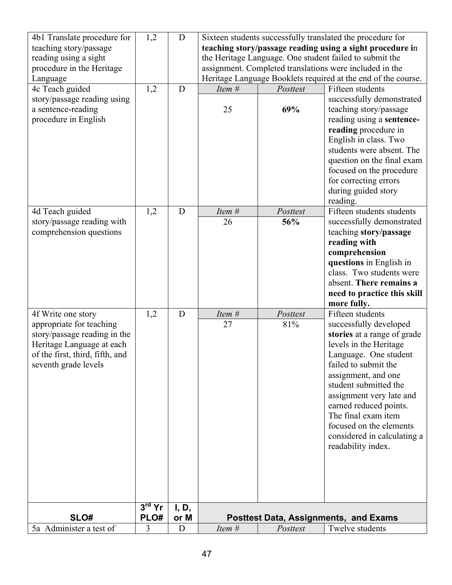| 4b1 Translate procedure for     | 1,2      | D     |                                                         |                                                           | Sixteen students successfully translated the procedure for    |  |  |
|---------------------------------|----------|-------|---------------------------------------------------------|-----------------------------------------------------------|---------------------------------------------------------------|--|--|
| teaching story/passage          |          |       |                                                         | teaching story/passage reading using a sight procedure in |                                                               |  |  |
| reading using a sight           |          |       | the Heritage Language. One student failed to submit the |                                                           |                                                               |  |  |
| procedure in the Heritage       |          |       |                                                         |                                                           | assignment. Completed translations were included in the       |  |  |
| Language                        |          |       |                                                         |                                                           | Heritage Language Booklets required at the end of the course. |  |  |
| 4c Teach guided                 | 1,2      | D     | Item #                                                  | Posttest                                                  | Fifteen students                                              |  |  |
| story/passage reading using     |          |       |                                                         |                                                           | successfully demonstrated                                     |  |  |
| a sentence-reading              |          |       | 25                                                      | 69%                                                       | teaching story/passage                                        |  |  |
| procedure in English            |          |       |                                                         |                                                           | reading using a sentence-                                     |  |  |
|                                 |          |       |                                                         |                                                           | reading procedure in                                          |  |  |
|                                 |          |       |                                                         |                                                           | English in class. Two                                         |  |  |
|                                 |          |       |                                                         |                                                           | students were absent. The                                     |  |  |
|                                 |          |       |                                                         |                                                           | question on the final exam                                    |  |  |
|                                 |          |       |                                                         |                                                           | focused on the procedure                                      |  |  |
|                                 |          |       |                                                         |                                                           | for correcting errors                                         |  |  |
|                                 |          |       |                                                         |                                                           | during guided story                                           |  |  |
|                                 |          |       |                                                         |                                                           | reading.                                                      |  |  |
| 4d Teach guided                 | 1,2      | D     | Item #                                                  | Posttest                                                  | Fifteen students students                                     |  |  |
| story/passage reading with      |          |       | 26                                                      | 56%                                                       | successfully demonstrated                                     |  |  |
| comprehension questions         |          |       |                                                         |                                                           | teaching story/passage                                        |  |  |
|                                 |          |       |                                                         |                                                           | reading with                                                  |  |  |
|                                 |          |       |                                                         |                                                           | comprehension                                                 |  |  |
|                                 |          |       |                                                         |                                                           | questions in English in                                       |  |  |
|                                 |          |       |                                                         |                                                           | class. Two students were                                      |  |  |
|                                 |          |       |                                                         |                                                           | absent. There remains a                                       |  |  |
|                                 |          |       |                                                         |                                                           | need to practice this skill                                   |  |  |
|                                 |          |       |                                                         |                                                           | more fully.                                                   |  |  |
| 4f Write one story              | 1,2      | D     | Item #                                                  | Posttest                                                  | Fifteen students                                              |  |  |
| appropriate for teaching        |          |       | 27                                                      | 81%                                                       | successfully developed                                        |  |  |
| story/passage reading in the    |          |       |                                                         |                                                           | stories at a range of grade                                   |  |  |
| Heritage Language at each       |          |       |                                                         |                                                           | levels in the Heritage                                        |  |  |
| of the first, third, fifth, and |          |       |                                                         |                                                           | Language. One student                                         |  |  |
| seventh grade levels            |          |       |                                                         |                                                           | failed to submit the                                          |  |  |
|                                 |          |       |                                                         |                                                           | assignment, and one                                           |  |  |
|                                 |          |       |                                                         |                                                           | student submitted the                                         |  |  |
|                                 |          |       |                                                         |                                                           | assignment very late and                                      |  |  |
|                                 |          |       |                                                         |                                                           | earned reduced points.                                        |  |  |
|                                 |          |       |                                                         |                                                           | The final exam item                                           |  |  |
|                                 |          |       |                                                         |                                                           | focused on the elements                                       |  |  |
|                                 |          |       |                                                         |                                                           | considered in calculating a                                   |  |  |
|                                 |          |       |                                                         |                                                           | readability index.                                            |  |  |
|                                 |          |       |                                                         |                                                           |                                                               |  |  |
|                                 |          |       |                                                         |                                                           |                                                               |  |  |
|                                 |          |       |                                                         |                                                           |                                                               |  |  |
|                                 |          |       |                                                         |                                                           |                                                               |  |  |
|                                 | $3rd$ Yr | I, D, |                                                         |                                                           |                                                               |  |  |
| SLO#                            | PLO#     | or M  |                                                         |                                                           | <b>Posttest Data, Assignments, and Exams</b>                  |  |  |
| 5a Administer a test of         | 3        | D     | Item #                                                  | Posttest                                                  | Twelve students                                               |  |  |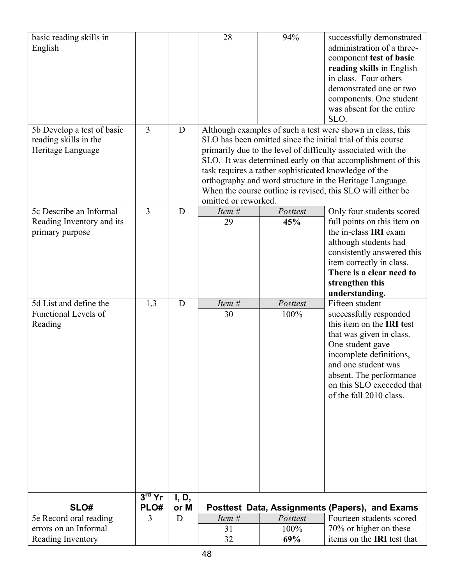| basic reading skills in     |                |       | 28                   | 94%                                                   | successfully demonstrated                                    |
|-----------------------------|----------------|-------|----------------------|-------------------------------------------------------|--------------------------------------------------------------|
| English                     |                |       |                      |                                                       | administration of a three-                                   |
|                             |                |       |                      |                                                       | component test of basic                                      |
|                             |                |       |                      |                                                       | reading skills in English                                    |
|                             |                |       |                      |                                                       | in class. Four others                                        |
|                             |                |       |                      |                                                       | demonstrated one or two                                      |
|                             |                |       |                      |                                                       | components. One student                                      |
|                             |                |       |                      |                                                       | was absent for the entire                                    |
|                             |                |       |                      |                                                       | SLO.                                                         |
| 5b Develop a test of basic  | $\overline{3}$ | D     |                      |                                                       | Although examples of such a test were shown in class, this   |
| reading skills in the       |                |       |                      |                                                       | SLO has been omitted since the initial trial of this course  |
| Heritage Language           |                |       |                      |                                                       | primarily due to the level of difficulty associated with the |
|                             |                |       |                      |                                                       |                                                              |
|                             |                |       |                      |                                                       | SLO. It was determined early on that accomplishment of this  |
|                             |                |       |                      | task requires a rather sophisticated knowledge of the |                                                              |
|                             |                |       |                      |                                                       | orthography and word structure in the Heritage Language.     |
|                             |                |       |                      |                                                       | When the course outline is revised, this SLO will either be  |
|                             |                |       | omitted or reworked. |                                                       |                                                              |
| 5c Describe an Informal     | $\overline{3}$ | D     | Item #               | Posttest                                              | Only four students scored                                    |
| Reading Inventory and its   |                |       | 29                   | 45%                                                   | full points on this item on                                  |
| primary purpose             |                |       |                      |                                                       | the in-class IRI exam                                        |
|                             |                |       |                      |                                                       | although students had                                        |
|                             |                |       |                      |                                                       | consistently answered this                                   |
|                             |                |       |                      |                                                       | item correctly in class.                                     |
|                             |                |       |                      |                                                       | There is a clear need to                                     |
|                             |                |       |                      |                                                       | strengthen this                                              |
|                             |                |       |                      |                                                       | understanding.                                               |
| 5d List and define the      | 1,3            | D     | Item #               | Posttest                                              | Fifteen student                                              |
| <b>Functional Levels of</b> |                |       | 30                   | 100%                                                  | successfully responded                                       |
| Reading                     |                |       |                      |                                                       | this item on the <b>IRI</b> test                             |
|                             |                |       |                      |                                                       | that was given in class.                                     |
|                             |                |       |                      |                                                       | One student gave                                             |
|                             |                |       |                      |                                                       | incomplete definitions,                                      |
|                             |                |       |                      |                                                       | and one student was                                          |
|                             |                |       |                      |                                                       | absent. The performance                                      |
|                             |                |       |                      |                                                       | on this SLO exceeded that                                    |
|                             |                |       |                      |                                                       | of the fall 2010 class.                                      |
|                             |                |       |                      |                                                       |                                                              |
|                             |                |       |                      |                                                       |                                                              |
|                             |                |       |                      |                                                       |                                                              |
|                             |                |       |                      |                                                       |                                                              |
|                             |                |       |                      |                                                       |                                                              |
|                             |                |       |                      |                                                       |                                                              |
|                             |                |       |                      |                                                       |                                                              |
|                             |                |       |                      |                                                       |                                                              |
|                             |                |       |                      |                                                       |                                                              |
|                             | $3rd$ Yr       | I, D, |                      |                                                       |                                                              |
| SLO#                        | PLO#           | or M  |                      |                                                       | Posttest Data, Assignments (Papers), and Exams               |
| 5e Record oral reading      | 3              | D     | Item #               | Posttest                                              | Fourteen students scored                                     |
| errors on an Informal       |                |       | 31                   | 100%                                                  | 70% or higher on these                                       |
|                             |                |       |                      |                                                       |                                                              |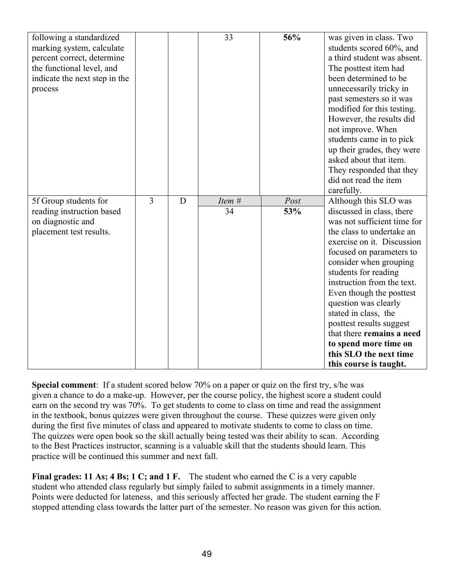| following a standardized<br>marking system, calculate<br>percent correct, determine<br>the functional level, and<br>indicate the next step in the<br>process |                |   | 33           | 56%         | was given in class. Two<br>students scored 60%, and<br>a third student was absent.<br>The posttest item had<br>been determined to be<br>unnecessarily tricky in<br>past semesters so it was<br>modified for this testing.<br>However, the results did<br>not improve. When<br>students came in to pick<br>up their grades, they were<br>asked about that item.<br>They responded that they<br>did not read the item<br>carefully.                                          |
|--------------------------------------------------------------------------------------------------------------------------------------------------------------|----------------|---|--------------|-------------|----------------------------------------------------------------------------------------------------------------------------------------------------------------------------------------------------------------------------------------------------------------------------------------------------------------------------------------------------------------------------------------------------------------------------------------------------------------------------|
| 5f Group students for<br>reading instruction based<br>on diagnostic and<br>placement test results.                                                           | $\overline{3}$ | D | Item #<br>34 | Post<br>53% | Although this SLO was<br>discussed in class, there<br>was not sufficient time for<br>the class to undertake an<br>exercise on it. Discussion<br>focused on parameters to<br>consider when grouping<br>students for reading<br>instruction from the text.<br>Even though the posttest<br>question was clearly<br>stated in class, the<br>posttest results suggest<br>that there remains a need<br>to spend more time on<br>this SLO the next time<br>this course is taught. |

**Special comment**: If a student scored below 70% on a paper or quiz on the first try, s/he was given a chance to do a make-up. However, per the course policy, the highest score a student could earn on the second try was 70%. To get students to come to class on time and read the assignment in the textbook, bonus quizzes were given throughout the course. These quizzes were given only during the first five minutes of class and appeared to motivate students to come to class on time. The quizzes were open book so the skill actually being tested was their ability to scan. According to the Best Practices instructor, scanning is a valuable skill that the students should learn. This practice will be continued this summer and next fall.

**Final grades: 11 As; 4 Bs; 1 C; and 1 F.** The student who earned the C is a very capable student who attended class regularly but simply failed to submit assignments in a timely manner. Points were deducted for lateness, and this seriously affected her grade. The student earning the F stopped attending class towards the latter part of the semester. No reason was given for this action.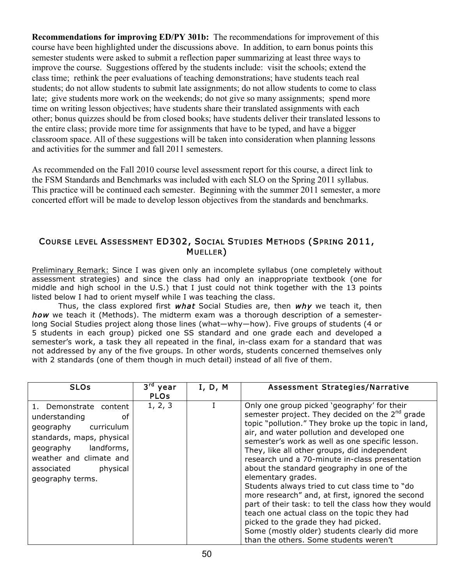**Recommendations for improving ED/PY 301b:** The recommendations for improvement of this course have been highlighted under the discussions above. In addition, to earn bonus points this semester students were asked to submit a reflection paper summarizing at least three ways to improve the course. Suggestions offered by the students include: visit the schools; extend the class time; rethink the peer evaluations of teaching demonstrations; have students teach real students; do not allow students to submit late assignments; do not allow students to come to class late; give students more work on the weekends; do not give so many assignments; spend more time on writing lesson objectives; have students share their translated assignments with each other; bonus quizzes should be from closed books; have students deliver their translated lessons to the entire class; provide more time for assignments that have to be typed, and have a bigger classroom space. All of these suggestions will be taken into consideration when planning lessons and activities for the summer and fall 2011 semesters.

As recommended on the Fall 2010 course level assessment report for this course, a direct link to the FSM Standards and Benchmarks was included with each SLO on the Spring 2011 syllabus. This practice will be continued each semester. Beginning with the summer 2011 semester, a more concerted effort will be made to develop lesson objectives from the standards and benchmarks.

#### COURSE LEVEL ASSESSMENT ED302, SOCIAL STUDIES METHODS (SPRING 2011, MUELLER)

Preliminary Remark: Since I was given only an incomplete syllabus (one completely without assessment strategies) and since the class had only an inappropriate textbook (one for middle and high school in the U.S.) that I just could not think together with the 13 points listed below I had to orient myself while I was teaching the class.

Thus, the class explored first *what* Social Studies are, then  $w h v$  we teach it, then how we teach it (Methods). The midterm exam was a thorough description of a semesterlong Social Studies project along those lines (what—why—how). Five groups of students (4 or 5 students in each group) picked one SS standard and one grade each and developed a semester's work, a task they all repeated in the final, in-class exam for a standard that was not addressed by any of the five groups. In other words, students concerned themselves only with 2 standards (one of them though in much detail) instead of all five of them.

| <b>SLOS</b>                                                                                                                                                                                            | 3 <sup>rd</sup> year | I, D, M | Assessment Strategies/Narrative                                                                                                                                                                                                                                                                                                                                                                                                                                                                                                                                                                                                                                                                                                                                                 |
|--------------------------------------------------------------------------------------------------------------------------------------------------------------------------------------------------------|----------------------|---------|---------------------------------------------------------------------------------------------------------------------------------------------------------------------------------------------------------------------------------------------------------------------------------------------------------------------------------------------------------------------------------------------------------------------------------------------------------------------------------------------------------------------------------------------------------------------------------------------------------------------------------------------------------------------------------------------------------------------------------------------------------------------------------|
|                                                                                                                                                                                                        | <b>PLOs</b>          |         |                                                                                                                                                                                                                                                                                                                                                                                                                                                                                                                                                                                                                                                                                                                                                                                 |
| 1. Demonstrate content<br>understanding<br>οf<br>geography curriculum<br>standards, maps, physical<br>landforms,<br>geography<br>weather and climate and<br>associated<br>physical<br>geography terms. | 1, 2, 3              |         | Only one group picked 'geography' for their<br>semester project. They decided on the $2nd$ grade<br>topic "pollution." They broke up the topic in land,<br>air, and water pollution and developed one<br>semester's work as well as one specific lesson.<br>They, like all other groups, did independent<br>research und a 70-minute in-class presentation<br>about the standard geography in one of the<br>elementary grades.<br>Students always tried to cut class time to "do<br>more research" and, at first, ignored the second<br>part of their task: to tell the class how they would<br>teach one actual class on the topic they had<br>picked to the grade they had picked.<br>Some (mostly older) students clearly did more<br>than the others. Some students weren't |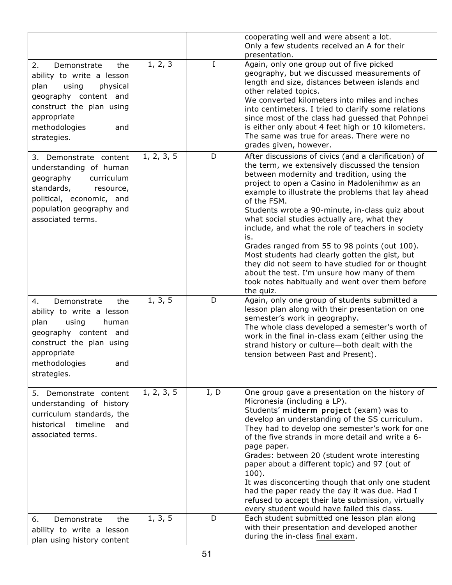|                                                                                                                                                                                               |            |         | cooperating well and were absent a lot.<br>Only a few students received an A for their<br>presentation.                                                                                                                                                                                                                                                                                                                                                                                                                                                                                                                                                                                                       |
|-----------------------------------------------------------------------------------------------------------------------------------------------------------------------------------------------|------------|---------|---------------------------------------------------------------------------------------------------------------------------------------------------------------------------------------------------------------------------------------------------------------------------------------------------------------------------------------------------------------------------------------------------------------------------------------------------------------------------------------------------------------------------------------------------------------------------------------------------------------------------------------------------------------------------------------------------------------|
| 2.<br>Demonstrate<br>the<br>ability to write a lesson<br>plan<br>using<br>physical<br>geography content and<br>construct the plan using<br>appropriate<br>methodologies<br>and<br>strategies. | 1, 2, 3    | $\bf I$ | Again, only one group out of five picked<br>geography, but we discussed measurements of<br>length and size, distances between islands and<br>other related topics.<br>We converted kilometers into miles and inches<br>into centimeters. I tried to clarify some relations<br>since most of the class had guessed that Pohnpei<br>is either only about 4 feet high or 10 kilometers.<br>The same was true for areas. There were no<br>grades given, however.                                                                                                                                                                                                                                                  |
| 3. Demonstrate content<br>understanding of human<br>geography<br>curriculum<br>standards,<br>resource,<br>political, economic, and<br>population geography and<br>associated terms.           | 1, 2, 3, 5 | D       | After discussions of civics (and a clarification) of<br>the term, we extensively discussed the tension<br>between modernity and tradition, using the<br>project to open a Casino in Madolenihmw as an<br>example to illustrate the problems that lay ahead<br>of the FSM.<br>Students wrote a 90-minute, in-class quiz about<br>what social studies actually are, what they<br>include, and what the role of teachers in society<br>is.<br>Grades ranged from 55 to 98 points (out 100).<br>Most students had clearly gotten the gist, but<br>they did not seem to have studied for or thought<br>about the test. I'm unsure how many of them<br>took notes habitually and went over them before<br>the quiz. |
| 4.<br>Demonstrate<br>the<br>ability to write a lesson<br>plan<br>using<br>human<br>geography content and<br>construct the plan using<br>appropriate<br>methodologies<br>and<br>strategies.    | 1, 3, 5    | D       | Again, only one group of students submitted a<br>lesson plan along with their presentation on one<br>semester's work in geography.<br>The whole class developed a semester's worth of<br>work in the final in-class exam (either using the<br>strand history or culture-both dealt with the<br>tension between Past and Present).                                                                                                                                                                                                                                                                                                                                                                             |
| 5. Demonstrate content<br>understanding of history<br>curriculum standards, the<br>timeline<br>historical<br>and<br>associated terms.                                                         | 1, 2, 3, 5 | I, D    | One group gave a presentation on the history of<br>Micronesia (including a LP).<br>Students' midterm project (exam) was to<br>develop an understanding of the SS curriculum.<br>They had to develop one semester's work for one<br>of the five strands in more detail and write a 6-<br>page paper.<br>Grades: between 20 (student wrote interesting<br>paper about a different topic) and 97 (out of<br>$100$ ).<br>It was disconcerting though that only one student<br>had the paper ready the day it was due. Had I<br>refused to accept their late submission, virtually<br>every student would have failed this class.                                                                                  |
| 6.<br>Demonstrate<br>the<br>ability to write a lesson<br>plan using history content                                                                                                           | 1, 3, 5    | D       | Each student submitted one lesson plan along<br>with their presentation and developed another<br>during the in-class final exam.                                                                                                                                                                                                                                                                                                                                                                                                                                                                                                                                                                              |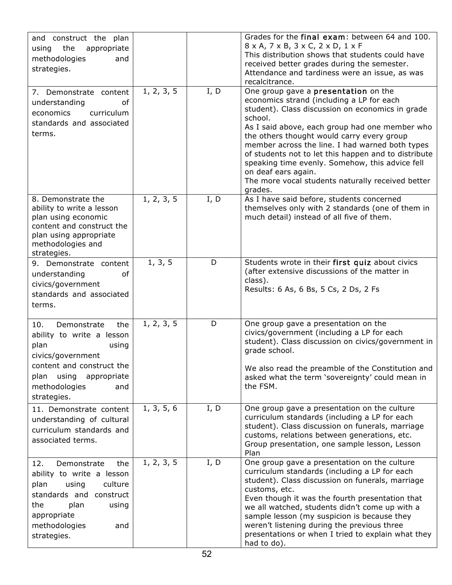| and construct the plan<br>the<br>using<br>appropriate<br>methodologies<br>and<br>strategies.                                                                                                     |            |      | Grades for the final exam: between 64 and 100.<br>$8 \times A$ , $7 \times B$ , $3 \times C$ , $2 \times D$ , $1 \times F$<br>This distribution shows that students could have<br>received better grades during the semester.<br>Attendance and tardiness were an issue, as was<br>recalcitrance.                                                                                                                                                                                                     |
|--------------------------------------------------------------------------------------------------------------------------------------------------------------------------------------------------|------------|------|-------------------------------------------------------------------------------------------------------------------------------------------------------------------------------------------------------------------------------------------------------------------------------------------------------------------------------------------------------------------------------------------------------------------------------------------------------------------------------------------------------|
| 7. Demonstrate content<br>understanding<br>of<br>economics<br>curriculum<br>standards and associated<br>terms.                                                                                   | 1, 2, 3, 5 | I, D | One group gave a presentation on the<br>economics strand (including a LP for each<br>student). Class discussion on economics in grade<br>school.<br>As I said above, each group had one member who<br>the others thought would carry every group<br>member across the line. I had warned both types<br>of students not to let this happen and to distribute<br>speaking time evenly. Somehow, this advice fell<br>on deaf ears again.<br>The more vocal students naturally received better<br>grades. |
| 8. Demonstrate the<br>ability to write a lesson<br>plan using economic<br>content and construct the<br>plan using appropriate<br>methodologies and<br>strategies.                                | 1, 2, 3, 5 | I, D | As I have said before, students concerned<br>themselves only with 2 standards (one of them in<br>much detail) instead of all five of them.                                                                                                                                                                                                                                                                                                                                                            |
| 9. Demonstrate content<br>of<br>understanding<br>civics/government<br>standards and associated<br>terms.                                                                                         | 1, 3, 5    | D    | Students wrote in their first quiz about civics<br>(after extensive discussions of the matter in<br>class).<br>Results: 6 As, 6 Bs, 5 Cs, 2 Ds, 2 Fs                                                                                                                                                                                                                                                                                                                                                  |
| 10.<br>Demonstrate<br>the<br>ability to write a lesson<br>plan<br>using<br>civics/government<br>content and construct the<br>using<br>plan<br>appropriate<br>methodologies<br>and<br>strategies. | 1, 2, 3, 5 | D    | One group gave a presentation on the<br>civics/government (including a LP for each<br>student). Class discussion on civics/government in<br>grade school.<br>We also read the preamble of the Constitution and<br>asked what the term 'sovereignty' could mean in<br>the FSM.                                                                                                                                                                                                                         |
| 11. Demonstrate content<br>understanding of cultural<br>curriculum standards and<br>associated terms.                                                                                            | 1, 3, 5, 6 | I, D | One group gave a presentation on the culture<br>curriculum standards (including a LP for each<br>student). Class discussion on funerals, marriage<br>customs, relations between generations, etc.<br>Group presentation, one sample lesson, Lesson<br>Plan                                                                                                                                                                                                                                            |
| 12.<br>Demonstrate<br>the<br>ability to write a lesson<br>plan<br>using<br>culture<br>standards and construct<br>plan<br>the<br>using<br>appropriate<br>methodologies<br>and<br>strategies.      | 1, 2, 3, 5 | I, D | One group gave a presentation on the culture<br>curriculum standards (including a LP for each<br>student). Class discussion on funerals, marriage<br>customs, etc.<br>Even though it was the fourth presentation that<br>we all watched, students didn't come up with a<br>sample lesson (my suspicion is because they<br>weren't listening during the previous three<br>presentations or when I tried to explain what they<br>had to do).                                                            |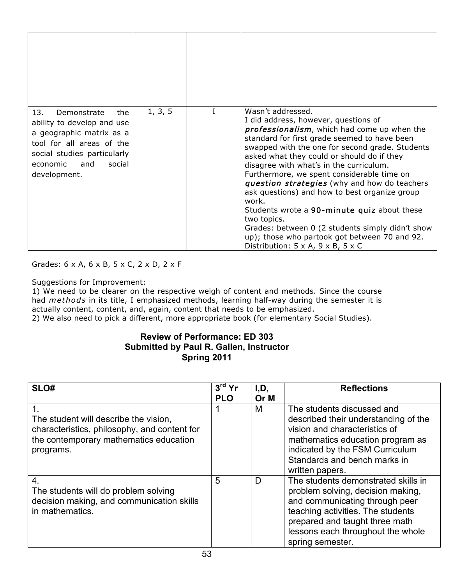| 13.<br>Demonstrate<br>the<br>ability to develop and use<br>a geographic matrix as a<br>tool for all areas of the<br>social studies particularly<br>social<br>economic<br>and<br>development. | 1, 3, 5 | Wasn't addressed.<br>I did address, however, questions of<br><i>professionalism</i> , which had come up when the<br>standard for first grade seemed to have been<br>swapped with the one for second grade. Students<br>asked what they could or should do if they<br>disagree with what's in the curriculum.<br>Furthermore, we spent considerable time on<br>question strategies (why and how do teachers<br>ask questions) and how to best organize group<br>work.<br>Students wrote a 90-minute quiz about these<br>two topics.<br>Grades: between 0 (2 students simply didn't show<br>up); those who partook got between 70 and 92.<br>Distribution: $5 \times A$ , $9 \times B$ , $5 \times C$ |
|----------------------------------------------------------------------------------------------------------------------------------------------------------------------------------------------|---------|-----------------------------------------------------------------------------------------------------------------------------------------------------------------------------------------------------------------------------------------------------------------------------------------------------------------------------------------------------------------------------------------------------------------------------------------------------------------------------------------------------------------------------------------------------------------------------------------------------------------------------------------------------------------------------------------------------|

#### Grades: 6 x A, 6 x B, 5 x C, 2 x D, 2 x F

#### Suggestions for Improvement:

1) We need to be clearer on the respective weigh of content and methods. Since the course had methods in its title, I emphasized methods, learning half-way during the semester it is actually content, content, and, again, content that needs to be emphasized. 2) We also need to pick a different, more appropriate book (for elementary Social Studies).

#### **Review of Performance: ED 303 Submitted by Paul R. Gallen, Instructor Spring 2011**

| SLO#                                                                                                                                                        | $3rd$ Yr<br><b>PLO</b> | I,D,<br>Or M | <b>Reflections</b>                                                                                                                                                                                                                         |
|-------------------------------------------------------------------------------------------------------------------------------------------------------------|------------------------|--------------|--------------------------------------------------------------------------------------------------------------------------------------------------------------------------------------------------------------------------------------------|
| $\mathbf 1$<br>The student will describe the vision,<br>characteristics, philosophy, and content for<br>the contemporary mathematics education<br>programs. |                        | M            | The students discussed and<br>described their understanding of the<br>vision and characteristics of<br>mathematics education program as<br>indicated by the FSM Curriculum<br>Standards and bench marks in<br>written papers.              |
| 4.<br>The students will do problem solving<br>decision making, and communication skills<br>in mathematics.                                                  | 5                      | D            | The students demonstrated skills in<br>problem solving, decision making,<br>and communicating through peer<br>teaching activities. The students<br>prepared and taught three math<br>lessons each throughout the whole<br>spring semester. |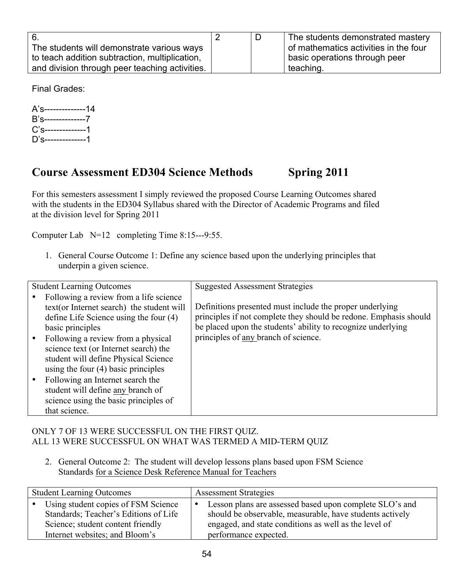| 6.                                             |  | The students demonstrated mastery     |
|------------------------------------------------|--|---------------------------------------|
| The students will demonstrate various ways     |  | of mathematics activities in the four |
| to teach addition subtraction, multiplication, |  | basic operations through peer         |
| and division through peer teaching activities. |  | teaching.                             |

Final Grades:

A's--------------14 B's--------------7 C's--------------1 D's--------------1

## **Course Assessment ED304 Science Methods Spring 2011**

For this semesters assessment I simply reviewed the proposed Course Learning Outcomes shared with the students in the ED304 Syllabus shared with the Director of Academic Programs and filed at the division level for Spring 2011

Computer Lab N=12 completing Time 8:15---9:55.

1. General Course Outcome 1: Define any science based upon the underlying principles that underpin a given science.

| <b>Student Learning Outcomes</b>                                                                                                                                          | <b>Suggested Assessment Strategies</b>                                                                                                                                                        |
|---------------------------------------------------------------------------------------------------------------------------------------------------------------------------|-----------------------------------------------------------------------------------------------------------------------------------------------------------------------------------------------|
| Following a review from a life science<br>text(or Internet search) the student will<br>define Life Science using the four (4)<br>basic principles                         | Definitions presented must include the proper underlying<br>principles if not complete they should be redone. Emphasis should<br>be placed upon the students' ability to recognize underlying |
| Following a review from a physical<br>$\bullet$<br>science text (or Internet search) the<br>student will define Physical Science<br>using the four $(4)$ basic principles | principles of any branch of science.                                                                                                                                                          |
| Following an Internet search the<br>student will define any branch of<br>science using the basic principles of<br>that science.                                           |                                                                                                                                                                                               |

#### ONLY 7 OF 13 WERE SUCCESSFUL ON THE FIRST QUIZ. ALL 13 WERE SUCCESSFUL ON WHAT WAS TERMED A MID-TERM QUIZ

2. General Outcome 2: The student will develop lessons plans based upon FSM Science Standards for a Science Desk Reference Manual for Teachers

| <b>Student Learning Outcomes</b>                                                                                    | <b>Assessment Strategies</b> |                                                                                                                                                                              |
|---------------------------------------------------------------------------------------------------------------------|------------------------------|------------------------------------------------------------------------------------------------------------------------------------------------------------------------------|
| • Using student copies of FSM Science<br>Standards; Teacher's Editions of Life<br>Science; student content friendly | $\bullet$                    | Lesson plans are assessed based upon complete SLO's and<br>should be observable, measurable, have students actively<br>engaged, and state conditions as well as the level of |
| Internet websites; and Bloom's                                                                                      |                              | performance expected.                                                                                                                                                        |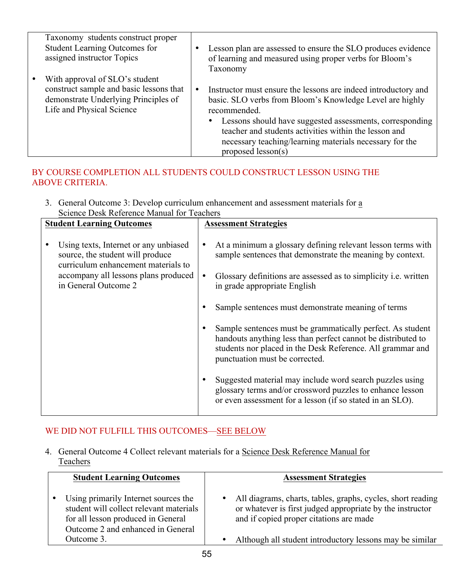| Taxonomy students construct proper                                                                                                                          | Lesson plan are assessed to ensure the SLO produces evidence                                                                                                                                                                                                                                                                                     |
|-------------------------------------------------------------------------------------------------------------------------------------------------------------|--------------------------------------------------------------------------------------------------------------------------------------------------------------------------------------------------------------------------------------------------------------------------------------------------------------------------------------------------|
| <b>Student Learning Outcomes for</b>                                                                                                                        | of learning and measured using proper verbs for Bloom's                                                                                                                                                                                                                                                                                          |
| assigned instructor Topics                                                                                                                                  | Taxonomy                                                                                                                                                                                                                                                                                                                                         |
| With approval of SLO's student<br>$\bullet$<br>construct sample and basic lessons that<br>demonstrate Underlying Principles of<br>Life and Physical Science | Instructor must ensure the lessons are indeed introductory and<br>basic. SLO verbs from Bloom's Knowledge Level are highly<br>recommended.<br>Lessons should have suggested assessments, corresponding<br>teacher and students activities within the lesson and<br>necessary teaching/learning materials necessary for the<br>proposed lesson(s) |

## BY COURSE COMPLETION ALL STUDENTS COULD CONSTRUCT LESSON USING THE ABOVE CRITERIA.

3. General Outcome 3: Develop curriculum enhancement and assessment materials for a Science Desk Reference Manual for Teachers

| <b>Student Learning Outcomes</b>                                                                                                                                                 | <b>Assessment Strategies</b>                                                                                                                                                                                                                                                                                                                                                                                                                                                                                                                                                                                                                                                                                 |
|----------------------------------------------------------------------------------------------------------------------------------------------------------------------------------|--------------------------------------------------------------------------------------------------------------------------------------------------------------------------------------------------------------------------------------------------------------------------------------------------------------------------------------------------------------------------------------------------------------------------------------------------------------------------------------------------------------------------------------------------------------------------------------------------------------------------------------------------------------------------------------------------------------|
| Using texts, Internet or any unbiased<br>source, the student will produce<br>curriculum enhancement materials to<br>accompany all lessons plans produced<br>in General Outcome 2 | At a minimum a glossary defining relevant lesson terms with<br>sample sentences that demonstrate the meaning by context.<br>Glossary definitions are assessed as to simplicity <i>i.e.</i> written<br>in grade appropriate English<br>Sample sentences must demonstrate meaning of terms<br>Sample sentences must be grammatically perfect. As student<br>handouts anything less than perfect cannot be distributed to<br>students nor placed in the Desk Reference. All grammar and<br>punctuation must be corrected.<br>Suggested material may include word search puzzles using<br>glossary terms and/or crossword puzzles to enhance lesson<br>or even assessment for a lesson (if so stated in an SLO). |

## WE DID NOT FULFILL THIS OUTCOMES—SEE BELOW

4. General Outcome 4 Collect relevant materials for a Science Desk Reference Manual for **Teachers** 

| <b>Student Learning Outcomes</b>                                                                                                                           | <b>Assessment Strategies</b>                                                                                                                                                     |
|------------------------------------------------------------------------------------------------------------------------------------------------------------|----------------------------------------------------------------------------------------------------------------------------------------------------------------------------------|
| Using primarily Internet sources the<br>student will collect relevant materials<br>for all lesson produced in General<br>Outcome 2 and enhanced in General | All diagrams, charts, tables, graphs, cycles, short reading<br>$\bullet$<br>or whatever is first judged appropriate by the instructor<br>and if copied proper citations are made |
| Outcome 3.                                                                                                                                                 | Although all student introductory lessons may be similar                                                                                                                         |
|                                                                                                                                                            |                                                                                                                                                                                  |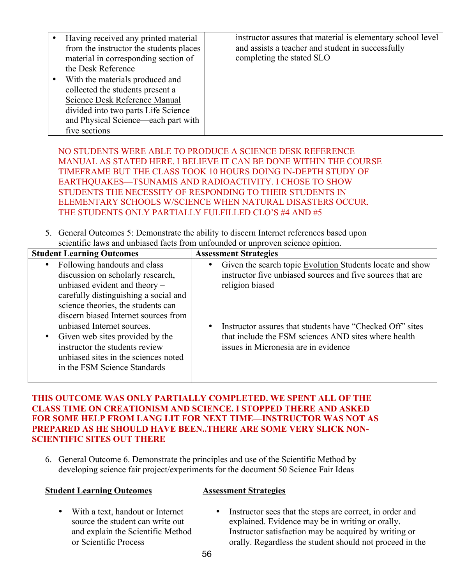| Having received any printed material    | instructor assures that material is elementary school level |
|-----------------------------------------|-------------------------------------------------------------|
| from the instructor the students places | and assists a teacher and student in successfully           |
| material in corresponding section of    | completing the stated SLO                                   |
| the Desk Reference                      |                                                             |
| With the materials produced and         |                                                             |
| collected the students present a        |                                                             |
| Science Desk Reference Manual           |                                                             |
| divided into two parts Life Science     |                                                             |
| and Physical Science—each part with     |                                                             |
| five sections                           |                                                             |

NO STUDENTS WERE ABLE TO PRODUCE A SCIENCE DESK REFERENCE MANUAL AS STATED HERE. I BELIEVE IT CAN BE DONE WITHIN THE COURSE TIMEFRAME BUT THE CLASS TOOK 10 HOURS DOING IN-DEPTH STUDY OF EARTHQUAKES—TSUNAMIS AND RADIOACTIVITY. I CHOSE TO SHOW STUDENTS THE NECESSITY OF RESPONDING TO THEIR STUDENTS IN ELEMENTARY SCHOOLS W/SCIENCE WHEN NATURAL DISASTERS OCCUR. THE STUDENTS ONLY PARTIALLY FULFILLED CLO'S #4 AND #5

5. General Outcomes 5: Demonstrate the ability to discern Internet references based upon scientific laws and unbiased facts from unfounded or unproven science opinion.

| <b>Student Learning Outcomes</b>                                                                                                                                                                                                                                       | <b>Assessment Strategies</b>                                                                                                                                                                                         |
|------------------------------------------------------------------------------------------------------------------------------------------------------------------------------------------------------------------------------------------------------------------------|----------------------------------------------------------------------------------------------------------------------------------------------------------------------------------------------------------------------|
| Following handouts and class<br>$\bullet$<br>discussion on scholarly research,<br>unbiased evident and theory $-$<br>carefully distinguishing a social and<br>science theories, the students can<br>discern biased Internet sources from<br>unbiased Internet sources. | Given the search topic Evolution Students locate and show<br>instructor five unbiased sources and five sources that are<br>religion biased<br>Instructor assures that students have "Checked Off" sites<br>$\bullet$ |
| • Given web sites provided by the<br>instructor the students review<br>unbiased sites in the sciences noted<br>in the FSM Science Standards                                                                                                                            | that include the FSM sciences AND sites where health<br>issues in Micronesia are in evidence                                                                                                                         |

#### **THIS OUTCOME WAS ONLY PARTIALLY COMPLETED. WE SPENT ALL OF THE CLASS TIME ON CREATIONISM AND SCIENCE. I STOPPED THERE AND ASKED FOR SOME HELP FROM LANG LIT FOR NEXT TIME—INSTRUCTOR WAS NOT AS PREPARED AS HE SHOULD HAVE BEEN..THERE ARE SOME VERY SLICK NON-SCIENTIFIC SITES OUT THERE**

6. General Outcome 6. Demonstrate the principles and use of the Scientific Method by developing science fair project/experiments for the document 50 Science Fair Ideas

| <b>Student Learning Outcomes</b>                                                                                                   | <b>Assessment Strategies</b>                                                                                                                                                                                                                   |
|------------------------------------------------------------------------------------------------------------------------------------|------------------------------------------------------------------------------------------------------------------------------------------------------------------------------------------------------------------------------------------------|
| With a text, handout or Internet<br>source the student can write out<br>and explain the Scientific Method<br>or Scientific Process | Instructor sees that the steps are correct, in order and<br>$\bullet$<br>explained. Evidence may be in writing or orally.<br>Instructor satisfaction may be acquired by writing or<br>orally. Regardless the student should not proceed in the |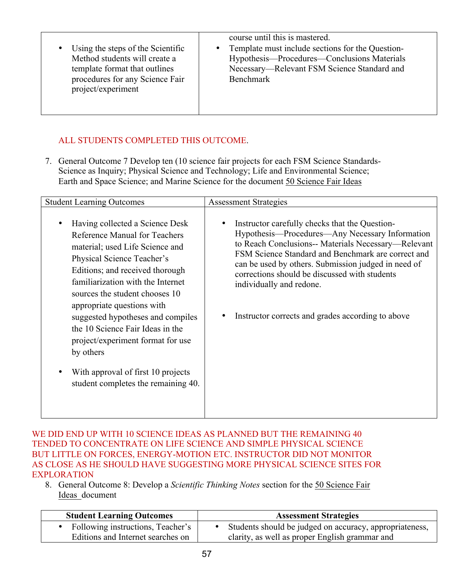| course until this is mastered.<br>Template must include sections for the Question-<br>Using the steps of the Scientific<br>$\bullet$<br>Method students will create a<br>Hypothesis—Procedures—Conclusions Materials<br>Necessary—Relevant FSM Science Standard and<br>template format that outlines<br>procedures for any Science Fair<br>Benchmark<br>project/experiment |  |
|----------------------------------------------------------------------------------------------------------------------------------------------------------------------------------------------------------------------------------------------------------------------------------------------------------------------------------------------------------------------------|--|
|----------------------------------------------------------------------------------------------------------------------------------------------------------------------------------------------------------------------------------------------------------------------------------------------------------------------------------------------------------------------------|--|

## ALL STUDENTS COMPLETED THIS OUTCOME.

7. General Outcome 7 Develop ten (10 science fair projects for each FSM Science Standards-Science as Inquiry; Physical Science and Technology; Life and Environmental Science; Earth and Space Science; and Marine Science for the document 50 Science Fair Ideas

| <b>Student Learning Outcomes</b>                                                                                                                                                                                                                                                                                                                                                                                                                                                  | <b>Assessment Strategies</b>                                                                                                                                                                                                                                                                                                                                                                               |
|-----------------------------------------------------------------------------------------------------------------------------------------------------------------------------------------------------------------------------------------------------------------------------------------------------------------------------------------------------------------------------------------------------------------------------------------------------------------------------------|------------------------------------------------------------------------------------------------------------------------------------------------------------------------------------------------------------------------------------------------------------------------------------------------------------------------------------------------------------------------------------------------------------|
| Having collected a Science Desk<br>Reference Manual for Teachers<br>material; used Life Science and<br>Physical Science Teacher's<br>Editions; and received thorough<br>familiarization with the Internet<br>sources the student chooses 10<br>appropriate questions with<br>suggested hypotheses and compiles<br>the 10 Science Fair Ideas in the<br>project/experiment format for use<br>by others<br>With approval of first 10 projects<br>student completes the remaining 40. | Instructor carefully checks that the Question-<br>Hypothesis—Procedures—Any Necessary Information<br>to Reach Conclusions-- Materials Necessary--- Relevant<br>FSM Science Standard and Benchmark are correct and<br>can be used by others. Submission judged in need of<br>corrections should be discussed with students<br>individually and redone.<br>Instructor corrects and grades according to above |

WE DID END UP WITH 10 SCIENCE IDEAS AS PLANNED BUT THE REMAINING 40 TENDED TO CONCENTRATE ON LIFE SCIENCE AND SIMPLE PHYSICAL SCIENCE BUT LITTLE ON FORCES, ENERGY-MOTION ETC. INSTRUCTOR DID NOT MONITOR AS CLOSE AS HE SHOULD HAVE SUGGESTING MORE PHYSICAL SCIENCE SITES FOR EXPLORATION

8. General Outcome 8: Develop a *Scientific Thinking Notes* section for the 50 Science Fair Ideas document

| <b>Student Learning Outcomes</b>  | <b>Assessment Strategies</b>                            |
|-----------------------------------|---------------------------------------------------------|
| Following instructions, Teacher's | Students should be judged on accuracy, appropriateness, |
| Editions and Internet searches on | clarity, as well as proper English grammar and          |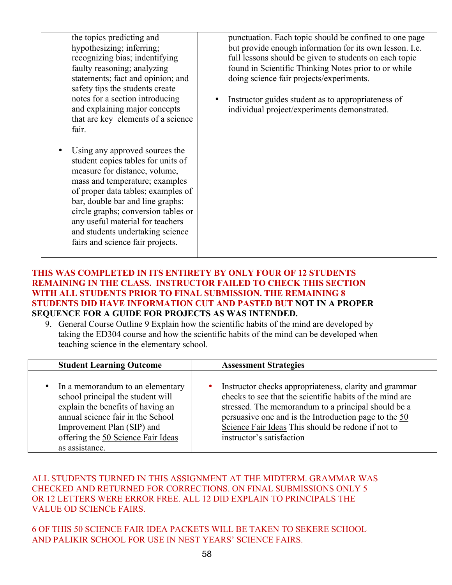the topics predicting and hypothesizing; inferring; recognizing bias; indentifying faulty reasoning; analyzing statements; fact and opinion; and safety tips the students create notes for a section introducing and explaining major concepts that are key elements of a science fair.

Using any approved sources the student copies tables for units of measure for distance, volume, mass and temperature; examples of proper data tables; examples of bar, double bar and line graphs: circle graphs; conversion tables or any useful material for teachers and students undertaking science fairs and science fair projects.

punctuation. Each topic should be confined to one page but provide enough information for its own lesson. I.e. full lessons should be given to students on each topic found in Scientific Thinking Notes prior to or while doing science fair projects/experiments.

• Instructor guides student as to appropriateness of individual project/experiments demonstrated.

#### **THIS WAS COMPLETED IN ITS ENTIRETY BY ONLY FOUR OF 12 STUDENTS REMAINING IN THE CLASS. INSTRUCTOR FAILED TO CHECK THIS SECTION WITH ALL STUDENTS PRIOR TO FINAL SUBMISSION. THE REMAINING 8 STUDENTS DID HAVE INFORMATION CUT AND PASTED BUT NOT IN A PROPER SEQUENCE FOR A GUIDE FOR PROJECTS AS WAS INTENDED.**

9. General Course Outline 9 Explain how the scientific habits of the mind are developed by taking the ED304 course and how the scientific habits of the mind can be developed when teaching science in the elementary school.

| <b>Student Learning Outcome</b>                                                                                                                                                                                                                    | <b>Assessment Strategies</b>                                                                                                                                                                                                                                                                                          |
|----------------------------------------------------------------------------------------------------------------------------------------------------------------------------------------------------------------------------------------------------|-----------------------------------------------------------------------------------------------------------------------------------------------------------------------------------------------------------------------------------------------------------------------------------------------------------------------|
| In a memorandum to an elementary<br>$\bullet$<br>school principal the student will<br>explain the benefits of having an<br>annual science fair in the School<br>Improvement Plan (SIP) and<br>offering the 50 Science Fair Ideas<br>as assistance. | Instructor checks appropriateness, clarity and grammar<br>checks to see that the scientific habits of the mind are<br>stressed. The memorandum to a principal should be a<br>persuasive one and is the Introduction page to the 50<br>Science Fair Ideas This should be redone if not to<br>instructor's satisfaction |

ALL STUDENTS TURNED IN THIS ASSIGNMENT AT THE MIDTERM. GRAMMAR WAS CHECKED AND RETURNED FOR CORRECTIONS. ON FINAL SUBMISSIONS ONLY 5 OR 12 LETTERS WERE ERROR FREE. ALL 12 DID EXPLAIN TO PRINCIPALS THE VALUE OD SCIENCE FAIRS.

6 OF THIS 50 SCIENCE FAIR IDEA PACKETS WILL BE TAKEN TO SEKERE SCHOOL AND PALIKIR SCHOOL FOR USE IN NEST YEARS' SCIENCE FAIRS.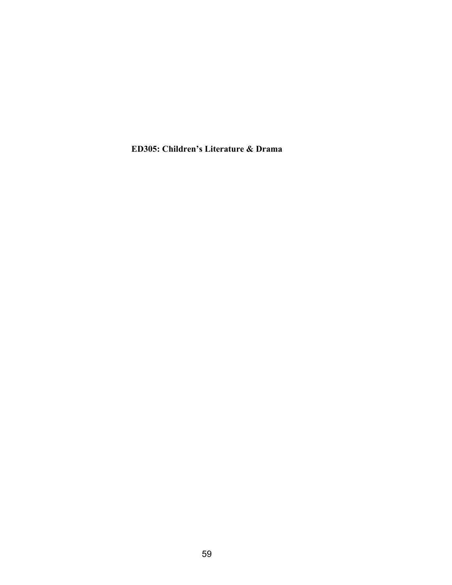**ED305: Children's Literature & Drama**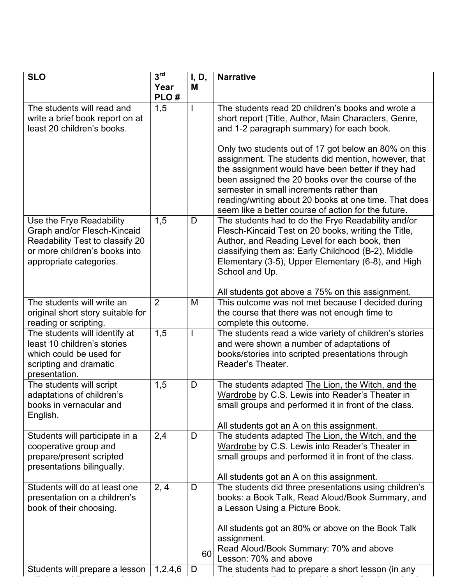| <b>SLO</b>                                                                                                                                             | 3 <sup>rd</sup> | I, D,                    | <b>Narrative</b>                                                                                                                                                                                                                                                                                                                                                                                                                                                                                                                            |
|--------------------------------------------------------------------------------------------------------------------------------------------------------|-----------------|--------------------------|---------------------------------------------------------------------------------------------------------------------------------------------------------------------------------------------------------------------------------------------------------------------------------------------------------------------------------------------------------------------------------------------------------------------------------------------------------------------------------------------------------------------------------------------|
|                                                                                                                                                        | Year<br>PLO#    | M                        |                                                                                                                                                                                                                                                                                                                                                                                                                                                                                                                                             |
| The students will read and<br>write a brief book report on at<br>least 20 children's books.                                                            | 1,5             |                          | The students read 20 children's books and wrote a<br>short report (Title, Author, Main Characters, Genre,<br>and 1-2 paragraph summary) for each book.<br>Only two students out of 17 got below an 80% on this<br>assignment. The students did mention, however, that<br>the assignment would have been better if they had<br>been assigned the 20 books over the course of the<br>semester in small increments rather than<br>reading/writing about 20 books at one time. That does<br>seem like a better course of action for the future. |
| Use the Frye Readability<br>Graph and/or Flesch-Kincaid<br>Readability Test to classify 20<br>or more children's books into<br>appropriate categories. | 1,5             | D                        | The students had to do the Frye Readability and/or<br>Flesch-Kincaid Test on 20 books, writing the Title,<br>Author, and Reading Level for each book, then<br>classifying them as: Early Childhood (B-2), Middle<br>Elementary (3-5), Upper Elementary (6-8), and High<br>School and Up.<br>All students got above a 75% on this assignment.                                                                                                                                                                                                |
| The students will write an<br>original short story suitable for<br>reading or scripting.                                                               | $\overline{2}$  | M                        | This outcome was not met because I decided during<br>the course that there was not enough time to<br>complete this outcome.                                                                                                                                                                                                                                                                                                                                                                                                                 |
| The students will identify at<br>least 10 children's stories<br>which could be used for<br>scripting and dramatic<br>presentation.                     | 1,5             | $\overline{\phantom{a}}$ | The students read a wide variety of children's stories<br>and were shown a number of adaptations of<br>books/stories into scripted presentations through<br>Reader's Theater.                                                                                                                                                                                                                                                                                                                                                               |
| The students will script<br>adaptations of children's<br>books in vernacular and<br>English.                                                           | 1,5             | D                        | The students adapted The Lion, the Witch, and the<br>Wardrobe by C.S. Lewis into Reader's Theater in<br>small groups and performed it in front of the class.<br>All students got an A on this assignment.                                                                                                                                                                                                                                                                                                                                   |
| Students will participate in a<br>cooperative group and<br>prepare/present scripted<br>presentations bilingually.                                      | 2,4             | D                        | The students adapted The Lion, the Witch, and the<br>Wardrobe by C.S. Lewis into Reader's Theater in<br>small groups and performed it in front of the class.<br>All students got an A on this assignment.                                                                                                                                                                                                                                                                                                                                   |
| Students will do at least one<br>presentation on a children's<br>book of their choosing.                                                               | 2, 4            | D<br>60                  | The students did three presentations using children's<br>books: a Book Talk, Read Aloud/Book Summary, and<br>a Lesson Using a Picture Book.<br>All students got an 80% or above on the Book Talk<br>assignment.<br>Read Aloud/Book Summary: 70% and above<br>Lesson: 70% and above                                                                                                                                                                                                                                                          |
| Students will prepare a lesson                                                                                                                         | 1,2,4,6         | D                        | The students had to prepare a short lesson (in any                                                                                                                                                                                                                                                                                                                                                                                                                                                                                          |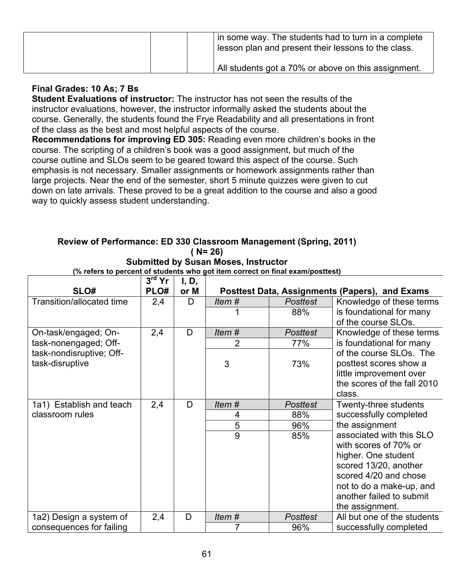| in some way. The students had to turn in a complete<br>lesson plan and present their lessons to the class. |
|------------------------------------------------------------------------------------------------------------|
| All students got a 70% or above on this assignment.                                                        |

#### **Final Grades: 10 As; 7 Bs**

**Student Evaluations of instructor:** The instructor has not seen the results of the instructor evaluations, however, the instructor informally asked the students about the course. Generally, the students found the Frye Readability and all presentations in front of the class as the best and most helpful aspects of the course.

**Recommendations for improving ED 305:** Reading even more children's books in the course. The scripting of a children's book was a good assignment, but much of the course outline and SLOs seem to be geared toward this aspect of the course. Such emphasis is not necessary. Smaller assignments or homework assignments rather than large projects. Near the end of the semester, short 5 minute quizzes were given to cut down on late arrivals. These proved to be a great addition to the course and also a good way to quickly assess student understanding.

#### **Review of Performance: ED 330 Classroom Management (Spring, 2011) ( N= 26)**

**Submitted by Susan Moses, Instructor**

| (% refers to percent of students who got item correct on final exam/posttest) |          |       |       |                 |                                                |  |
|-------------------------------------------------------------------------------|----------|-------|-------|-----------------|------------------------------------------------|--|
|                                                                               | $3rd$ Yr | I, D, |       |                 |                                                |  |
| SLO#                                                                          | PLO#     | or M  |       |                 | Posttest Data, Assignments (Papers), and Exams |  |
| Transition/allocated time                                                     | 2,4      | D     | Item# | <b>Posttest</b> | Knowledge of these terms                       |  |
|                                                                               |          |       |       | 88%             | is foundational for many                       |  |
|                                                                               |          |       |       |                 | of the course SLOs.                            |  |
| On-task/engaged; On-                                                          | 2,4      | D     | Item# | <b>Posttest</b> | Knowledge of these terms                       |  |
| task-nonengaged; Off-                                                         |          |       | 2     | 77%             | is foundational for many                       |  |
| task-nondisruptive; Off-                                                      |          |       |       |                 | of the course SLOs. The                        |  |
| task-disruptive                                                               |          |       | 3     | 73%             | posttest scores show a                         |  |
|                                                                               |          |       |       |                 | little improvement over                        |  |
|                                                                               |          |       |       |                 | the scores of the fall 2010                    |  |
|                                                                               |          |       |       |                 | class.                                         |  |
| 1a1) Establish and teach                                                      | 2,4      | D     | Item# | <b>Posttest</b> | Twenty-three students                          |  |
| classroom rules                                                               |          |       | 4     | 88%             | successfully completed                         |  |
|                                                                               |          |       | 5     | 96%             | the assignment                                 |  |
|                                                                               |          |       | 9     | 85%             | associated with this SLO                       |  |
|                                                                               |          |       |       |                 | with scores of 70% or                          |  |
|                                                                               |          |       |       |                 | higher. One student                            |  |
|                                                                               |          |       |       |                 | scored 13/20, another                          |  |
|                                                                               |          |       |       |                 | scored 4/20 and chose                          |  |
|                                                                               |          |       |       |                 | not to do a make-up, and                       |  |
|                                                                               |          |       |       |                 | another failed to submit                       |  |
|                                                                               |          |       |       |                 | the assignment.                                |  |
| 1a2) Design a system of                                                       | 2,4      | D     | Item# | <b>Posttest</b> | All but one of the students                    |  |
| consequences for failing                                                      |          |       |       | 96%             | successfully completed                         |  |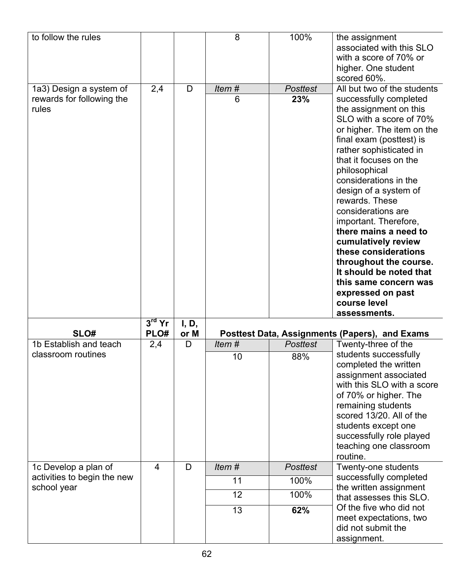| to follow the rules                                           |                  |               | 8          | 100%                   | the assignment<br>associated with this SLO<br>with a score of 70% or<br>higher. One student<br>scored 60%.                                                                                                                                                                                                                                                                                                                                                                                                                                                               |
|---------------------------------------------------------------|------------------|---------------|------------|------------------------|--------------------------------------------------------------------------------------------------------------------------------------------------------------------------------------------------------------------------------------------------------------------------------------------------------------------------------------------------------------------------------------------------------------------------------------------------------------------------------------------------------------------------------------------------------------------------|
| 1a3) Design a system of<br>rewards for following the<br>rules | 2,4              | D             | Item#<br>6 | <b>Posttest</b><br>23% | All but two of the students<br>successfully completed<br>the assignment on this<br>SLO with a score of 70%<br>or higher. The item on the<br>final exam (posttest) is<br>rather sophisticated in<br>that it focuses on the<br>philosophical<br>considerations in the<br>design of a system of<br>rewards. These<br>considerations are<br>important. Therefore,<br>there mains a need to<br>cumulatively review<br>these considerations<br>throughout the course.<br>It should be noted that<br>this same concern was<br>expressed on past<br>course level<br>assessments. |
| SLO#                                                          | $3rd$ Yr<br>PLO# | I, D,<br>or M |            |                        | Posttest Data, Assignments (Papers), and Exams                                                                                                                                                                                                                                                                                                                                                                                                                                                                                                                           |
| 1b Establish and teach                                        | 2,4              | D             | Item#      | <b>Posttest</b>        | Twenty-three of the                                                                                                                                                                                                                                                                                                                                                                                                                                                                                                                                                      |
| classroom routines                                            |                  |               | 10         | 88%                    | students successfully<br>completed the written<br>assignment associated<br>with this SLO with a score<br>of 70% or higher. The<br>remaining students<br>scored 13/20. All of the<br>students except one<br>successfully role played<br>teaching one classroom<br>routine.                                                                                                                                                                                                                                                                                                |
| 1c Develop a plan of                                          | 4                | D             | Item#      | <b>Posttest</b>        | Twenty-one students                                                                                                                                                                                                                                                                                                                                                                                                                                                                                                                                                      |
| activities to begin the new<br>school year                    |                  |               | 11         | 100%                   | successfully completed<br>the written assignment                                                                                                                                                                                                                                                                                                                                                                                                                                                                                                                         |
|                                                               |                  |               | 12         | 100%                   | that assesses this SLO.                                                                                                                                                                                                                                                                                                                                                                                                                                                                                                                                                  |
|                                                               |                  |               | 13         | 62%                    | Of the five who did not<br>meet expectations, two<br>did not submit the<br>assignment.                                                                                                                                                                                                                                                                                                                                                                                                                                                                                   |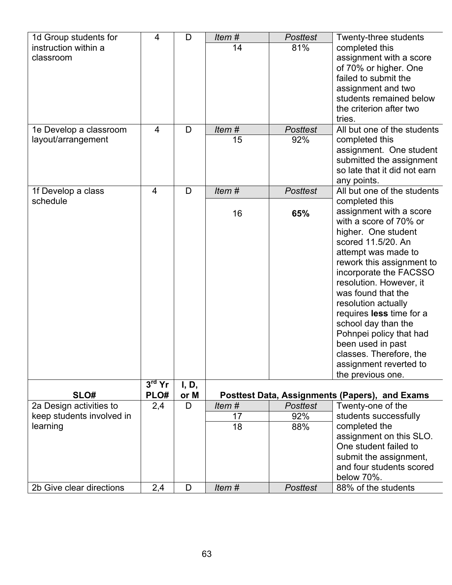| 1d Group students for     | $\overline{4}$ | D     | Item# | <b>Posttest</b> | Twenty-three students                          |
|---------------------------|----------------|-------|-------|-----------------|------------------------------------------------|
| instruction within a      |                |       | 14    | 81%             | completed this                                 |
| classroom                 |                |       |       |                 | assignment with a score                        |
|                           |                |       |       |                 | of 70% or higher. One                          |
|                           |                |       |       |                 | failed to submit the                           |
|                           |                |       |       |                 | assignment and two                             |
|                           |                |       |       |                 | students remained below                        |
|                           |                |       |       |                 | the criterion after two                        |
|                           |                |       |       |                 | tries.                                         |
| 1e Develop a classroom    | $\overline{4}$ | D     | Item# | <b>Posttest</b> | All but one of the students                    |
| layout/arrangement        |                |       | 15    | 92%             | completed this                                 |
|                           |                |       |       |                 | assignment. One student                        |
|                           |                |       |       |                 | submitted the assignment                       |
|                           |                |       |       |                 | so late that it did not earn                   |
|                           |                |       |       |                 | any points.                                    |
| 1f Develop a class        | $\overline{4}$ | D     | Item# | <b>Posttest</b> | All but one of the students                    |
| schedule                  |                |       |       |                 | completed this                                 |
|                           |                |       | 16    | 65%             | assignment with a score                        |
|                           |                |       |       |                 | with a score of 70% or                         |
|                           |                |       |       |                 | higher. One student                            |
|                           |                |       |       |                 | scored 11.5/20, An                             |
|                           |                |       |       |                 | attempt was made to                            |
|                           |                |       |       |                 | rework this assignment to                      |
|                           |                |       |       |                 | incorporate the FACSSO                         |
|                           |                |       |       |                 | resolution. However, it                        |
|                           |                |       |       |                 | was found that the                             |
|                           |                |       |       |                 | resolution actually                            |
|                           |                |       |       |                 | requires less time for a                       |
|                           |                |       |       |                 | school day than the                            |
|                           |                |       |       |                 | Pohnpei policy that had                        |
|                           |                |       |       |                 | been used in past                              |
|                           |                |       |       |                 | classes. Therefore, the                        |
|                           |                |       |       |                 | assignment reverted to                         |
|                           |                |       |       |                 | the previous one.                              |
|                           | $3rd$ Yr       | I, D, |       |                 |                                                |
| SLO#                      | PLO#           | or M  |       |                 | Posttest Data, Assignments (Papers), and Exams |
| 2a Design activities to   | 2,4            | D     | Item# | <b>Posttest</b> | Twenty-one of the                              |
| keep students involved in |                |       | 17    | 92%             | students successfully                          |
| learning                  |                |       | 18    | 88%             | completed the                                  |
|                           |                |       |       |                 | assignment on this SLO.                        |
|                           |                |       |       |                 | One student failed to                          |
|                           |                |       |       |                 | submit the assignment,                         |
|                           |                |       |       |                 | and four students scored                       |
|                           |                |       |       |                 | below 70%.                                     |
| 2b Give clear directions  | 2,4            | D     | Item# | <b>Posttest</b> | 88% of the students                            |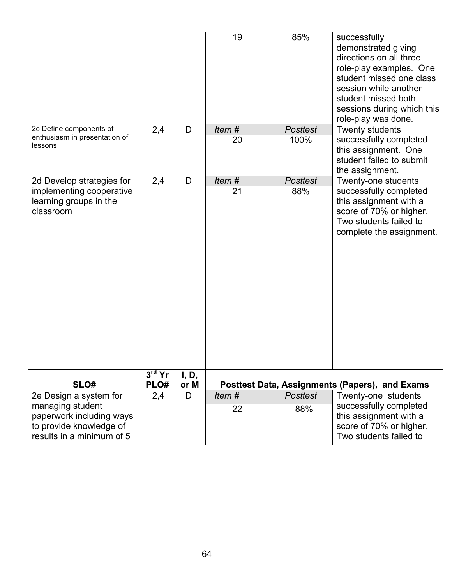|                                                                                                                                |                  |               | 19          | 85%                     | successfully<br>demonstrated giving<br>directions on all three<br>role-play examples. One<br>student missed one class<br>session while another<br>student missed both<br>sessions during which this<br>role-play was done. |
|--------------------------------------------------------------------------------------------------------------------------------|------------------|---------------|-------------|-------------------------|----------------------------------------------------------------------------------------------------------------------------------------------------------------------------------------------------------------------------|
| 2c Define components of<br>enthusiasm in presentation of<br>lessons                                                            | 2,4              | D             | Item#<br>20 | <b>Posttest</b><br>100% | Twenty students<br>successfully completed<br>this assignment. One<br>student failed to submit<br>the assignment.                                                                                                           |
| 2d Develop strategies for<br>implementing cooperative<br>learning groups in the<br>classroom                                   | 2,4              | D             | Item#<br>21 | <b>Posttest</b><br>88%  | Twenty-one students<br>successfully completed<br>this assignment with a<br>score of 70% or higher.<br>Two students failed to<br>complete the assignment.                                                                   |
| SLO#                                                                                                                           | $3rd$ Yr<br>PLO# | I, D,<br>or M |             |                         | Posttest Data, Assignments (Papers), and Exams                                                                                                                                                                             |
| 2e Design a system for<br>managing student<br>paperwork including ways<br>to provide knowledge of<br>results in a minimum of 5 | 2,4              | D             | Item#<br>22 | <b>Posttest</b><br>88%  | Twenty-one students<br>successfully completed<br>this assignment with a<br>score of 70% or higher.<br>Two students failed to                                                                                               |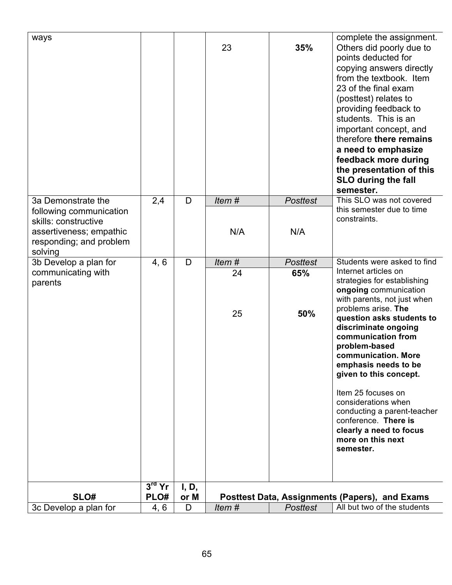| ways                                                                                                             |                  |               | 23       | 35%             | complete the assignment.<br>Others did poorly due to<br>points deducted for<br>copying answers directly<br>from the textbook. Item<br>23 of the final exam<br>(posttest) relates to<br>providing feedback to<br>students. This is an<br>important concept, and<br>therefore there remains<br>a need to emphasize<br>feedback more during<br>the presentation of this<br><b>SLO during the fall</b><br>semester.                                                          |
|------------------------------------------------------------------------------------------------------------------|------------------|---------------|----------|-----------------|--------------------------------------------------------------------------------------------------------------------------------------------------------------------------------------------------------------------------------------------------------------------------------------------------------------------------------------------------------------------------------------------------------------------------------------------------------------------------|
| 3a Demonstrate the                                                                                               | 2,4              | D             | Item#    | <b>Posttest</b> | This SLO was not covered                                                                                                                                                                                                                                                                                                                                                                                                                                                 |
| following communication<br>skills: constructive<br>assertiveness; empathic<br>responding; and problem<br>solving |                  |               | N/A      | N/A             | this semester due to time<br>constraints.                                                                                                                                                                                                                                                                                                                                                                                                                                |
| 3b Develop a plan for                                                                                            | 4, 6             | D             | Item#    | <b>Posttest</b> | Students were asked to find                                                                                                                                                                                                                                                                                                                                                                                                                                              |
| communicating with<br>parents                                                                                    |                  |               | 24<br>25 | 65%<br>50%      | Internet articles on<br>strategies for establishing<br>ongoing communication<br>with parents, not just when<br>problems arise. The<br>question asks students to<br>discriminate ongoing<br>communication from<br>problem-based<br>communication. More<br>emphasis needs to be<br>given to this concept.<br>Item 25 focuses on<br>considerations when<br>conducting a parent-teacher<br>conference. There is<br>clearly a need to focus<br>more on this next<br>semester. |
| SLO#                                                                                                             | $3rd$ Yr<br>PLO# | I, D,<br>or M |          |                 | Posttest Data, Assignments (Papers), and Exams                                                                                                                                                                                                                                                                                                                                                                                                                           |
| 3c Develop a plan for                                                                                            | 4, 6             | D             | Item#    | <b>Posttest</b> | All but two of the students                                                                                                                                                                                                                                                                                                                                                                                                                                              |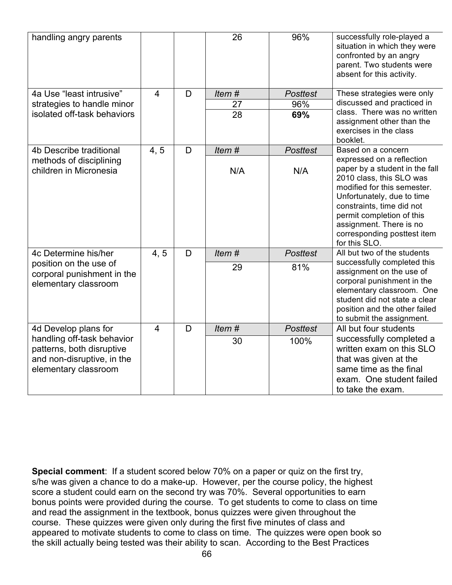| handling angry parents                                                                                        |                |   | 26    | 96%             | successfully role-played a<br>situation in which they were<br>confronted by an angry<br>parent. Two students were<br>absent for this activity.                                                                                                                                            |
|---------------------------------------------------------------------------------------------------------------|----------------|---|-------|-----------------|-------------------------------------------------------------------------------------------------------------------------------------------------------------------------------------------------------------------------------------------------------------------------------------------|
| 4a Use "least intrusive"                                                                                      | $\overline{4}$ | D | Item# | <b>Posttest</b> | These strategies were only                                                                                                                                                                                                                                                                |
| strategies to handle minor                                                                                    |                |   | 27    | 96%             | discussed and practiced in                                                                                                                                                                                                                                                                |
| isolated off-task behaviors                                                                                   |                |   | 28    | 69%             | class. There was no written<br>assignment other than the<br>exercises in the class<br>booklet.                                                                                                                                                                                            |
| 4b Describe traditional                                                                                       | 4, 5           | D | Item# | <b>Posttest</b> | Based on a concern                                                                                                                                                                                                                                                                        |
| methods of disciplining<br>children in Micronesia                                                             |                |   | N/A   | N/A             | expressed on a reflection<br>paper by a student in the fall<br>2010 class, this SLO was<br>modified for this semester.<br>Unfortunately, due to time<br>constraints, time did not<br>permit completion of this<br>assignment. There is no<br>corresponding posttest item<br>for this SLO. |
| 4c Determine his/her                                                                                          | 4, 5           | D | Item# | <b>Posttest</b> | All but two of the students                                                                                                                                                                                                                                                               |
| position on the use of<br>corporal punishment in the<br>elementary classroom                                  |                |   | 29    | 81%             | successfully completed this<br>assignment on the use of<br>corporal punishment in the<br>elementary classroom. One<br>student did not state a clear<br>position and the other failed<br>to submit the assignment.                                                                         |
| 4d Develop plans for                                                                                          | $\overline{4}$ | D | Item# | <b>Posttest</b> | All but four students                                                                                                                                                                                                                                                                     |
| handling off-task behavior<br>patterns, both disruptive<br>and non-disruptive, in the<br>elementary classroom |                |   | 30    | 100%            | successfully completed a<br>written exam on this SLO<br>that was given at the<br>same time as the final<br>exam. One student failed<br>to take the exam.                                                                                                                                  |

**Special comment**: If a student scored below 70% on a paper or quiz on the first try, s/he was given a chance to do a make-up. However, per the course policy, the highest score a student could earn on the second try was 70%. Several opportunities to earn bonus points were provided during the course. To get students to come to class on time and read the assignment in the textbook, bonus quizzes were given throughout the course. These quizzes were given only during the first five minutes of class and appeared to motivate students to come to class on time. The quizzes were open book so the skill actually being tested was their ability to scan. According to the Best Practices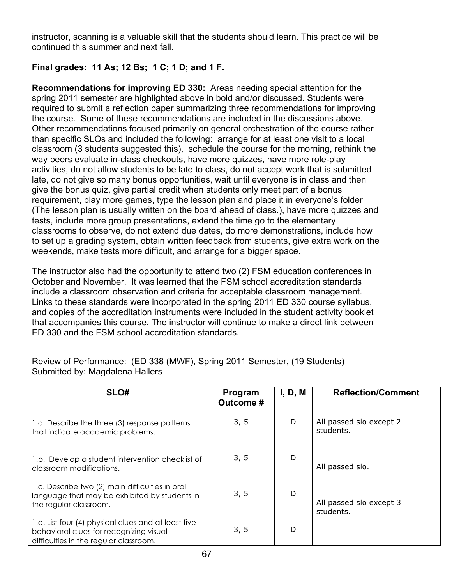instructor, scanning is a valuable skill that the students should learn. This practice will be continued this summer and next fall.

## **Final grades: 11 As; 12 Bs; 1 C; 1 D; and 1 F.**

**Recommendations for improving ED 330:** Areas needing special attention for the spring 2011 semester are highlighted above in bold and/or discussed. Students were required to submit a reflection paper summarizing three recommendations for improving the course. Some of these recommendations are included in the discussions above. Other recommendations focused primarily on general orchestration of the course rather than specific SLOs and included the following: arrange for at least one visit to a local classroom (3 students suggested this), schedule the course for the morning, rethink the way peers evaluate in-class checkouts, have more quizzes, have more role-play activities, do not allow students to be late to class, do not accept work that is submitted late, do not give so many bonus opportunities, wait until everyone is in class and then give the bonus quiz, give partial credit when students only meet part of a bonus requirement, play more games, type the lesson plan and place it in everyone's folder (The lesson plan is usually written on the board ahead of class.), have more quizzes and tests, include more group presentations, extend the time go to the elementary classrooms to observe, do not extend due dates, do more demonstrations, include how to set up a grading system, obtain written feedback from students, give extra work on the weekends, make tests more difficult, and arrange for a bigger space.

The instructor also had the opportunity to attend two (2) FSM education conferences in October and November. It was learned that the FSM school accreditation standards include a classroom observation and criteria for acceptable classroom management. Links to these standards were incorporated in the spring 2011 ED 330 course syllabus, and copies of the accreditation instruments were included in the student activity booklet that accompanies this course. The instructor will continue to make a direct link between ED 330 and the FSM school accreditation standards.

Review of Performance: (ED 338 (MWF), Spring 2011 Semester, (19 Students) Submitted by: Magdalena Hallers

| SLO#                                                                                                                                     | Program<br>Outcome # | I, D, M | <b>Reflection/Comment</b>            |
|------------------------------------------------------------------------------------------------------------------------------------------|----------------------|---------|--------------------------------------|
| 1.a. Describe the three (3) response patterns<br>that indicate academic problems.                                                        | 3, 5                 | D       | All passed slo except 2<br>students. |
| 1.b. Develop a student intervention checklist of<br>classroom modifications.                                                             | 3, 5                 | D       | All passed slo.                      |
| 1.c. Describe two (2) main difficulties in oral<br>language that may be exhibited by students in<br>the regular classroom.               | 3, 5                 | D       | All passed slo except 3<br>students. |
| 1.d. List four (4) physical clues and at least five<br>behavioral clues for recognizing visual<br>difficulties in the regular classroom. | 3, 5                 | D       |                                      |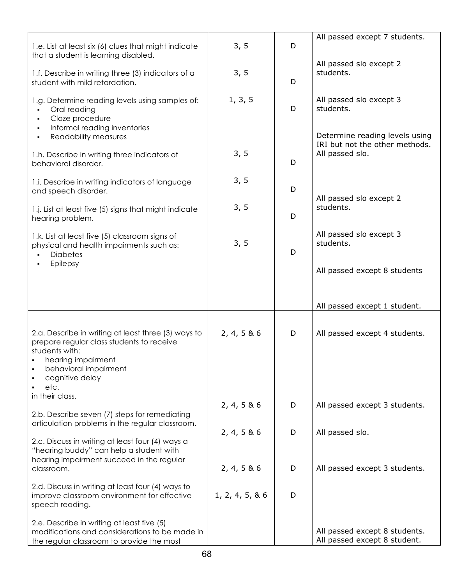| 1.e. List at least six (6) clues that might indicate<br>that a student is learning disabled.                                                                      | 3, 5             | D | All passed except 7 students.                                          |
|-------------------------------------------------------------------------------------------------------------------------------------------------------------------|------------------|---|------------------------------------------------------------------------|
| 1.f. Describe in writing three (3) indicators of a<br>student with mild retardation.                                                                              | 3, 5             | D | All passed slo except 2<br>students.                                   |
| 1.g. Determine reading levels using samples of:<br>Oral reading<br>Cloze procedure<br>Informal reading inventories<br>$\blacksquare$<br>Readability measures<br>٠ | 1, 3, 5          | D | All passed slo except 3<br>students.<br>Determine reading levels using |
| 1.h. Describe in writing three indicators of<br>behavioral disorder.                                                                                              | 3, 5             | D | IRI but not the other methods.<br>All passed slo.                      |
| 1.i. Describe in writing indicators of language<br>and speech disorder.                                                                                           | 3, 5             | D | All passed slo except 2                                                |
| 1.j. List at least five (5) signs that might indicate<br>hearing problem.                                                                                         | 3, 5             | D | students.                                                              |
| 1.k. List at least five (5) classroom signs of<br>physical and health impairments such as:<br><b>Diabetes</b>                                                     | 3, 5             | D | All passed slo except 3<br>students.                                   |
| Epilepsy                                                                                                                                                          |                  |   | All passed except 8 students                                           |
|                                                                                                                                                                   |                  |   | All passed except 1 student.                                           |
| 2.a. Describe in writing at least three (3) ways to<br>prepare regular class students to receive<br>students with:<br>hearing impairment                          | 2, 4, 5 & 6      | D | All passed except 4 students.                                          |
| behavioral impairment<br>cognitive delay<br>etc.                                                                                                                  |                  |   |                                                                        |
| in their class.<br>2.b. Describe seven (7) steps for remediating                                                                                                  | 2, 4, 5 & 6      | D | All passed except 3 students.                                          |
| articulation problems in the regular classroom.<br>2.c. Discuss in writing at least four (4) ways a                                                               | 2, 4, 5 & 6      | D | All passed slo.                                                        |
| "hearing buddy" can help a student with<br>hearing impairment succeed in the regular<br>classroom.                                                                | 2, 4, 5 & 6      | D | All passed except 3 students.                                          |
| 2.d. Discuss in writing at least four (4) ways to<br>improve classroom environment for effective<br>speech reading.                                               | 1, 2, 4, 5, 8, 6 | D |                                                                        |
| 2.e. Describe in writing at least five (5)<br>modifications and considerations to be made in<br>the regular classroom to provide the most                         |                  |   | All passed except 8 students.<br>All passed except 8 student.          |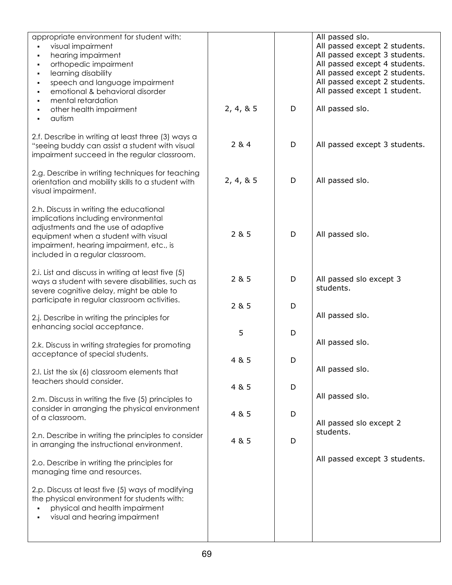| appropriate environment for student with:<br>visual impairment<br>hearing impairment<br>orthopedic impairment<br>learning disability<br>speech and language impairment<br>$\blacksquare$<br>emotional & behavioral disorder<br>mental retardation<br>other health impairment<br>autism | 2, 4, 8, 5 | D | All passed slo.<br>All passed except 2 students.<br>All passed except 3 students.<br>All passed except 4 students.<br>All passed except 2 students.<br>All passed except 2 students.<br>All passed except 1 student.<br>All passed slo. |
|----------------------------------------------------------------------------------------------------------------------------------------------------------------------------------------------------------------------------------------------------------------------------------------|------------|---|-----------------------------------------------------------------------------------------------------------------------------------------------------------------------------------------------------------------------------------------|
| 2.f. Describe in writing at least three (3) ways a<br>"seeing buddy can assist a student with visual<br>impairment succeed in the regular classroom.                                                                                                                                   | 284        | D | All passed except 3 students.                                                                                                                                                                                                           |
| 2.g. Describe in writing techniques for teaching<br>orientation and mobility skills to a student with<br>visual impairment.                                                                                                                                                            | 2, 4, 8, 5 | D | All passed slo.                                                                                                                                                                                                                         |
| 2.h. Discuss in writing the educational<br>implications including environmental<br>adjustments and the use of adaptive<br>equipment when a student with visual<br>impairment, hearing impairment, etc., is<br>included in a regular classroom.                                         | 2 & 5      | D | All passed slo.                                                                                                                                                                                                                         |
| 2.i. List and discuss in writing at least five (5)<br>ways a student with severe disabilities, such as<br>severe cognitive delay, might be able to<br>participate in regular classroom activities.                                                                                     | 2 & 5      | D | All passed slo except 3<br>students.                                                                                                                                                                                                    |
| 2.j. Describe in writing the principles for                                                                                                                                                                                                                                            | 2 & 5      | D | All passed slo.                                                                                                                                                                                                                         |
| enhancing social acceptance.                                                                                                                                                                                                                                                           | 5          | D | All passed slo.                                                                                                                                                                                                                         |
| 2.k. Discuss in writing strategies for promoting<br>acceptance of special students.                                                                                                                                                                                                    | 4 & 5      | D |                                                                                                                                                                                                                                         |
| 2.I. List the six (6) classroom elements that<br>teachers should consider.                                                                                                                                                                                                             |            |   | All passed slo.                                                                                                                                                                                                                         |
| 2.m. Discuss in writing the five (5) principles to                                                                                                                                                                                                                                     | 4 & 5      | D | All passed slo.                                                                                                                                                                                                                         |
| consider in arranging the physical environment<br>of a classroom.                                                                                                                                                                                                                      | 4 & 5      | D | All passed slo except 2                                                                                                                                                                                                                 |
| 2.n. Describe in writing the principles to consider<br>in arranging the instructional environment.                                                                                                                                                                                     | 4 & 5      | D | students.                                                                                                                                                                                                                               |
| 2.o. Describe in writing the principles for<br>managing time and resources.                                                                                                                                                                                                            |            |   | All passed except 3 students.                                                                                                                                                                                                           |
| 2.p. Discuss at least five (5) ways of modifying<br>the physical environment for students with:<br>physical and health impairment<br>visual and hearing impairment                                                                                                                     |            |   |                                                                                                                                                                                                                                         |
|                                                                                                                                                                                                                                                                                        |            |   |                                                                                                                                                                                                                                         |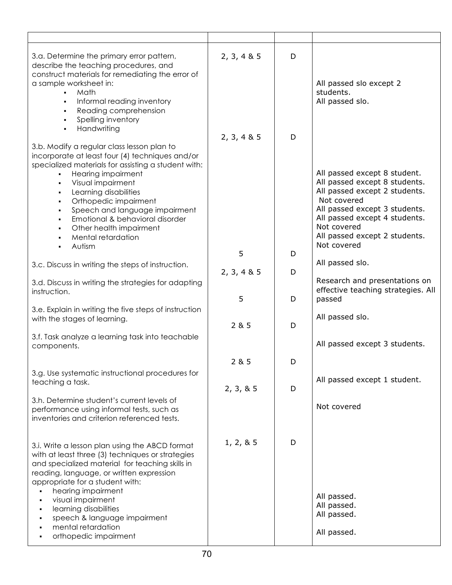| 3.a. Determine the primary error pattern,<br>describe the teaching procedures, and<br>construct materials for remediating the error of<br>a sample worksheet in:<br>Math<br>Informal reading inventory<br>Reading comprehension<br>Spelling inventory<br>٠<br>Handwriting<br>٠.                                                                                                                                         | 2, 3, 4 & 5 | D | All passed slo except 2<br>students.<br>All passed slo.                                                                                                                                                                                        |
|-------------------------------------------------------------------------------------------------------------------------------------------------------------------------------------------------------------------------------------------------------------------------------------------------------------------------------------------------------------------------------------------------------------------------|-------------|---|------------------------------------------------------------------------------------------------------------------------------------------------------------------------------------------------------------------------------------------------|
|                                                                                                                                                                                                                                                                                                                                                                                                                         | 2, 3, 4 & 5 | D |                                                                                                                                                                                                                                                |
| 3.b. Modify a regular class lesson plan to<br>incorporate at least four (4) techniques and/or<br>specialized materials for assisting a student with:<br>Hearing impairment<br>Visual impairment<br>٠<br>Learning disabilities<br>٠<br>Orthopedic impairment<br>٠<br>Speech and language impairment<br>٠<br>Emotional & behavioral disorder<br>$\blacksquare$<br>Other health impairment<br>Mental retardation<br>Autism |             |   | All passed except 8 student.<br>All passed except 8 students.<br>All passed except 2 students.<br>Not covered<br>All passed except 3 students.<br>All passed except 4 students.<br>Not covered<br>All passed except 2 students.<br>Not covered |
|                                                                                                                                                                                                                                                                                                                                                                                                                         | 5           | D |                                                                                                                                                                                                                                                |
| 3.c. Discuss in writing the steps of instruction.                                                                                                                                                                                                                                                                                                                                                                       |             |   | All passed slo.                                                                                                                                                                                                                                |
| 3.d. Discuss in writing the strategies for adapting<br>instruction.                                                                                                                                                                                                                                                                                                                                                     | 2, 3, 4 & 5 | D | Research and presentations on<br>effective teaching strategies. All                                                                                                                                                                            |
|                                                                                                                                                                                                                                                                                                                                                                                                                         | 5           | D | passed                                                                                                                                                                                                                                         |
| 3.e. Explain in writing the five steps of instruction<br>with the stages of learning.                                                                                                                                                                                                                                                                                                                                   | 2 & 5       | D | All passed slo.                                                                                                                                                                                                                                |
| 3.f. Task analyze a learning task into teachable<br>components.                                                                                                                                                                                                                                                                                                                                                         |             |   | All passed except 3 students.                                                                                                                                                                                                                  |
|                                                                                                                                                                                                                                                                                                                                                                                                                         | 2 & 5       | D |                                                                                                                                                                                                                                                |
| 3.g. Use systematic instructional procedures for                                                                                                                                                                                                                                                                                                                                                                        |             |   |                                                                                                                                                                                                                                                |
| teaching a task.                                                                                                                                                                                                                                                                                                                                                                                                        | 2, 3, 8, 5  | D | All passed except 1 student.                                                                                                                                                                                                                   |
| 3.h. Determine student's current levels of<br>performance using informal tests, such as<br>inventories and criterion referenced tests.                                                                                                                                                                                                                                                                                  |             |   | Not covered                                                                                                                                                                                                                                    |
| 3.i. Write a lesson plan using the ABCD format<br>with at least three (3) techniques or strategies<br>and specialized material for teaching skills in<br>reading, language, or written expression<br>appropriate for a student with:<br>hearing impairment<br>visual impairment<br>٠<br>learning disabilities<br>٠<br>speech & language impairment<br>٠<br>mental retardation<br>orthopedic impairment<br>٠             | 1, 2, 8, 5  | D | All passed.<br>All passed.<br>All passed.<br>All passed.                                                                                                                                                                                       |
|                                                                                                                                                                                                                                                                                                                                                                                                                         |             |   |                                                                                                                                                                                                                                                |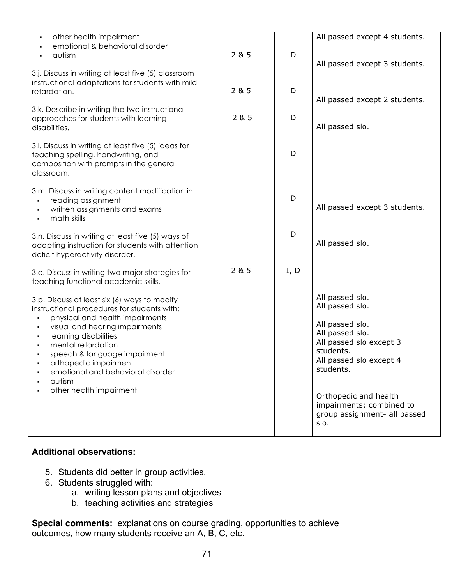| other health impairment<br>emotional & behavioral disorder<br>autism                                                                                                                                                                                                                                                                               | 285   | D    | All passed except 4 students.<br>All passed except 3 students.                                                                                                                                                                                        |
|----------------------------------------------------------------------------------------------------------------------------------------------------------------------------------------------------------------------------------------------------------------------------------------------------------------------------------------------------|-------|------|-------------------------------------------------------------------------------------------------------------------------------------------------------------------------------------------------------------------------------------------------------|
| 3.j. Discuss in writing at least five (5) classroom<br>instructional adaptations for students with mild<br>retardation.                                                                                                                                                                                                                            | 2 & 5 | D    | All passed except 2 students.                                                                                                                                                                                                                         |
| 3.k. Describe in writing the two instructional<br>approaches for students with learning<br>disabilities.                                                                                                                                                                                                                                           | 2 & 5 | D    | All passed slo.                                                                                                                                                                                                                                       |
| 3.I. Discuss in writing at least five (5) ideas for<br>teaching spelling, handwriting, and<br>composition with prompts in the general<br>classroom.                                                                                                                                                                                                |       | D    |                                                                                                                                                                                                                                                       |
| 3.m. Discuss in writing content modification in:<br>reading assignment<br>written assignments and exams<br>math skills                                                                                                                                                                                                                             |       | D    | All passed except 3 students.                                                                                                                                                                                                                         |
| 3.n. Discuss in writing at least five (5) ways of<br>adapting instruction for students with attention<br>deficit hyperactivity disorder.                                                                                                                                                                                                           |       | D    | All passed slo.                                                                                                                                                                                                                                       |
| 3.o. Discuss in writing two major strategies for<br>teaching functional academic skills.                                                                                                                                                                                                                                                           | 2 & 5 | I, D |                                                                                                                                                                                                                                                       |
| 3.p. Discuss at least six (6) ways to modify<br>instructional procedures for students with:<br>physical and health impairments<br>visual and hearing impairments<br>learning disabilities<br>mental retardation<br>speech & language impairment<br>orthopedic impairment<br>emotional and behavioral disorder<br>autism<br>other health impairment |       |      | All passed slo.<br>All passed slo.<br>All passed slo.<br>All passed slo.<br>All passed slo except 3<br>students.<br>All passed slo except 4<br>students.<br>Orthopedic and health<br>impairments: combined to<br>group assignment- all passed<br>slo. |

#### **Additional observations:**

- 5. Students did better in group activities.
- 6. Students struggled with:
	- a. writing lesson plans and objectives
	- b. teaching activities and strategies

**Special comments:** explanations on course grading, opportunities to achieve outcomes, how many students receive an A, B, C, etc.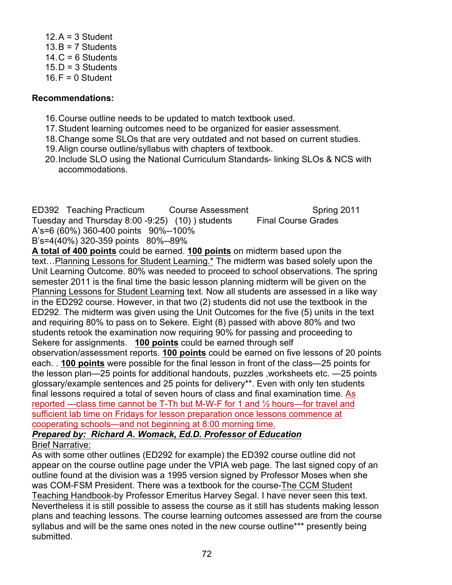$12.A = 3$  Student  $13.B = 7$  Students  $14. C = 6$  Students  $15. D = 3$  Students  $16.F = 0$  Student

#### **Recommendations:**

- 16.Course outline needs to be updated to match textbook used.
- 17.Student learning outcomes need to be organized for easier assessment.
- 18.Change some SLOs that are very outdated and not based on current studies.
- 19.Align course outline/syllabus with chapters of textbook.
- 20.Include SLO using the National Curriculum Standards- linking SLOs & NCS with accommodations.

ED392 Teaching Practicum Course Assessment Spring 2011 Tuesday and Thursday 8:00 -9:25) (10) ) students Final Course Grades A's=6 (60%) 360-400 points 90%--100% B's=4(40%) 320-359 points 80%--89%

**A total of 400 points** could be earned. **100 points** on midterm based upon the text…Planning Lessons for Student Learning.\* The midterm was based solely upon the Unit Learning Outcome. 80% was needed to proceed to school observations. The spring semester 2011 is the final time the basic lesson planning midterm will be given on the Planning Lessons for Student Learning text. Now all students are assessed in a like way in the ED292 course. However, in that two (2) students did not use the textbook in the ED292. The midterm was given using the Unit Outcomes for the five (5) units in the text and requiring 80% to pass on to Sekere. Eight (8) passed with above 80% and two students retook the examination now requiring 90% for passing and proceeding to Sekere for assignments. **100 points** could be earned through self observation/assessment reports. **100 points** could be earned on five lessons of 20 points each. . **100 points** were possible for the final lesson in front of the class—25 points for the lesson plan—25 points for additional handouts, puzzles ,worksheets etc. —25 points glossary/example sentences and 25 points for delivery\*\*. Even with only ten students final lessons required a total of seven hours of class and final examination time. As reported ---class time cannot be T-Th but M-W-F for 1 and ½ hours—for travel and sufficient lab time on Fridays for lesson preparation once lessons commence at cooperating schools—and not beginning at 8:00 morning time.

#### *Prepared by: Richard A. Womack, Ed.D. Professor of Education*  Brief Narrative:

As with some other outlines (ED292 for example) the ED392 course outline did not appear on the course outline page under the VPIA web page. The last signed copy of an outline found at the division was a 1995 version signed by Professor Moses when she was COM-FSM President. There was a textbook for the course-The CCM Student Teaching Handbook-by Professor Emeritus Harvey Segal. I have never seen this text. Nevertheless it is still possible to assess the course as it still has students making lesson plans and teaching lessons. The course learning outcomes assessed are from the course syllabus and will be the same ones noted in the new course outline\*\*\* presently being submitted.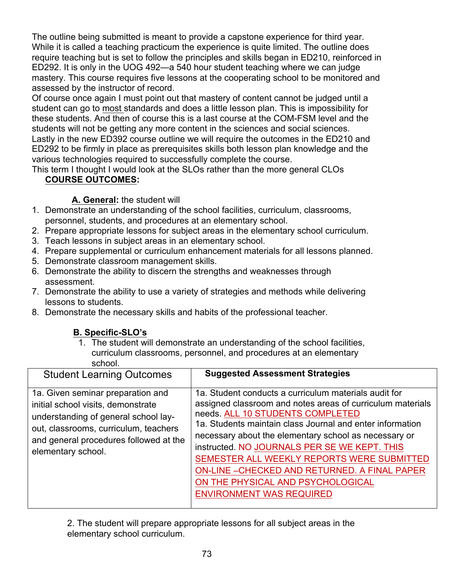The outline being submitted is meant to provide a capstone experience for third year. While it is called a teaching practicum the experience is quite limited. The outline does require teaching but is set to follow the principles and skills began in ED210, reinforced in ED292. It is only in the UOG 492—a 540 hour student teaching where we can judge mastery. This course requires five lessons at the cooperating school to be monitored and assessed by the instructor of record.

Of course once again I must point out that mastery of content cannot be judged until a student can go to most standards and does a little lesson plan. This is impossibility for these students. And then of course this is a last course at the COM-FSM level and the students will not be getting any more content in the sciences and social sciences. Lastly in the new ED392 course outline we will require the outcomes in the ED210 and ED292 to be firmly in place as prerequisites skills both lesson plan knowledge and the various technologies required to successfully complete the course.

This term I thought I would look at the SLOs rather than the more general CLOs **COURSE OUTCOMES:**

## **A. General:** the student will

- 1. Demonstrate an understanding of the school facilities, curriculum, classrooms, personnel, students, and procedures at an elementary school.
- 2. Prepare appropriate lessons for subject areas in the elementary school curriculum.
- 3. Teach lessons in subject areas in an elementary school.
- 4. Prepare supplemental or curriculum enhancement materials for all lessons planned.
- 5. Demonstrate classroom management skills.
- 6. Demonstrate the ability to discern the strengths and weaknesses through assessment.
- 7. Demonstrate the ability to use a variety of strategies and methods while delivering lessons to students.
- 8. Demonstrate the necessary skills and habits of the professional teacher.

## **B. Specific-SLO's**

1. The student will demonstrate an understanding of the school facilities, curriculum classrooms, personnel, and procedures at an elementary school.

2. The student will prepare appropriate lessons for all subject areas in the elementary school curriculum.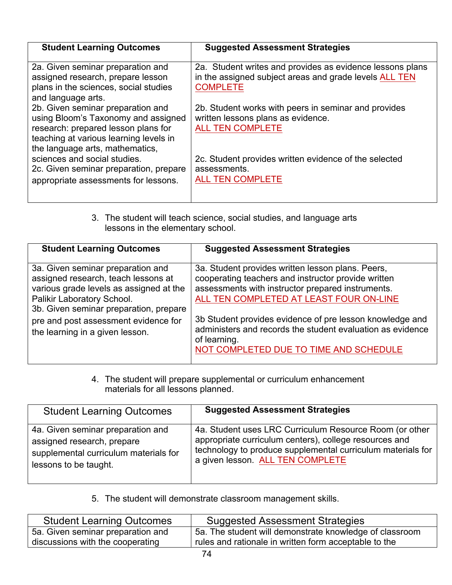| <b>Student Learning Outcomes</b>                                                                                                                                                             | <b>Suggested Assessment Strategies</b>                                                                                                 |
|----------------------------------------------------------------------------------------------------------------------------------------------------------------------------------------------|----------------------------------------------------------------------------------------------------------------------------------------|
| 2a. Given seminar preparation and<br>assigned research, prepare lesson<br>plans in the sciences, social studies<br>and language arts.                                                        | 2a. Student writes and provides as evidence lessons plans<br>in the assigned subject areas and grade levels ALL TEN<br><b>COMPLETE</b> |
| 2b. Given seminar preparation and<br>using Bloom's Taxonomy and assigned<br>research: prepared lesson plans for<br>teaching at various learning levels in<br>the language arts, mathematics, | 2b. Student works with peers in seminar and provides<br>written lessons plans as evidence.<br><b>ALL TEN COMPLETE</b>                  |
| sciences and social studies.<br>2c. Given seminar preparation, prepare<br>appropriate assessments for lessons.                                                                               | 2c. Student provides written evidence of the selected<br>assessments.<br><b>ALL TEN COMPLETE</b>                                       |

3. The student will teach science, social studies, and language arts lessons in the elementary school.

| <b>Student Learning Outcomes</b>                                                                                                                                                                                                                                       | <b>Suggested Assessment Strategies</b>                                                                                                                                                                                                                                                                                                             |
|------------------------------------------------------------------------------------------------------------------------------------------------------------------------------------------------------------------------------------------------------------------------|----------------------------------------------------------------------------------------------------------------------------------------------------------------------------------------------------------------------------------------------------------------------------------------------------------------------------------------------------|
| 3a. Given seminar preparation and<br>assigned research, teach lessons at<br>various grade levels as assigned at the<br>Palikir Laboratory School.<br>3b. Given seminar preparation, prepare<br>pre and post assessment evidence for<br>the learning in a given lesson. | 3a. Student provides written lesson plans. Peers,<br>cooperating teachers and instructor provide written<br>assessments with instructor prepared instruments.<br>ALL TEN COMPLETED AT LEAST FOUR ON-LINE<br>3b Student provides evidence of pre lesson knowledge and<br>administers and records the student evaluation as evidence<br>of learning. |
|                                                                                                                                                                                                                                                                        | NOT COMPLETED DUE TO TIME AND SCHEDULE                                                                                                                                                                                                                                                                                                             |

4. The student will prepare supplemental or curriculum enhancement materials for all lessons planned.

| <b>Student Learning Outcomes</b>      | <b>Suggested Assessment Strategies</b>                      |
|---------------------------------------|-------------------------------------------------------------|
| 4a. Given seminar preparation and     | 4a. Student uses LRC Curriculum Resource Room (or other     |
| assigned research, prepare            | appropriate curriculum centers), college resources and      |
| supplemental curriculum materials for | technology to produce supplemental curriculum materials for |
| lessons to be taught.                 | a given lesson. ALL TEN COMPLETE                            |

5. The student will demonstrate classroom management skills.

| <b>Student Learning Outcomes</b>  | <b>Suggested Assessment Strategies</b>                  |
|-----------------------------------|---------------------------------------------------------|
| 5a. Given seminar preparation and | 5a. The student will demonstrate knowledge of classroom |
| discussions with the cooperating  | rules and rationale in written form acceptable to the   |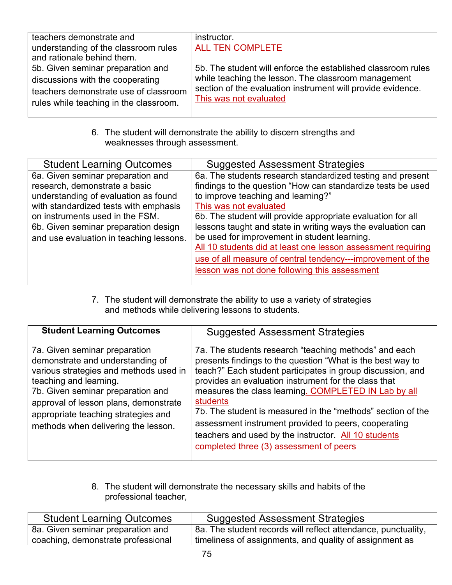| teachers demonstrate and               | instructor.                                                  |
|----------------------------------------|--------------------------------------------------------------|
| understanding of the classroom rules   | ALL TEN COMPLETE                                             |
| and rationale behind them.             |                                                              |
| 5b. Given seminar preparation and      | 5b. The student will enforce the established classroom rules |
| discussions with the cooperating       | while teaching the lesson. The classroom management          |
| teachers demonstrate use of classroom  | section of the evaluation instrument will provide evidence.  |
| rules while teaching in the classroom. | This was not evaluated                                       |
|                                        |                                                              |

6. The student will demonstrate the ability to discern strengths and weaknesses through assessment.

| <b>Student Learning Outcomes</b>                                                                                                                                                                                                                                          | <b>Suggested Assessment Strategies</b>                                                                                                                                                                                                                                                                                                                                                                                                                                                                                                                  |
|---------------------------------------------------------------------------------------------------------------------------------------------------------------------------------------------------------------------------------------------------------------------------|---------------------------------------------------------------------------------------------------------------------------------------------------------------------------------------------------------------------------------------------------------------------------------------------------------------------------------------------------------------------------------------------------------------------------------------------------------------------------------------------------------------------------------------------------------|
| 6a. Given seminar preparation and<br>research, demonstrate a basic<br>understanding of evaluation as found<br>with standardized tests with emphasis<br>on instruments used in the FSM.<br>6b. Given seminar preparation design<br>and use evaluation in teaching lessons. | 6a. The students research standardized testing and present<br>findings to the question "How can standardize tests be used<br>to improve teaching and learning?"<br>This was not evaluated<br>6b. The student will provide appropriate evaluation for all<br>lessons taught and state in writing ways the evaluation can<br>be used for improvement in student learning.<br>All 10 students did at least one lesson assessment requiring<br>use of all measure of central tendency---improvement of the<br>lesson was not done following this assessment |
|                                                                                                                                                                                                                                                                           |                                                                                                                                                                                                                                                                                                                                                                                                                                                                                                                                                         |

7. The student will demonstrate the ability to use a variety of strategies and methods while delivering lessons to students.

| <b>Student Learning Outcomes</b>                                                                                                                                                                                                                                                                  | <b>Suggested Assessment Strategies</b>                                                                                                                                                                                                                                                                                                                                                                                                                                                                                                         |
|---------------------------------------------------------------------------------------------------------------------------------------------------------------------------------------------------------------------------------------------------------------------------------------------------|------------------------------------------------------------------------------------------------------------------------------------------------------------------------------------------------------------------------------------------------------------------------------------------------------------------------------------------------------------------------------------------------------------------------------------------------------------------------------------------------------------------------------------------------|
| 7a. Given seminar preparation<br>demonstrate and understanding of<br>various strategies and methods used in<br>teaching and learning.<br>7b. Given seminar preparation and<br>approval of lesson plans, demonstrate<br>appropriate teaching strategies and<br>methods when delivering the lesson. | 7a. The students research "teaching methods" and each<br>presents findings to the question "What is the best way to<br>teach?" Each student participates in group discussion, and<br>provides an evaluation instrument for the class that<br>measures the class learning. COMPLETED IN Lab by all<br><b>students</b><br>7b. The student is measured in the "methods" section of the<br>assessment instrument provided to peers, cooperating<br>teachers and used by the instructor. All 10 students<br>completed three (3) assessment of peers |

8. The student will demonstrate the necessary skills and habits of the professional teacher,

| <b>Student Learning Outcomes</b>   | <b>Suggested Assessment Strategies</b>                        |
|------------------------------------|---------------------------------------------------------------|
| 8a. Given seminar preparation and  | 8a. The student records will reflect attendance, punctuality, |
| coaching, demonstrate professional | timeliness of assignments, and quality of assignment as       |